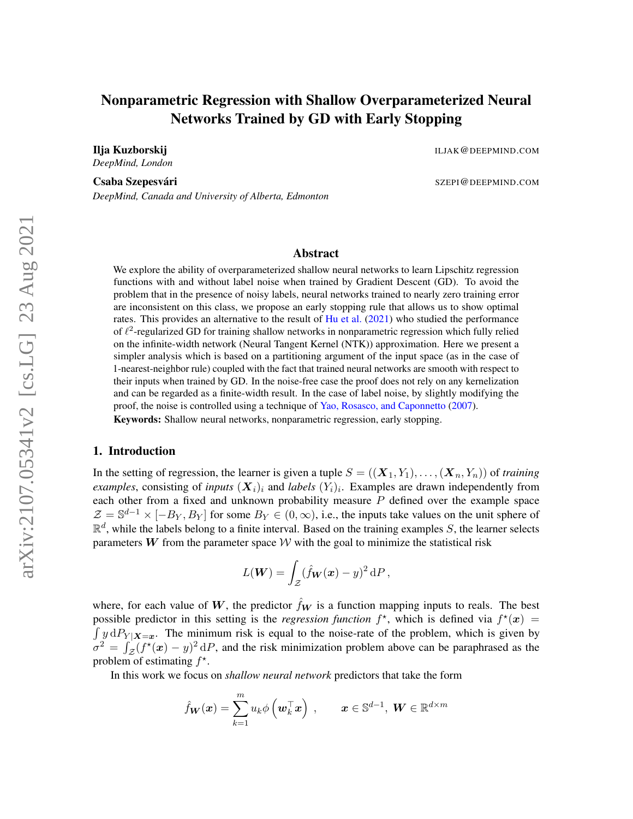# Nonparametric Regression with Shallow Overparameterized Neural Networks Trained by GD with Early Stopping

*DeepMind, London*

*DeepMind, Canada and University of Alberta, Edmonton*

**Ilja Kuzborskij ILJAK@DEEPMIND.COM** 

Csaba Szepesvári **Karl Szepesvári** SZEPI@DEEPMIND.COM

#### Abstract

We explore the ability of overparameterized shallow neural networks to learn Lipschitz regression functions with and without label noise when trained by Gradient Descent (GD). To avoid the problem that in the presence of noisy labels, neural networks trained to nearly zero training error are inconsistent on this class, we propose an early stopping rule that allows us to show optimal rates. This provides an alternative to the result of [Hu et al.](#page-15-0) [\(2021\)](#page-15-0) who studied the performance of  $\ell^2$ -regularized GD for training shallow networks in nonparametric regression which fully relied on the infinite-width network (Neural Tangent Kernel (NTK)) approximation. Here we present a simpler analysis which is based on a partitioning argument of the input space (as in the case of 1-nearest-neighbor rule) coupled with the fact that trained neural networks are smooth with respect to their inputs when trained by GD. In the noise-free case the proof does not rely on any kernelization and can be regarded as a finite-width result. In the case of label noise, by slightly modifying the proof, the noise is controlled using a technique of [Yao, Rosasco, and Caponnetto](#page-16-0) [\(2007\)](#page-16-0). Keywords: Shallow neural networks, nonparametric regression, early stopping.

# 1. Introduction

In the setting of regression, the learner is given a tuple  $S = ((\mathbf{X}_1, Y_1), \dots, (\mathbf{X}_n, Y_n))$  of *training examples*, consisting of *inputs*  $(X_i)_i$  and *labels*  $(Y_i)_i$ . Examples are drawn independently from each other from a fixed and unknown probability measure  $P$  defined over the example space  $\mathcal{Z} = \mathbb{S}^{d-1} \times [-B_Y, B_Y]$  for some  $B_Y \in (0, \infty)$ , i.e., the inputs take values on the unit sphere of  $\mathbb{R}^d$ , while the labels belong to a finite interval. Based on the training examples S, the learner selects parameters W from the parameter space  $W$  with the goal to minimize the statistical risk

$$
L(\boldsymbol{W}) = \int_{\mathcal{Z}} (\hat{f}_{\boldsymbol{W}}(\boldsymbol{x}) - y)^2 dP,
$$

where, for each value of W, the predictor  $\hat{f}_W$  is a function mapping inputs to reals. The best possible predictor in this setting is the *regression function*  $f^*$ , which is defined via  $f^*(x)$  =  $\int y \, dP_{Y|X=x}$ . The minimum risk is equal to the noise-rate of the problem, which is given by  $\sigma^2 = \int_{\mathcal{Z}} (f^*(x) - y)^2 dP$ , and the risk minimization problem above can be paraphrased as the problem of estimating  $f^*$ .

In this work we focus on *shallow neural network* predictors that take the form

$$
\hat{f}_{\mathbf{W}}(\mathbf{x}) = \sum_{k=1}^{m} u_k \phi\left(\mathbf{w}_k^{\top} \mathbf{x}\right) , \qquad \mathbf{x} \in \mathbb{S}^{d-1}, \ \mathbf{W} \in \mathbb{R}^{d \times m}
$$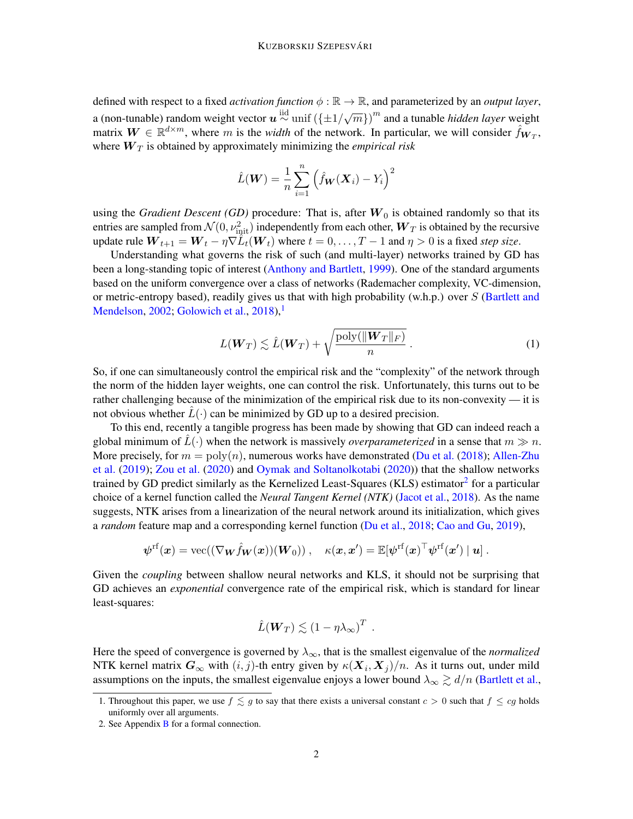defined with respect to a fixed *activation function*  $\phi : \mathbb{R} \to \mathbb{R}$ , and parameterized by an *output layer*, a (non-tunable) random weight vector  $\mathbf{u} \stackrel{\text{iid}}{\sim} \text{unif } (\{\pm 1/\sqrt{m}\})^m$  and a tunable *hidden layer* weight matrix  $W \in \mathbb{R}^{d \times m}$ , where m is the *width* of the network. In particular, we will consider  $\hat{f}_{W_T}$ , where  $W_T$  is obtained by approximately minimizing the *empirical risk* 

$$
\hat{L}(\boldsymbol{W}) = \frac{1}{n} \sum_{i=1}^{n} (\hat{f}_{\boldsymbol{W}}(\boldsymbol{X}_i) - Y_i)^2
$$

using the *Gradient Descent (GD)* procedure: That is, after  $W_0$  is obtained randomly so that its entries are sampled from  $\mathcal{N}(0,\nu_{\text{init}}^2)$  independently from each other,  $\bm{W}_T$  is obtained by the recursive update rule  $W_{t+1} = W_t - \eta \nabla \widetilde{L}_t(W_t)$  where  $t = 0, \ldots, T-1$  and  $\eta > 0$  is a fixed *step size*.

Understanding what governs the risk of such (and multi-layer) networks trained by GD has been a long-standing topic of interest [\(Anthony and Bartlett,](#page-14-0) [1999\)](#page-14-0). One of the standard arguments based on the uniform convergence over a class of networks (Rademacher complexity, VC-dimension, or metric-entropy based), readily gives us that with high probability (w.h.p.) over  $S$  [\(Bartlett and](#page-14-1) [Mendelson,](#page-14-1) [2002;](#page-14-1) [Golowich et al.,](#page-15-1)  $2018$  $2018$  $2018$ ,

$$
L(\boldsymbol{W}_T) \lesssim \hat{L}(\boldsymbol{W}_T) + \sqrt{\frac{\text{poly}(\|\boldsymbol{W}_T\|_F)}{n}}.
$$
 (1)

So, if one can simultaneously control the empirical risk and the "complexity" of the network through the norm of the hidden layer weights, one can control the risk. Unfortunately, this turns out to be rather challenging because of the minimization of the empirical risk due to its non-convexity — it is not obvious whether  $L(\cdot)$  can be minimized by GD up to a desired precision.

To this end, recently a tangible progress has been made by showing that GD can indeed reach a global minimum of  $\hat{L}(\cdot)$  when the network is massively *overparameterized* in a sense that  $m \gg n$ . More precisely, for  $m = \text{poly}(n)$ , numerous works have demonstrated [\(Du et al.](#page-15-2) [\(2018\)](#page-15-2); [Allen-Zhu](#page-14-2) [et al.](#page-14-2) [\(2019\)](#page-14-2); [Zou et al.](#page-16-1) [\(2020\)](#page-16-1) and [Oymak and Soltanolkotabi](#page-16-2) [\(2020\)](#page-16-2)) that the shallow networks trained by GD predict similarly as the Kernelized Least-Squares (KLS) estimator<sup>[2](#page-1-1)</sup> for a particular choice of a kernel function called the *Neural Tangent Kernel (NTK)* [\(Jacot et al.,](#page-15-3) [2018\)](#page-15-3). As the name suggests, NTK arises from a linearization of the neural network around its initialization, which gives a *random* feature map and a corresponding kernel function [\(Du et al.,](#page-15-2) [2018;](#page-15-2) [Cao and Gu,](#page-15-4) [2019\)](#page-15-4),

$$
\boldsymbol{\psi}^{\rm rf}(\boldsymbol{x}) = \text{vec}((\nabla_{\boldsymbol{W}}\hat{f}_{\boldsymbol{W}}(\boldsymbol{x}))(\boldsymbol{W}_0))\ ,\quad \kappa(\boldsymbol{x},\boldsymbol{x}') = \mathbb{E}[\boldsymbol{\psi}^{\rm rf}(\boldsymbol{x})^\top\boldsymbol{\psi}^{\rm rf}(\boldsymbol{x}')\mid \boldsymbol{u}]\ .
$$

Given the *coupling* between shallow neural networks and KLS, it should not be surprising that GD achieves an *exponential* convergence rate of the empirical risk, which is standard for linear least-squares:

$$
\hat{L}(\boldsymbol{W}_T) \lesssim (1 - \eta \lambda_\infty)^T.
$$

Here the speed of convergence is governed by  $\lambda_{\infty}$ , that is the smallest eigenvalue of the *normalized* NTK kernel matrix  $G_{\infty}$  with  $(i, j)$ -th entry given by  $\kappa(\bm{X}_i, \bm{X}_j)/n$ . As it turns out, under mild assumptions on the inputs, the smallest eigenvalue enjoys a lower bound  $\lambda_{\infty} \gtrsim d/n$  [\(Bartlett et al.,](#page-14-3)

<span id="page-1-0"></span><sup>1.</sup> Throughout this paper, we use  $f \lesssim g$  to say that there exists a universal constant  $c > 0$  such that  $f \le cg$  holds uniformly over all arguments.

<span id="page-1-1"></span><sup>2.</sup> See Appendix [B](#page-24-0) for a formal connection.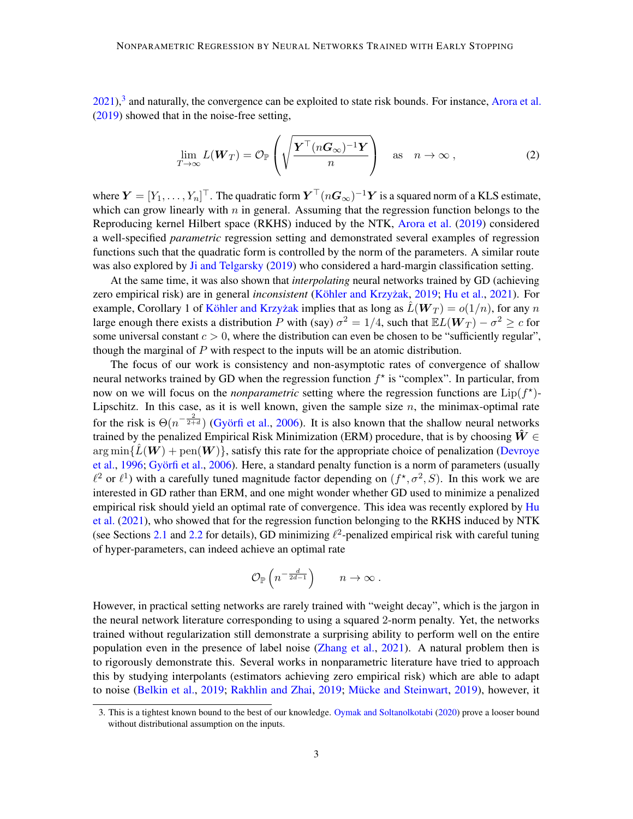$2021$ ),<sup>[3](#page-2-0)</sup> and naturally, the convergence can be exploited to state risk bounds. For instance, [Arora et al.](#page-14-4) [\(2019\)](#page-14-4) showed that in the noise-free setting,

$$
\lim_{T \to \infty} L(\mathbf{W}_T) = \mathcal{O}_{\mathbb{P}}\left(\sqrt{\frac{\boldsymbol{Y}^\top (n\boldsymbol{G}_\infty)^{-1}\boldsymbol{Y}}{n}}\right) \quad \text{as} \quad n \to \infty \,, \tag{2}
$$

where  $\bm{Y}=[Y_1,\ldots,Y_n]^\top.$  The quadratic form  $\bm{Y}^\top(n\bm{G}_\infty)^{-1}\bm{Y}$  is a squared norm of a KLS estimate, which can grow linearly with  $n$  in general. Assuming that the regression function belongs to the Reproducing kernel Hilbert space (RKHS) induced by the NTK, [Arora et al.](#page-14-4) [\(2019\)](#page-14-4) considered a well-specified *parametric* regression setting and demonstrated several examples of regression functions such that the quadratic form is controlled by the norm of the parameters. A similar route was also explored by [Ji and Telgarsky](#page-15-5) [\(2019\)](#page-15-5) who considered a hard-margin classification setting.

At the same time, it was also shown that *interpolating* neural networks trained by GD (achieving zero empirical risk) are in general *inconsistent* (Köhler and Krzyżak, [2019;](#page-15-6) [Hu et al.,](#page-15-0) [2021\)](#page-15-0). For example, Corollary 1 of Köhler and Krzyżak implies that as long as  $\hat{L}(W_T) = o(1/n)$ , for any n large enough there exists a distribution P with (say)  $\sigma^2 = 1/4$ , such that  $\mathbb{E}L(\mathbf{W}_T) - \sigma^2 \geq c$  for some universal constant  $c > 0$ , where the distribution can even be chosen to be "sufficiently regular", though the marginal of  $P$  with respect to the inputs will be an atomic distribution.

The focus of our work is consistency and non-asymptotic rates of convergence of shallow neural networks trained by GD when the regression function  $f^*$  is "complex". In particular, from now on we will focus on the *nonparametric* setting where the regression functions are  $Lip(f^*)$ -Lipschitz. In this case, as it is well known, given the sample size  $n$ , the minimax-optimal rate for the risk is  $\Theta(n^{-\frac{2}{2+d}})$  (Györfi et al., [2006\)](#page-15-7). It is also known that the shallow neural networks trained by the penalized Empirical Risk Minimization (ERM) procedure, that is by choosing  $\hat{W} \in$  $\arg \min\{\hat{L}(\boldsymbol{W}) + \text{pen}(\boldsymbol{W})\}\$ , satisfy this rate for the appropriate choice of penalization [\(Devroye](#page-15-8) [et al.,](#page-15-8) [1996;](#page-15-8) Györfi et al., [2006\)](#page-15-7). Here, a standard penalty function is a norm of parameters (usually  $\ell^2$  or  $\ell^1$ ) with a carefully tuned magnitude factor depending on  $(f^*, \sigma^2, S)$ . In this work we are interested in GD rather than ERM, and one might wonder whether GD used to minimize a penalized empirical risk should yield an optimal rate of convergence. This idea was recently explored by [Hu](#page-15-0) [et al.](#page-15-0) [\(2021\)](#page-15-0), who showed that for the regression function belonging to the RKHS induced by NTK (see Sections [2.1](#page-6-0) and [2.2](#page-7-0) for details), GD minimizing  $\ell^2$ -penalized empirical risk with careful tuning of hyper-parameters, can indeed achieve an optimal rate

$$
\mathcal{O}_{\mathbb{P}}\left(n^{-\frac{d}{2d-1}}\right) \qquad n \to \infty \; .
$$

However, in practical setting networks are rarely trained with "weight decay", which is the jargon in the neural network literature corresponding to using a squared 2-norm penalty. Yet, the networks trained without regularization still demonstrate a surprising ability to perform well on the entire population even in the presence of label noise [\(Zhang et al.,](#page-16-3) [2021\)](#page-16-3). A natural problem then is to rigorously demonstrate this. Several works in nonparametric literature have tried to approach this by studying interpolants (estimators achieving zero empirical risk) which are able to adapt to noise [\(Belkin et al.,](#page-14-5) [2019;](#page-16-4) [Rakhlin and Zhai,](#page-16-4) 2019; Mücke and Steinwart, [2019\)](#page-16-5), however, it

<span id="page-2-0"></span><sup>3.</sup> This is a tightest known bound to the best of our knowledge. [Oymak and Soltanolkotabi](#page-16-2) [\(2020\)](#page-16-2) prove a looser bound without distributional assumption on the inputs.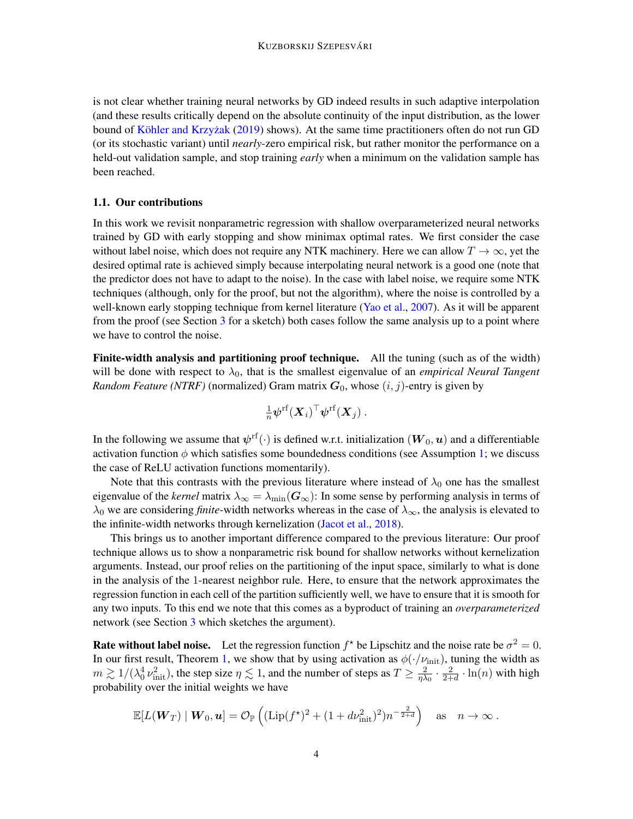is not clear whether training neural networks by GD indeed results in such adaptive interpolation (and these results critically depend on the absolute continuity of the input distribution, as the lower bound of Köhler and Krzyżak [\(2019\)](#page-15-6) shows). At the same time practitioners often do not run GD (or its stochastic variant) until *nearly*-zero empirical risk, but rather monitor the performance on a held-out validation sample, and stop training *early* when a minimum on the validation sample has been reached.

#### 1.1. Our contributions

In this work we revisit nonparametric regression with shallow overparameterized neural networks trained by GD with early stopping and show minimax optimal rates. We first consider the case without label noise, which does not require any NTK machinery. Here we can allow  $T \to \infty$ , yet the desired optimal rate is achieved simply because interpolating neural network is a good one (note that the predictor does not have to adapt to the noise). In the case with label noise, we require some NTK techniques (although, only for the proof, but not the algorithm), where the noise is controlled by a well-known early stopping technique from kernel literature [\(Yao et al.,](#page-16-0) [2007\)](#page-16-0). As it will be apparent from the proof (see Section [3](#page-7-1) for a sketch) both cases follow the same analysis up to a point where we have to control the noise.

Finite-width analysis and partitioning proof technique. All the tuning (such as of the width) will be done with respect to  $\lambda_0$ , that is the smallest eigenvalue of an *empirical Neural Tangent Random Feature (NTRF)* (normalized) Gram matrix  $G_0$ , whose  $(i, j)$ -entry is given by

$$
\tfrac{1}{n}\boldsymbol{\psi}^{\rm rf}(\boldsymbol{X}_i)^\top\boldsymbol{\psi}^{\rm rf}(\boldsymbol{X}_j)\ .
$$

In the following we assume that  $\bm{\psi}^{\text{rf}}(\cdot)$  is defined w.r.t. initialization  $(\bm{W}_0,\bm{u})$  and a differentiable activation function  $\phi$  which satisfies some boundedness conditions (see Assumption [1;](#page-9-0) we discuss the case of ReLU activation functions momentarily).

Note that this contrasts with the previous literature where instead of  $\lambda_0$  one has the smallest eigenvalue of the *kernel* matrix  $\lambda_{\infty} = \lambda_{\min}(\mathbf{G}_{\infty})$ : In some sense by performing analysis in terms of  $\lambda_0$  we are considering *finite*-width networks whereas in the case of  $\lambda_{\infty}$ , the analysis is elevated to the infinite-width networks through kernelization [\(Jacot et al.,](#page-15-3) [2018\)](#page-15-3).

This brings us to another important difference compared to the previous literature: Our proof technique allows us to show a nonparametric risk bound for shallow networks without kernelization arguments. Instead, our proof relies on the partitioning of the input space, similarly to what is done in the analysis of the 1-nearest neighbor rule. Here, to ensure that the network approximates the regression function in each cell of the partition sufficiently well, we have to ensure that it is smooth for any two inputs. To this end we note that this comes as a byproduct of training an *overparameterized* network (see Section [3](#page-7-1) which sketches the argument).

**Rate without label noise.** Let the regression function  $f^*$  be Lipschitz and the noise rate be  $\sigma^2 = 0$ . In our first result, Theorem [1,](#page-9-1) we show that by using activation as  $\phi(\cdot/\nu_{\rm init})$ , tuning the width as  $m \gtrsim 1/(\lambda_0^4 \nu_{\rm init}^2)$ , the step size  $\eta \lesssim 1$ , and the number of steps as  $T \geq \frac{2}{\eta \lambda}$  $\frac{2}{\eta\lambda_0}\cdot\frac{2}{2+}$  $\frac{2}{2+d} \cdot \ln(n)$  with high probability over the initial weights we have

$$
\mathbb{E}[L(\mathbf{W}_T) | \mathbf{W}_0, \mathbf{u}] = \mathcal{O}_{\mathbb{P}}\left((\text{Lip}(f^{\star})^2 + (1 + d\nu_{\text{init}}^2)^2)n^{-\frac{2}{2+d}}\right) \text{ as } n \to \infty.
$$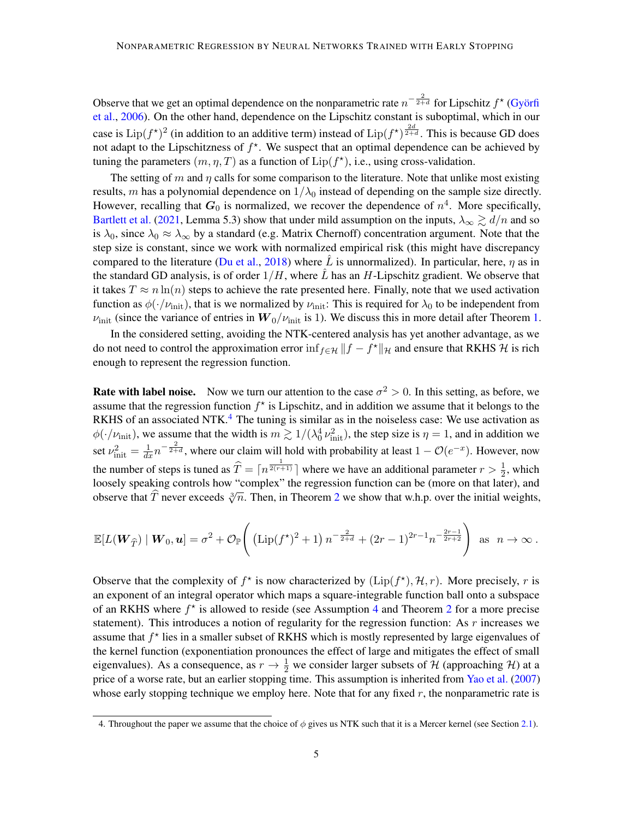Observe that we get an optimal dependence on the nonparametric rate  $n^{-\frac{2}{2+d}}$  for Lipschitz  $f^{\star}$  (Györfi [et al.,](#page-15-7) [2006\)](#page-15-7). On the other hand, dependence on the Lipschitz constant is suboptimal, which in our case is  $\text{Lip}(f^*)^2$  (in addition to an additive term) instead of  $\text{Lip}(f^*)^{\frac{2d}{2+d}}$ . This is because GD does not adapt to the Lipschitzness of  $f^*$ . We suspect that an optimal dependence can be achieved by tuning the parameters  $(m, \eta, T)$  as a function of  $Lip(f^*)$ , i.e., using cross-validation.

The setting of m and  $\eta$  calls for some comparison to the literature. Note that unlike most existing results, m has a polynomial dependence on  $1/\lambda_0$  instead of depending on the sample size directly. However, recalling that  $G_0$  is normalized, we recover the dependence of  $n^4$ . More specifically, [Bartlett et al.](#page-14-3) [\(2021,](#page-14-3) Lemma 5.3) show that under mild assumption on the inputs,  $\lambda_{\infty} \gtrsim d/n$  and so is  $\lambda_0$ , since  $\lambda_0 \approx \lambda_\infty$  by a standard (e.g. Matrix Chernoff) concentration argument. Note that the step size is constant, since we work with normalized empirical risk (this might have discrepancy compared to the literature [\(Du et al.,](#page-15-2) [2018\)](#page-15-2) where L is unnormalized). In particular, here,  $\eta$  as in the standard GD analysis, is of order  $1/H$ , where  $\tilde{L}$  has an H-Lipschitz gradient. We observe that it takes  $T \approx n \ln(n)$  steps to achieve the rate presented here. Finally, note that we used activation function as  $\phi(\cdot/\nu_{\text{init}})$ , that is we normalized by  $\nu_{\text{init}}$ : This is required for  $\lambda_0$  to be independent from  $\nu_{\text{init}}$  (since the variance of entries in  $W_0/\nu_{\text{init}}$  is 1). We discuss this in more detail after Theorem [1.](#page-9-1)

In the considered setting, avoiding the NTK-centered analysis has yet another advantage, as we do not need to control the approximation error  $\inf_{f \in \mathcal{H}} ||f - f^*||_{\mathcal{H}}$  and ensure that RKHS  $\mathcal{H}$  is rich enough to represent the regression function.

**Rate with label noise.** Now we turn our attention to the case  $\sigma^2 > 0$ . In this setting, as before, we assume that the regression function  $f^*$  is Lipschitz, and in addition we assume that it belongs to the RKHS of an associated NTK.<sup>[4](#page-4-0)</sup> The tuning is similar as in the noiseless case: We use activation as  $\phi(\cdot/\nu_{\rm init})$ , we assume that the width is  $m \gtrsim 1/(\lambda_0^4 \nu_{\rm init}^2)$ , the step size is  $\eta = 1$ , and in addition we set  $\nu_{\text{init}}^2 = \frac{1}{dx} n^{-\frac{2}{2+d}}$ , where our claim will hold with probability at least  $1 - \mathcal{O}(e^{-x})$ . However, now the number of steps is tuned as  $\hat{T} = \lceil n^{\frac{1}{2(r+1)}} \rceil$  where we have an additional parameter  $r > \frac{1}{2}$ , which loosely speaking controls how "complex" the regression function can be (more on that later), and observe that T never exceeds  $\sqrt[3]{n}$ . Then, in Theorem [2](#page-10-0) we show that w.h.p. over the initial weights,

$$
\mathbb{E}[L(\mathbf{W}_{\widehat{T}}) | \mathbf{W}_0, \mathbf{u}] = \sigma^2 + \mathcal{O}_{\mathbb{P}}\left( (\text{Lip}(f^*)^2 + 1) n^{-\frac{2}{2+d}} + (2r-1)^{2r-1} n^{-\frac{2r-1}{2r+2}} \right) \text{ as } n \to \infty.
$$

Observe that the complexity of  $f^*$  is now characterized by  $(\text{Lip}(f^*), \mathcal{H}, r)$ . More precisely, r is an exponent of an integral operator which maps a square-integrable function ball onto a subspace of an RKHS where  $f^*$  is allowed to reside (see Assumption [4](#page-10-1) and Theorem [2](#page-10-0) for a more precise statement). This introduces a notion of regularity for the regression function: As  $r$  increases we assume that  $f^*$  lies in a smaller subset of RKHS which is mostly represented by large eigenvalues of the kernel function (exponentiation pronounces the effect of large and mitigates the effect of small eigenvalues). As a consequence, as  $r \to \frac{1}{2}$  we consider larger subsets of H (approaching H) at a price of a worse rate, but an earlier stopping time. This assumption is inherited from [Yao et al.](#page-16-0) [\(2007\)](#page-16-0) whose early stopping technique we employ here. Note that for any fixed  $r$ , the nonparametric rate is

<span id="page-4-0"></span><sup>4.</sup> Throughout the paper we assume that the choice of  $\phi$  gives us NTK such that it is a Mercer kernel (see Section [2.1\)](#page-6-0).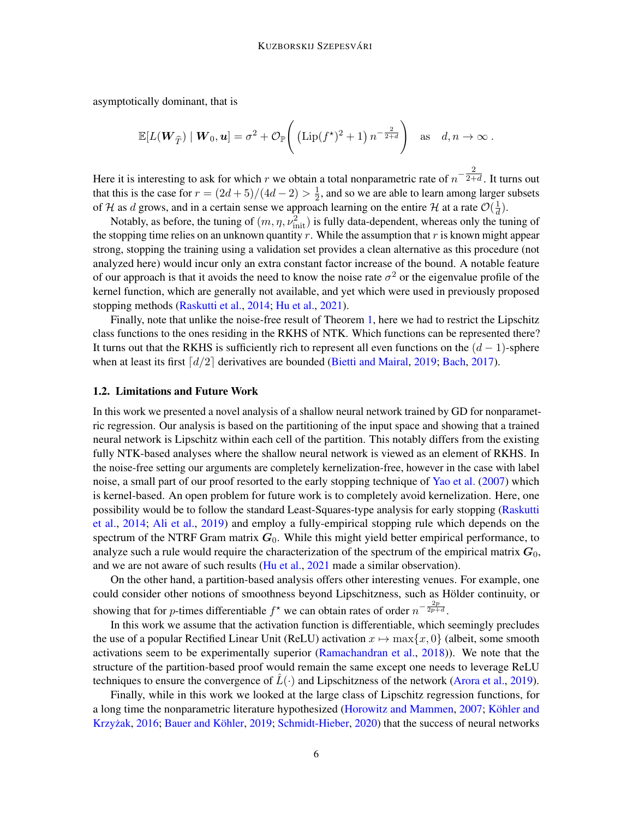asymptotically dominant, that is

$$
\mathbb{E}[L(\mathbf{W}_{\widehat{T}}) | \mathbf{W}_0, \mathbf{u}] = \sigma^2 + \mathcal{O}_{\mathbb{P}}\left( (\text{Lip}(f^{\star})^2 + 1) n^{-\frac{2}{2+d}} \right) \text{ as } d, n \to \infty.
$$

Here it is interesting to ask for which r we obtain a total nonparametric rate of  $n^{-\frac{2}{2+d}}$ . It turns out that this is the case for  $r = (2d+5)/(4d-2) > \frac{1}{2}$  $\frac{1}{2}$ , and so we are able to learn among larger subsets of H as d grows, and in a certain sense we approach learning on the entire H at a rate  $\mathcal{O}(\frac{1}{d})$  $\frac{1}{d}$ ).

Notably, as before, the tuning of  $(m, \eta, \nu_{\text{init}}^2)$  is fully data-dependent, whereas only the tuning of the stopping time relies on an unknown quantity r. While the assumption that r is known might appear strong, stopping the training using a validation set provides a clean alternative as this procedure (not analyzed here) would incur only an extra constant factor increase of the bound. A notable feature of our approach is that it avoids the need to know the noise rate  $\sigma^2$  or the eigenvalue profile of the kernel function, which are generally not available, and yet which were used in previously proposed stopping methods [\(Raskutti et al.,](#page-16-6) [2014;](#page-16-6) [Hu et al.,](#page-15-0) [2021\)](#page-15-0).

Finally, note that unlike the noise-free result of Theorem [1,](#page-9-1) here we had to restrict the Lipschitz class functions to the ones residing in the RKHS of NTK. Which functions can be represented there? It turns out that the RKHS is sufficiently rich to represent all even functions on the  $(d-1)$ -sphere when at least its first  $\lceil d/2 \rceil$  derivatives are bounded [\(Bietti and Mairal,](#page-15-9) [2019;](#page-15-9) [Bach,](#page-14-6) [2017\)](#page-14-6).

#### 1.2. Limitations and Future Work

In this work we presented a novel analysis of a shallow neural network trained by GD for nonparametric regression. Our analysis is based on the partitioning of the input space and showing that a trained neural network is Lipschitz within each cell of the partition. This notably differs from the existing fully NTK-based analyses where the shallow neural network is viewed as an element of RKHS. In the noise-free setting our arguments are completely kernelization-free, however in the case with label noise, a small part of our proof resorted to the early stopping technique of [Yao et al.](#page-16-0) [\(2007\)](#page-16-0) which is kernel-based. An open problem for future work is to completely avoid kernelization. Here, one possibility would be to follow the standard Least-Squares-type analysis for early stopping [\(Raskutti](#page-16-6) [et al.,](#page-16-6) [2014;](#page-16-6) [Ali et al.,](#page-14-7) [2019\)](#page-14-7) and employ a fully-empirical stopping rule which depends on the spectrum of the NTRF Gram matrix  $G_0$ . While this might yield better empirical performance, to analyze such a rule would require the characterization of the spectrum of the empirical matrix  $G_0$ , and we are not aware of such results [\(Hu et al.,](#page-15-0) [2021](#page-15-0) made a similar observation).

On the other hand, a partition-based analysis offers other interesting venues. For example, one could consider other notions of smoothness beyond Lipschitzness, such as Hölder continuity, or showing that for *p*-times differentiable  $f^*$  we can obtain rates of order  $n^{-\frac{2p}{2p+d}}$ .

In this work we assume that the activation function is differentiable, which seemingly precludes the use of a popular Rectified Linear Unit (ReLU) activation  $x \mapsto \max\{x, 0\}$  (albeit, some smooth activations seem to be experimentally superior [\(Ramachandran et al.,](#page-16-7) [2018\)](#page-16-7)). We note that the structure of the partition-based proof would remain the same except one needs to leverage ReLU techniques to ensure the convergence of  $L(\cdot)$  and Lipschitzness of the network [\(Arora et al.,](#page-14-4) [2019\)](#page-14-4).

Finally, while in this work we looked at the large class of Lipschitz regression functions, for a long time the nonparametric literature hypothesized [\(Horowitz and Mammen,](#page-15-10) [2007;](#page-15-10) Köhler and Krzyżak, [2016;](#page-15-11) Bauer and Köhler, [2019;](#page-14-8) [Schmidt-Hieber,](#page-16-8) [2020\)](#page-16-8) that the success of neural networks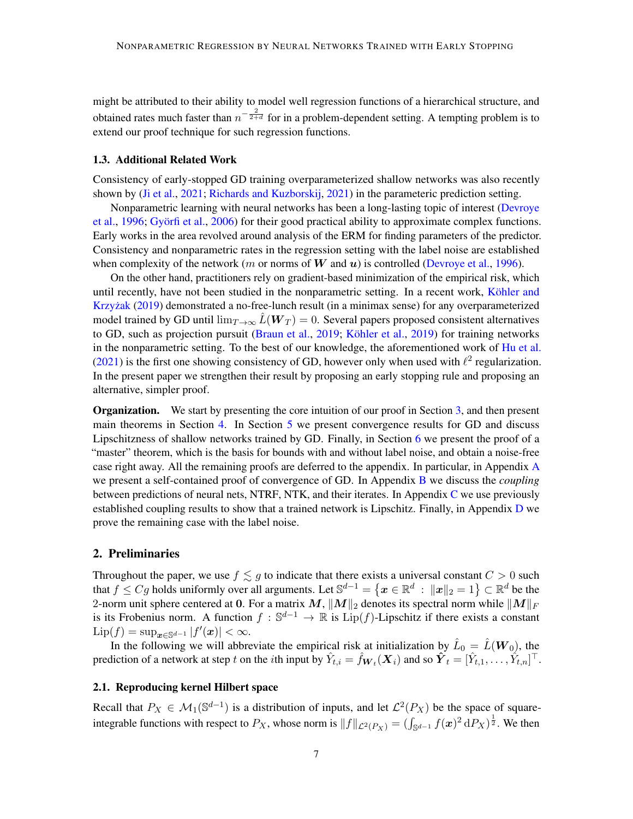might be attributed to their ability to model well regression functions of a hierarchical structure, and obtained rates much faster than  $n^{-\frac{2}{2+d}}$  for in a problem-dependent setting. A tempting problem is to extend our proof technique for such regression functions.

# 1.3. Additional Related Work

Consistency of early-stopped GD training overparameterized shallow networks was also recently shown by [\(Ji et al.,](#page-15-12) [2021;](#page-15-12) [Richards and Kuzborskij,](#page-16-9) [2021\)](#page-16-9) in the parameteric prediction setting.

Nonparametric learning with neural networks has been a long-lasting topic of interest [\(Devroye](#page-15-8) [et al.,](#page-15-8) [1996;](#page-15-8) Györfi et al., [2006\)](#page-15-7) for their good practical ability to approximate complex functions. Early works in the area revolved around analysis of the ERM for finding parameters of the predictor. Consistency and nonparametric rates in the regression setting with the label noise are established when complexity of the network (m or norms of W and u) is controlled [\(Devroye et al.,](#page-15-8) [1996\)](#page-15-8).

On the other hand, practitioners rely on gradient-based minimization of the empirical risk, which until recently, have not been studied in the nonparametric setting. In a recent work, Köhler and Krzyżak [\(2019\)](#page-15-6) demonstrated a no-free-lunch result (in a minimax sense) for any overparameterized model trained by GD until  $\lim_{T\to\infty} L(\mathbf{W}_T) = 0$ . Several papers proposed consistent alternatives to GD, such as projection pursuit [\(Braun et al.,](#page-15-13) [2019;](#page-15-13) Köhler et al., [2019\)](#page-15-14) for training networks in the nonparametric setting. To the best of our knowledge, the aforementioned work of [Hu et al.](#page-15-0) [\(2021\)](#page-15-0) is the first one showing consistency of GD, however only when used with  $\ell^2$  regularization. In the present paper we strengthen their result by proposing an early stopping rule and proposing an alternative, simpler proof.

**Organization.** We start by presenting the core intuition of our proof in Section [3,](#page-7-1) and then present main theorems in Section [4.](#page-9-2) In Section [5](#page-11-0) we present convergence results for GD and discuss Lipschitzness of shallow networks trained by GD. Finally, in Section [6](#page-12-0) we present the proof of a "master" theorem, which is the basis for bounds with and without label noise, and obtain a noise-free case right away. All the remaining proofs are deferred to the appendix. In particular, in Appendix [A](#page-17-0) we present a self-contained proof of convergence of GD. In Appendix [B](#page-24-0) we discuss the *coupling* between predictions of neural nets, NTRF, NTK, and their iterates. In Appendix [C](#page-31-0) we use previously established coupling results to show that a trained network is Lipschitz. Finally, in Appendix [D](#page-34-0) we prove the remaining case with the label noise.

# 2. Preliminaries

Throughout the paper, we use  $f \lesssim g$  to indicate that there exists a universal constant  $C > 0$  such that  $f \leq Cg$  holds uniformly over all arguments. Let  $\mathbb{S}^{d-1} = \{ \bm{x} \in \mathbb{R}^d \ : \ \|\bm{x}\|_2 = 1 \} \subset \mathbb{R}^d$  be the 2-norm unit sphere centered at 0. For a matrix  $M$ ,  $||M||_2$  denotes its spectral norm while  $||M||_F$ is its Frobenius norm. A function  $f : \mathbb{S}^{d-1} \to \mathbb{R}$  is  $\text{Lip}(f)$ -Lipschitz if there exists a constant  $\mathrm{Lip}(f) = \sup_{\bm{x} \in \mathbb{S}^{d-1}} |f'(\bm{x})| < \infty.$ 

In the following we will abbreviate the empirical risk at initialization by  $\hat{L}_0 = \hat{L}(\boldsymbol{W}_0)$ , the prediction of a network at step t on the *i*th input by  $\hat{Y}_{t,i} = \hat{f}_{\bm{W}_t}(\bm{X}_i)$  and so  $\hat{\bm{Y}}_t = [\hat{Y}_{t,1}, \dots, \hat{Y}_{t,n}]^\top$ .

# <span id="page-6-0"></span>2.1. Reproducing kernel Hilbert space

Recall that  $P_X \in M_1(\mathbb{S}^{d-1})$  is a distribution of inputs, and let  $\mathcal{L}^2(P_X)$  be the space of squareintegrable functions with respect to  $P_X$ , whose norm is  $||f||_{\mathcal{L}^2(P_X)} = (\int_{\mathbb{S}^{d-1}} f(x)^2 dP_X)^{\frac{1}{2}}$ . We then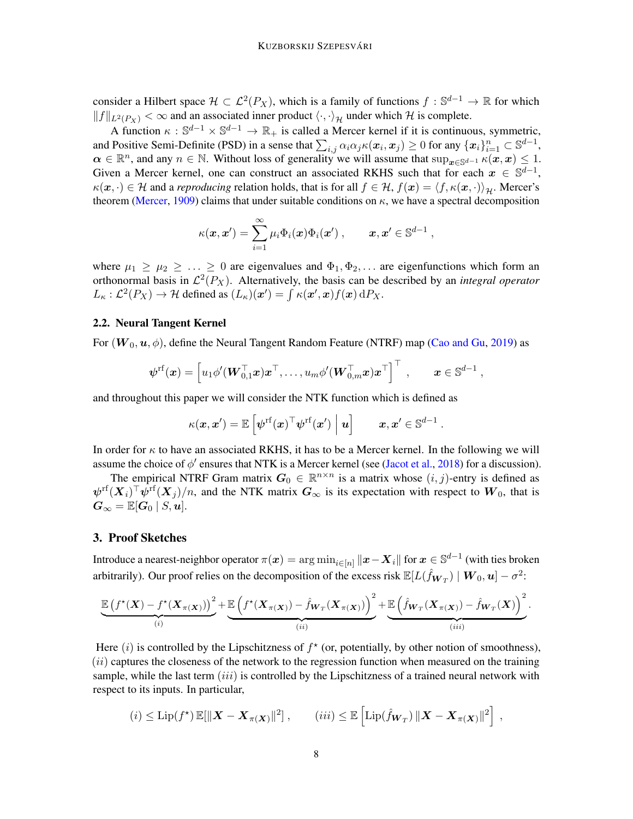consider a Hilbert space  $\mathcal{H} \subset \mathcal{L}^2(P_X)$ , which is a family of functions  $f : \mathbb{S}^{d-1} \to \mathbb{R}$  for which  $||f||_{L^2(P_Y)} < \infty$  and an associated inner product  $\langle \cdot, \cdot \rangle_H$  under which H is complete.

A function  $\kappa : \mathbb{S}^{d-1} \times \mathbb{S}^{d-1} \to \mathbb{R}_+$  is called a Mercer kernel if it is continuous, symmetric, and Positive Semi-Definite (PSD) in a sense that  $\sum_{i,j} \alpha_i \alpha_j \kappa(\boldsymbol{x}_i, \boldsymbol{x}_j) \ge 0$  for any  $\{\boldsymbol{x}_i\}_{i=1}^n \subset \mathbb{S}^{d-1}$ ,  $\alpha \in \mathbb{R}^n$ , and any  $n \in \mathbb{N}$ . Without loss of generality we will assume that  $\sup_{x \in \mathbb{S}^{d-1}} \kappa(x, x) \leq 1$ . Given a Mercer kernel, one can construct an associated RKHS such that for each  $x \in \mathbb{S}^{d-1}$ ,  $\kappa(\mathbf{x}, \cdot) \in \mathcal{H}$  and a *reproducing* relation holds, that is for all  $f \in \mathcal{H}$ ,  $f(\mathbf{x}) = \langle f, \kappa(\mathbf{x}, \cdot) \rangle_{\mathcal{H}}$ . Mercer's theorem [\(Mercer,](#page-16-10) [1909\)](#page-16-10) claims that under suitable conditions on  $\kappa$ , we have a spectral decomposition

$$
\kappa(\boldsymbol{x}, \boldsymbol{x}') = \sum_{i=1}^{\infty} \mu_i \Phi_i(\boldsymbol{x}) \Phi_i(\boldsymbol{x}'), \qquad \boldsymbol{x}, \boldsymbol{x}' \in \mathbb{S}^{d-1},
$$

where  $\mu_1 \geq \mu_2 \geq \ldots \geq 0$  are eigenvalues and  $\Phi_1, \Phi_2, \ldots$  are eigenfunctions which form an orthonormal basis in  $\mathcal{L}^2(P_X)$ . Alternatively, the basis can be described by an *integral operator*  $L_{\kappa}: \mathcal{L}^2(P_X) \to \mathcal{H}$  defined as  $(L_{\kappa})(\boldsymbol{x}') = \int \kappa(\boldsymbol{x}', \boldsymbol{x}) f(\boldsymbol{x}) dP_X$ .

# <span id="page-7-0"></span>2.2. Neural Tangent Kernel

For  $(W_0, u, \phi)$ , define the Neural Tangent Random Feature (NTRF) map [\(Cao and Gu,](#page-15-4) [2019\)](#page-15-4) as

$$
\boldsymbol{\psi}^{\mathrm{rf}}(\boldsymbol{x}) = \left[u_1 \phi'(\boldsymbol{W}_{0,1}^{\top} \boldsymbol{x}) \boldsymbol{x}^{\top}, \ldots, u_m \phi'(\boldsymbol{W}_{0,m}^{\top} \boldsymbol{x}) \boldsymbol{x}^{\top}\right]^{\top} , \qquad \boldsymbol{x} \in \mathbb{S}^{d-1} ,
$$

and throughout this paper we will consider the NTK function which is defined as

$$
\kappa(\bm{x}, \bm{x}') = \mathbb{E}\left[\psi^{\mathrm{rf}}(\bm{x})^{\top}\psi^{\mathrm{rf}}(\bm{x}')\bigm\vert \bm{u}\right] \qquad \bm{x}, \bm{x}' \in \mathbb{S}^{d-1}
$$

.

In order for  $\kappa$  to have an associated RKHS, it has to be a Mercer kernel. In the following we will assume the choice of  $\phi'$  ensures that NTK is a Mercer kernel (see [\(Jacot et al.,](#page-15-3) [2018\)](#page-15-3) for a discussion).

The empirical NTRF Gram matrix  $G_0 \in \mathbb{R}^{n \times n}$  is a matrix whose  $(i, j)$ -entry is defined as  $\psi^{\text{rf}}(\bm{X}_i)^\top \psi^{\text{rf}}(\bm{X}_j)/n$ , and the NTK matrix  $\bm{G}_{\infty}$  is its expectation with respect to  $\bm{W}_0$ , that is  $G_{\infty} = \mathbb{E}[G_0 \mid S, u].$ 

#### <span id="page-7-1"></span>3. Proof Sketches

Introduce a nearest-neighbor operator  $\pi(\bm{x}) = \argmin_{i\in[n]} \|\bm{x}-\bm{X}_i\|$  for  $\bm{x}\in\mathbb{S}^{d-1}$  (with ties broken arbitrarily). Our proof relies on the decomposition of the excess risk  $\mathbb{E}[L(\hat{f}_{\bm{W}_T})\mid \bm{W}_0,\bm{u}]-\sigma^2$ :

$$
\underbrace{\mathbb{E}\left(f^\star(\boldsymbol{X})-f^\star(\boldsymbol{X}_{\pi(\boldsymbol{X})})\right)^2}_{(i)}+\underbrace{\mathbb{E}\left(f^\star(\boldsymbol{X}_{\pi(\boldsymbol{X})})-\hat{f}_{\boldsymbol{W}_T}(\boldsymbol{X}_{\pi(\boldsymbol{X})})\right)^2}_{(ii)}+\underbrace{\mathbb{E}\left(\hat{f}_{\boldsymbol{W}_T}(\boldsymbol{X}_{\pi(\boldsymbol{X})})-\hat{f}_{\boldsymbol{W}_T}(\boldsymbol{X})\right)^2}_{(iii)}.
$$

Here  $(i)$  is controlled by the Lipschitzness of  $f^*$  (or, potentially, by other notion of smoothness),  $(ii)$  captures the closeness of the network to the regression function when measured on the training sample, while the last term  $(iii)$  is controlled by the Lipschitzness of a trained neural network with respect to its inputs. In particular,

$$
(i) \leq \text{Lip}(f^*) \mathbb{E}[\|\boldsymbol{X} - \boldsymbol{X}_{\pi(\boldsymbol{X})}\|^2], \qquad (iii) \leq \mathbb{E}\left[\text{Lip}(\hat{f}_{\boldsymbol{W}_T})\|\boldsymbol{X} - \boldsymbol{X}_{\pi(\boldsymbol{X})}\|^2\right],
$$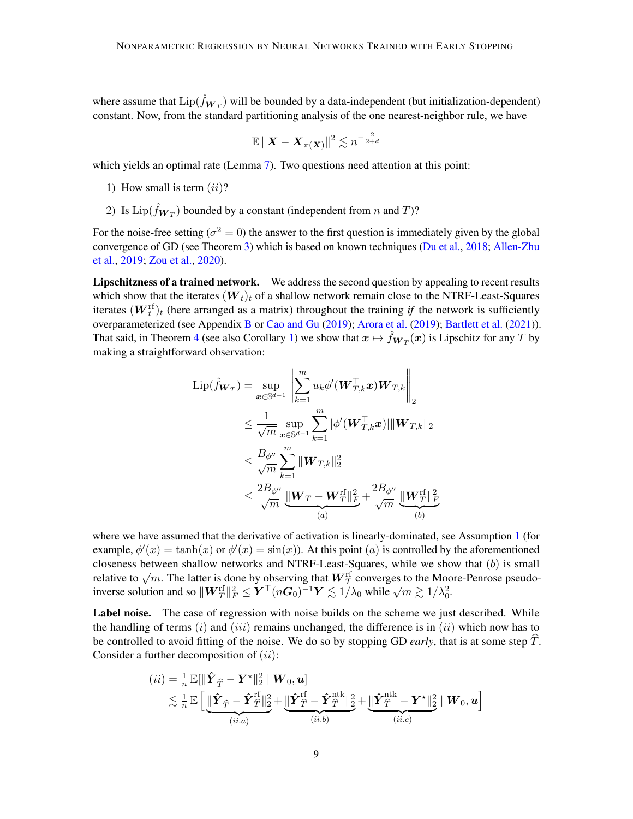where assume that  $\text{Lip}(\hat{f}_{\boldsymbol{W}_T})$  will be bounded by a data-independent (but initialization-dependent) constant. Now, from the standard partitioning analysis of the one nearest-neighbor rule, we have

$$
\mathbb{E}\,\|\boldsymbol X-\boldsymbol X_{\pi(\boldsymbol X)}\|^2\lesssim n^{-\frac{2}{2+d}}
$$

which yields an optimal rate (Lemma [7\)](#page-13-0). Two questions need attention at this point:

- 1) How small is term  $(ii)$ ?
- 2) Is  $\text{Lip}(\hat{f}_{\boldsymbol{W}_T})$  bounded by a constant (independent from n and T)?

For the noise-free setting ( $\sigma^2 = 0$ ) the answer to the first question is immediately given by the global convergence of GD (see Theorem [3\)](#page-11-1) which is based on known techniques [\(Du et al.,](#page-15-2) [2018;](#page-15-2) [Allen-Zhu](#page-14-2) [et al.,](#page-14-2) [2019;](#page-14-2) [Zou et al.,](#page-16-1) [2020\)](#page-16-1).

Lipschitzness of a trained network. We address the second question by appealing to recent results which show that the iterates  $(W_t)_t$  of a shallow network remain close to the NTRF-Least-Squares iterates  $(W_t^{\text{rf}})_t$  (here arranged as a matrix) throughout the training *if* the network is sufficiently overparameterized (see Appendix [B](#page-24-0) or [Cao and Gu](#page-15-4) [\(2019\)](#page-15-4); [Arora et al.](#page-14-4) [\(2019\)](#page-14-4); [Bartlett et al.](#page-14-3) [\(2021\)](#page-14-3)). That said, in Theorem [4](#page-11-2) (see also Corollary [1\)](#page-12-1) we show that  $x \mapsto \hat{f}_{W_T}(x)$  is Lipschitz for any T by making a straightforward observation:

$$
\begin{aligned} \mathrm{Lip}(\hat{f}_{\bm{W}_T}) &= \sup_{\bm{x} \in \mathbb{S}^{d-1}} \left\| \sum_{k=1}^m u_k \phi'(\bm{W}_{T,k}^\top \bm{x}) \bm{W}_{T,k} \right\|_2 \\ &\leq \frac{1}{\sqrt{m}} \sup_{\bm{x} \in \mathbb{S}^{d-1}} \sum_{k=1}^m |\phi'(\bm{W}_{T,k}^\top \bm{x})| \|\bm{W}_{T,k}\|_2 \\ &\leq \frac{B_{\phi''}}{\sqrt{m}} \sum_{k=1}^m \|\bm{W}_{T,k}\|_2^2 \\ &\leq \frac{2B_{\phi''}}{\sqrt{m}} \underbrace{\|\bm{W}_T - \bm{W}_T^{\mathrm{rf}}\|_F^2}_{(a)} + \frac{2B_{\phi''}}{\sqrt{m}} \underbrace{\|\bm{W}_T^{\mathrm{rf}}\|_F^2}_{(b)} \end{aligned}
$$

where we have assumed that the derivative of activation is linearly-dominated, see Assumption [1](#page-9-0) (for example,  $\phi'(x) = \tanh(x)$  or  $\phi'(x) = \sin(x)$ ). At this point (a) is controlled by the aforementioned closeness between shallow networks and NTRF-Least-Squares, while we show that (b) is small croseness between shanow networks and NTNT-Least-Squares, while we show that  $(v)$  is small relative to  $\sqrt{m}$ . The latter is done by observing that  $W_T^{\text{rf}}$  converges to the Moore-Penrose pseudoinverse solution and so  $\|\boldsymbol{W}_T^{\text{rf}}\|_F^2 \leq \boldsymbol{Y}^\top (n\boldsymbol{G}_0)^{-1} \boldsymbol{Y} \lesssim 1/\lambda_0$  while  $\sqrt{m} \gtrsim 1/\lambda_0^2$ .

Label noise. The case of regression with noise builds on the scheme we just described. While the handling of terms  $(i)$  and  $(iii)$  remains unchanged, the difference is in  $(ii)$  which now has to be controlled to avoid fitting of the noise. We do so by stopping GD *early*, that is at some step T. Consider a further decomposition of  $(ii)$ :

$$
(ii) = \frac{1}{n} \mathbb{E}[\|\hat{\boldsymbol{Y}}_{\widehat{T}} - \boldsymbol{Y}^{\star}\|_2^2 \mid \boldsymbol{W}_0, \boldsymbol{u}]
$$
  
\$\leq \frac{1}{n} \mathbb{E}\left[\underbrace{\|\hat{\boldsymbol{Y}}\_{\widehat{T}} - \hat{\boldsymbol{Y}}\_{\widehat{T}}^{\text{rf}}\|\_2^2}\_{(ii.a)} + \underbrace{\|\hat{\boldsymbol{Y}}\_{\widehat{T}}^{\text{rf}} - \hat{\boldsymbol{Y}}\_{\widehat{T}}^{\text{ntk}}\|\_2^2}\_{(ii.b)} + \underbrace{\|\hat{\boldsymbol{Y}}\_{\widehat{T}}^{\text{ntk}} - \boldsymbol{Y}^{\star}\|\_2^2}\_{(ii.c)} \mid \boldsymbol{W}\_0, \boldsymbol{u}\right]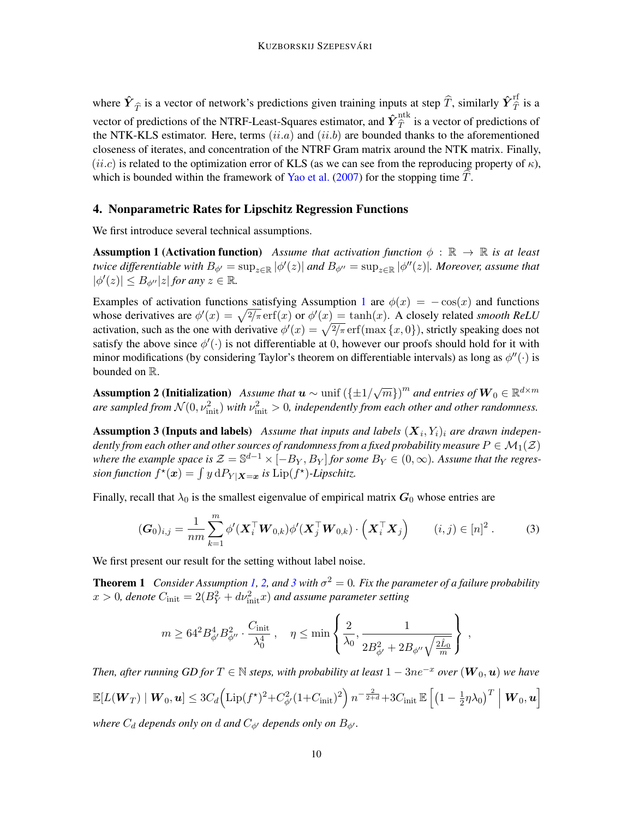where  $\hat{Y}_{\hat{T}}$  is a vector of network's predictions given training inputs at step  $\hat{T}$ , similarly  $\hat{Y}_{\hat{T}}^{\text{rf}}$  is a vector of predictions of the NTRF-Least-Squares estimator, and  $\hat{Y}_{\hat{T}}^{\text{ntk}}$  is a vector of predictions of the NTK-KLS estimator. Here, terms  $(ii.a)$  and  $(ii.b)$  are bounded thanks to the aforementioned closeness of iterates, and concentration of the NTRF Gram matrix around the NTK matrix. Finally,  $(ii.c)$  is related to the optimization error of KLS (as we can see from the reproducing property of  $\kappa$ ), which is bounded within the framework of [Yao et al.](#page-16-0)  $(2007)$  for the stopping time T.

# <span id="page-9-2"></span>4. Nonparametric Rates for Lipschitz Regression Functions

<span id="page-9-0"></span>We first introduce several technical assumptions.

**Assumption 1 (Activation function)** *Assume that activation function*  $\phi$  :  $\mathbb{R} \to \mathbb{R}$  *is at least twice differentiable with*  $B_{\phi'} = \sup_{z \in \mathbb{R}} |\phi'(z)|$  and  $B_{\phi''} = \sup_{z \in \mathbb{R}} |\phi''(z)|$ . Moreover, assume that  $|\phi'(z)| \leq B_{\phi''}|z|$  *for any*  $z \in \mathbb{R}$ *.* 

Examples of activation functions satisfying Assumption [1](#page-9-0) are  $\phi(x) = -\cos(x)$  and functions whose derivatives are  $\phi'(x) = \sqrt{2/\pi} \operatorname{erf}(x)$  or  $\phi'(x) = \tanh(x)$ . A closely related *smooth ReLU* activation, such as the one with derivative  $\phi'(x) = \sqrt{2/\pi} \,\text{erf}(\max\{x, 0\})$ , strictly speaking does not satisfy the above since  $\phi'(\cdot)$  is not differentiable at 0, however our proofs should hold for it with minor modifications (by considering Taylor's theorem on differentiable intervals) as long as  $\phi''(\cdot)$  is bounded on R.

<span id="page-9-3"></span>**Assumption 2 (Initialization)** Assume that  $\boldsymbol{u} \sim$  unif  $(\{\pm 1/\sqrt{m}\})^m$  and entries of  $\boldsymbol{W}_0 \in \mathbb{R}^{d \times m}$ *are sampled from*  $\mathcal{N}(0, \nu_{\text{init}}^2)$  *with*  $\nu_{\text{init}}^2 > 0$ , *independently from each other and other randomness.* 

<span id="page-9-4"></span>**Assumption 3 (Inputs and labels)** Assume that inputs and labels  $(X_i, Y_i)_i$  are drawn indepen*dently from each other and other sources of randomness from a fixed probability measure*  $P \in \mathcal{M}_1(\mathcal{Z})$ where the example space is  $\mathcal{Z}=\mathbb{S}^{d-1}\times[-B_Y,B_Y]$  for some  $B_Y\in(0,\infty)$ . Assume that the regression function  $f^{\star}(\boldsymbol{x}) = \int y \, dP_{Y|\boldsymbol{X}=\boldsymbol{x}}$  is  $Lip(f^{\star})$ -Lipschitz.

Finally, recall that  $\lambda_0$  is the smallest eigenvalue of empirical matrix  $G_0$  whose entries are

$$
(\boldsymbol{G}_0)_{i,j} = \frac{1}{nm} \sum_{k=1}^m \phi'(\boldsymbol{X}_i^\top \boldsymbol{W}_{0,k}) \phi'(\boldsymbol{X}_j^\top \boldsymbol{W}_{0,k}) \cdot (\boldsymbol{X}_i^\top \boldsymbol{X}_j) \qquad (i,j) \in [n]^2.
$$
 (3)

We first present our result for the setting without label noise.

**Theorem 1** *Consider Assumption [1,](#page-9-0) [2,](#page-9-3) and [3](#page-9-4) with*  $\sigma^2 = 0$ *. Fix the parameter of a failure probability*  $x > 0$ , denote  $C<sub>init</sub> = 2(B<sub>Y</sub><sup>2</sup> + d\nu<sub>init</sub><sup>2</sup>x)$  and assume parameter setting

<span id="page-9-5"></span><span id="page-9-1"></span>
$$
m \geq 64^2 B_{\phi'}^4 B_{\phi''}^2 \cdot \frac{C_{\rm init}}{\lambda_0^4} \ , \quad \eta \leq \min\left\{\frac{2}{\lambda_0}, \frac{1}{2B_{\phi'}^2 + 2B_{\phi''}\sqrt{\frac{2\hat{L}_0}{m}}}\right\} \ ,
$$

*Then, after running GD for*  $T \in \mathbb{N}$  *steps, with probability at least*  $1 - 3ne^{-x}$  *over*  $(\mathbf{W}_0, \mathbf{u})$  *we have*  $\mathbb{E}[L(\boldsymbol{W}_T)\mid \boldsymbol{W}_0, \boldsymbol{u}] \leq 3C_d \Big(\text{Lip}(f^\star)^2 + C_{\phi'}^2(1+C_{\text{init}})^2\Big)\,n^{-\frac{2}{2+d}} + 3C_{\text{init}}\,\mathbb{E}\,\Big[(1-\tfrac{1}{2})^{2}\Big]\,.$  $\left[\frac{1}{2}\eta\lambda_{0}\right]^{T}\,\Big\vert\,\bm{W}_{0},\bm{u}\right]$ *where*  $C_d$  *depends only on d and*  $C_{\phi}$  *depends only on*  $B_{\phi}$ *.*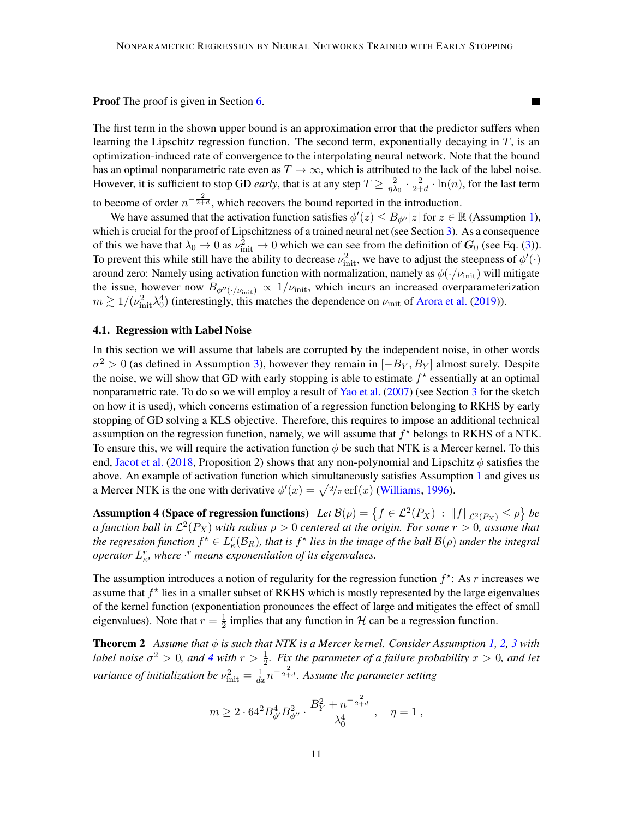П

Proof The proof is given in Section [6.](#page-12-0)

The first term in the shown upper bound is an approximation error that the predictor suffers when learning the Lipschitz regression function. The second term, exponentially decaying in  $T$ , is an optimization-induced rate of convergence to the interpolating neural network. Note that the bound has an optimal nonparametric rate even as  $T \to \infty$ , which is attributed to the lack of the label noise. However, it is sufficient to stop GD *early*, that is at any step  $T \geq \frac{2}{n\lambda}$  $rac{2}{\eta\lambda_0}\cdot\frac{2}{2+}$  $\frac{2}{2+d} \cdot \ln(n)$ , for the last term to become of order  $n^{-\frac{2}{2+d}}$ , which recovers the bound reported in the introduction.

We have assumed that the activation function satisfies  $\phi'(z) \leq B_{\phi''}|z|$  for  $z \in \mathbb{R}$  (Assumption [1\)](#page-9-0), which is crucial for the proof of Lipschitzness of a trained neural net (see Section [3\)](#page-7-1). As a consequence of this we have that  $\lambda_0 \to 0$  as  $\nu_{\text{init}}^2 \to 0$  which we can see from the definition of  $G_0$  (see Eq. [\(3\)](#page-9-5)). To prevent this while still have the ability to decrease  $\nu_{\text{init}}^2$ , we have to adjust the steepness of  $\phi'(\cdot)$ around zero: Namely using activation function with normalization, namely as  $\phi(\cdot/\nu_{\rm init})$  will mitigate the issue, however now  $B_{\phi''(\cdot/\nu_{\rm init})} \propto 1/\nu_{\rm init}$ , which incurs an increased overparameterization  $m \gtrsim 1/(\nu_{\rm init}^2 \lambda_0^4)$  (interestingly, this matches the dependence on  $\nu_{\rm init}$  of [Arora et al.](#page-14-4) [\(2019\)](#page-14-4)).

#### 4.1. Regression with Label Noise

In this section we will assume that labels are corrupted by the independent noise, in other words  $\sigma^2 > 0$  (as defined in Assumption [3\)](#page-9-4), however they remain in  $[-B_Y, B_Y]$  almost surely. Despite the noise, we will show that GD with early stopping is able to estimate  $f^*$  essentially at an optimal nonparametric rate. To do so we will employ a result of [Yao et al.](#page-16-0) [\(2007\)](#page-16-0) (see Section [3](#page-7-1) for the sketch on how it is used), which concerns estimation of a regression function belonging to RKHS by early stopping of GD solving a KLS objective. Therefore, this requires to impose an additional technical assumption on the regression function, namely, we will assume that  $f^*$  belongs to RKHS of a NTK. To ensure this, we will require the activation function  $\phi$  be such that NTK is a Mercer kernel. To this end, [Jacot et al.](#page-15-3) [\(2018,](#page-15-3) Proposition 2) shows that any non-polynomial and Lipschitz  $\phi$  satisfies the above. An example of activation function which simultaneously satisfies Assumption [1](#page-9-0) and gives us a Mercer NTK is the one with derivative  $\phi'(x) = \sqrt{\frac{2}{\pi}} \,\text{erf}(x)$  [\(Williams,](#page-16-11) [1996\)](#page-16-11).

Assumption 4 (Space of regression functions)  $Let B(\rho) = \{f \in L^2(P_X) : ||f||_{L^2(P_X)} \leq \rho\}$  be *a function ball in*  $\mathcal{L}^2(P_X)$  *with radius*  $\rho > 0$  *centered at the origin. For some*  $r > 0$ *, assume that* the regression function  $f^\star \in L_\kappa^r(\mathcal{B}_R)$ , that is  $f^\star$  lies in the image of the ball  $\mathcal{B}(\rho)$  under the integral *operator*  $L_{\kappa}^r$ , where  $\cdot^r$  means exponentiation of its eigenvalues.

The assumption introduces a notion of regularity for the regression function  $f^*$ : As r increases we assume that  $f^*$  lies in a smaller subset of RKHS which is mostly represented by the large eigenvalues of the kernel function (exponentiation pronounces the effect of large and mitigates the effect of small eigenvalues). Note that  $r = \frac{1}{2}$  $\frac{1}{2}$  implies that any function in H can be a regression function.

**Theorem 2** Assume that  $\phi$  is such that NTK is a Mercer kernel. Consider Assumption [1,](#page-9-0) [2,](#page-9-3) [3](#page-9-4) with *label noise*  $\sigma^2 > 0$ , and [4](#page-10-1) with  $r > \frac{1}{2}$ . Fix the parameter of a failure probability  $x > 0$ , and let *variance of initialization be*  $\nu_{\text{init}}^2 = \frac{1}{dx} n^{-\frac{2}{2+d}}$ . Assume the parameter setting

<span id="page-10-1"></span><span id="page-10-0"></span>
$$
m \geq 2 \cdot 64^2 B_{\phi'}^4 B_{\phi''}^2 \cdot \frac{B_Y^2 + n^{-\frac{2}{2+d}}}{\lambda_0^4} \ , \quad \eta = 1 \ ,
$$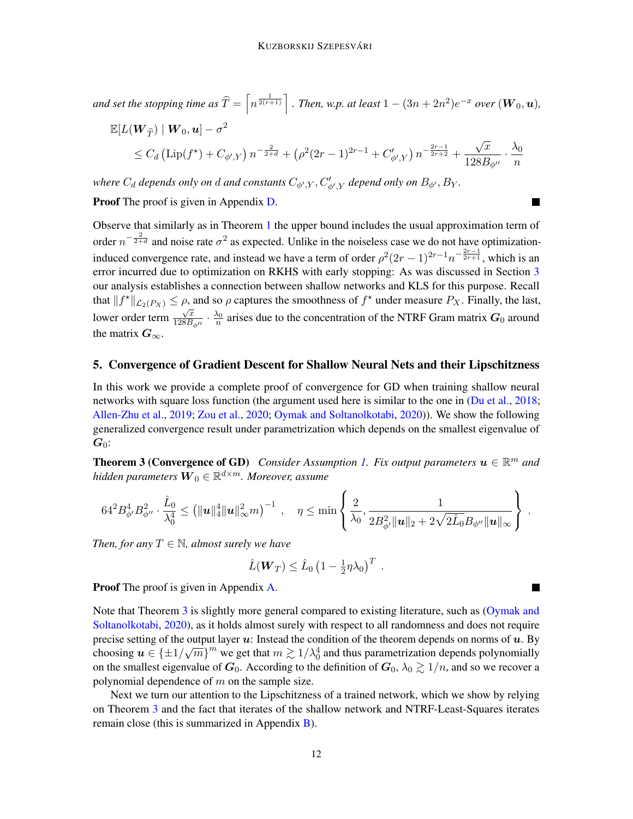and set the stopping time as 
$$
\hat{T} = \left[ n^{\frac{1}{2(r+1)}} \right]
$$
. Then, w.p. at least  $1 - (3n + 2n^2)e^{-x}$  over  $(\mathbf{W}_0, \mathbf{u})$ ,  
\n
$$
\mathbb{E}[L(\mathbf{W}_{\hat{T}}) | \mathbf{W}_0, \mathbf{u}] - \sigma^2 \leq C_d \left( \text{Lip}(f^*) + C_{\phi',Y} \right) n^{-\frac{2}{2+d}} + \left( \rho^2 (2r-1)^{2r-1} + C_{\phi',Y}' \right) n^{-\frac{2r-1}{2r+2}} + \frac{\sqrt{x}}{128B_{\phi''}} \cdot \frac{\lambda_0}{n}
$$

where  $C_d$  depends only on  $d$  and constants  $C_{\phi',Y}, C'_{\phi',Y}$  depend only on  $B_{\phi'}, B_Y$ .

**Proof** The proof is given in Appendix [D.](#page-34-0)

Observe that similarly as in Theorem [1](#page-9-1) the upper bound includes the usual approximation term of order  $n^{-\frac{2}{2+d}}$  and noise rate  $\sigma^2$  as expected. Unlike in the noiseless case we do not have optimizationinduced convergence rate, and instead we have a term of order  $\rho^2(2r-1)^{2r-1}n^{-\frac{2r-1}{2r+1}}$ , which is an error incurred due to optimization on RKHS with early stopping: As was discussed in Section [3](#page-7-1) our analysis establishes a connection between shallow networks and KLS for this purpose. Recall that  $||f^*||_{\mathcal{L}_2(P_X)} \leq \rho$ , and so  $\rho$  captures the smoothness of  $f^*$  under measure  $P_X$ . Finally, the last, lower order term  $\sqrt{x}$  $\frac{\sqrt{x}}{128B_{\phi''}} \cdot \frac{\lambda_0}{n}$  arises due to the concentration of the NTRF Gram matrix  $G_0$  around the matrix  $G_{\infty}$ .

#### <span id="page-11-0"></span>5. Convergence of Gradient Descent for Shallow Neural Nets and their Lipschitzness

In this work we provide a complete proof of convergence for GD when training shallow neural networks with square loss function (the argument used here is similar to the one in [\(Du et al.,](#page-15-2) [2018;](#page-15-2) [Allen-Zhu et al.,](#page-14-2) [2019;](#page-14-2) [Zou et al.,](#page-16-1) [2020;](#page-16-1) [Oymak and Soltanolkotabi,](#page-16-2) [2020\)](#page-16-2)). We show the following generalized convergence result under parametrization which depends on the smallest eigenvalue of  $G_0$ :

<span id="page-11-1"></span>**Theorem 3 (Convergence of GD)** Consider Assumption [1.](#page-9-0) Fix output parameters  $u \in \mathbb{R}^m$  and hidden parameters  $\boldsymbol{W}_0 \in \mathbb{R}^{d \times m}$ . Moreover, assume

$$
64^{2} B_{\phi'}^{4} B_{\phi''}^{2} \cdot \frac{\hat{L}_0}{\lambda_0^4} \leq \left( \|\boldsymbol{u}\|_{4}^{4} \|\boldsymbol{u}\|_{\infty}^{2} m \right)^{-1} \;,\quad \eta \leq \min\left\{ \frac{2}{\lambda_0}, \frac{1}{2 B_{\phi'}^{2} \|\boldsymbol{u}\|_{2} + 2\sqrt{2} \hat{L}_0} B_{\phi''} \|\boldsymbol{u}\|_{\infty} \right\}
$$

.

 $\blacksquare$ 

٠

*Then, for any*  $T \in \mathbb{N}$ *, almost surely we have* 

<span id="page-11-2"></span>
$$
\hat{L}(\boldsymbol{W}_T) \leq \hat{L}_0 \left(1 - \frac{1}{2} \eta \lambda_0\right)^T.
$$

Proof The proof is given in Appendix [A.](#page-17-0)

Note that Theorem [3](#page-11-1) is slightly more general compared to existing literature, such as [\(Oymak and](#page-16-2) [Soltanolkotabi,](#page-16-2) [2020\)](#page-16-2), as it holds almost surely with respect to all randomness and does not require precise setting of the output layer  $u$ : Instead the condition of the theorem depends on norms of  $u$ . By choosing  $u \in {\pm 1/\sqrt{m}}^m$  we get that  $m \gtrsim 1/\lambda_0^4$  and thus parametrization depends polynomially on the smallest eigenvalue of  $G_0$ . According to the definition of  $G_0$ ,  $\lambda_0 \gtrsim 1/n$ , and so we recover a polynomial dependence of  $m$  on the sample size.

Next we turn our attention to the Lipschitzness of a trained network, which we show by relying on Theorem [3](#page-11-1) and the fact that iterates of the shallow network and NTRF-Least-Squares iterates remain close (this is summarized in Appendix [B\)](#page-24-0).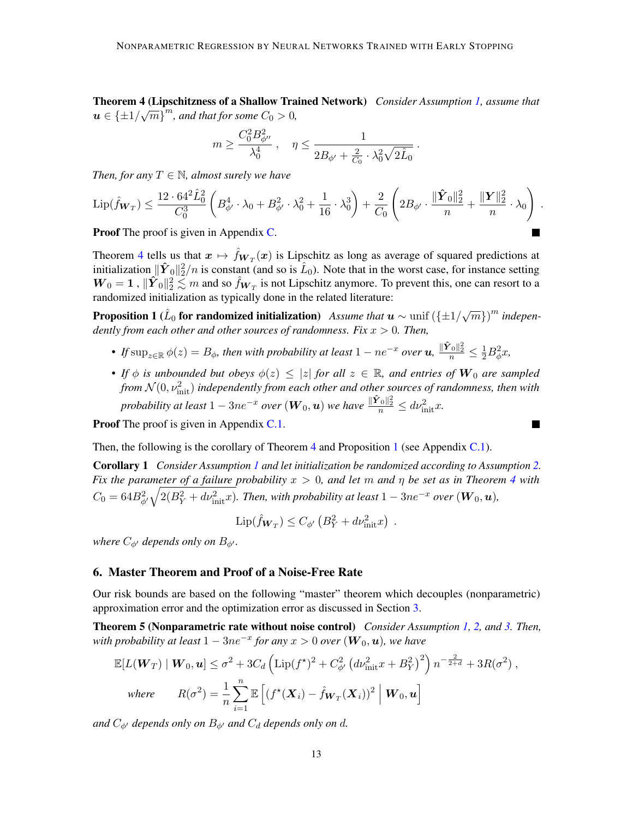Theorem 4 (Lipschitzness of a Shallow Trained Network) *Consider Assumption [1,](#page-9-0) assume that* **1** Heorem 4 (Eipschitzness of a shanow 11 a<br> $u \in \{\pm 1/\sqrt{m}\}^m$ , and that for some  $C_0 > 0$ ,

$$
m \geq \frac{C_0^2 B_{\phi''}^2}{\lambda_0^4} \; , \quad \eta \leq \frac{1}{2 B_{\phi'} + \frac{2}{C_0} \cdot \lambda_0^2 \sqrt{2 \hat{L}_0}} \; .
$$

*Then, for any*  $T \in \mathbb{N}$ *, almost surely we have* 

$$
\mathrm{Lip}(\hat{f}_{\mathbf{W}_T}) \leq \frac{12 \cdot 64^2 \hat{L}_0^2}{C_0^3} \left( B_{\phi'}^4 \cdot \lambda_0 + B_{\phi'}^2 \cdot \lambda_0^2 + \frac{1}{16} \cdot \lambda_0^3 \right) + \frac{2}{C_0} \left( 2B_{\phi'} \cdot \frac{\|\hat{\mathbf{Y}}_0\|_2^2}{n} + \frac{\|\mathbf{Y}\|_2^2}{n} \cdot \lambda_0 \right) .
$$

<span id="page-12-2"></span>L.

<span id="page-12-1"></span> $\overline{\phantom{a}}$ 

Proof The proof is given in Appendix [C.](#page-31-0)

Theorem [4](#page-11-2) tells us that  $x \mapsto \hat{f}_{\mathbf{W}_T}(x)$  is Lipschitz as long as average of squared predictions at initialization  $\|\hat{Y}_0\|_2^2/n$  is constant (and so is  $\hat{L}_0$ ). Note that in the worst case, for instance setting  $W_0 = 1$ ,  $\|\hat{Y}_0\|_2^2 \lesssim m$  and so  $\hat{f}_{W_T}$  is not Lipschitz anymore. To prevent this, one can resort to a randomized initialization as typically done in the related literature:

**Proposition 1** ( $\hat{L}_0$  for randomized initialization) Assume that  $\boldsymbol{u} \sim \text{unif}(\{\pm 1/\sqrt{m}\})^m$  indepen*dently from each other and other sources of randomness. Fix* x > 0*. Then,*

- If  $\sup_{z\in \mathbb R} \phi(z)=B_\phi$ , then with probability at least  $1-ne^{-x}$  over  $u$ ,  $\frac{\|\hat{\mathbf{Y}}_0\|_2^2}{n}\leq \frac{1}{2}B_\phi^2x$ ,
- *If*  $\phi$  *is unbounded but obeys*  $\phi(z) \leq |z|$  *for all*  $z \in \mathbb{R}$ *, and entries of*  $W_0$  *are sampled* from  $\mathcal{N}(0,\nu_{\text{init}}^2)$  independently from each other and other sources of randomness, then with *probability at least*  $1 - 3ne^{-x}$  *over*  $(\boldsymbol{W}_0, \boldsymbol{u})$  *we have*  $\frac{\| \hat{\boldsymbol{Y}}_0 \|_2^2}{n} \le d \nu_{\mathrm{init}}^2 x$ .

Proof The proof is given in Appendix [C.1.](#page-32-0)

Then, the following is the corollary of Theorem [4](#page-11-2) and Proposition [1](#page-12-2) (see Appendix [C.1\)](#page-32-0).

Corollary 1 *Consider Assumption [1](#page-9-0) and let initialization be randomized according to Assumption [2.](#page-9-3) Fix the parameter of a failure probability*  $x > 0$ , and let m and  $\eta$  be set as in Theorem [4](#page-11-2) with  $C_0=64B_{\phi'}^2\sqrt{2(B_Y^2+dv_{\rm init}^2x)}.$  Then, with probability at least  $1-3ne^{-x}$  over  $(\boldsymbol{W}_0,\boldsymbol{u}),$ 

<span id="page-12-3"></span>
$$
\mathrm{Lip}(\hat{f}_{\mathbf{W}_T}) \leq C_{\phi'} (B_Y^2 + d\nu_{\mathrm{init}}^2 x) .
$$

*where*  $C_{\phi}$  *depends only on*  $B_{\phi}$ *.* 

#### <span id="page-12-0"></span>6. Master Theorem and Proof of a Noise-Free Rate

Our risk bounds are based on the following "master" theorem which decouples (nonparametric) approximation error and the optimization error as discussed in Section [3.](#page-7-1)

Theorem 5 (Nonparametric rate without noise control) *Consider Assumption [1,](#page-9-0) [2,](#page-9-3) and [3.](#page-9-4) Then, with probability at least*  $1 - 3ne^{-x}$  *for any*  $x > 0$  *over*  $(\boldsymbol{W}_0, \boldsymbol{u})$ *, we have* 

$$
\mathbb{E}[L(\mathbf{W}_T) | \mathbf{W}_0, \mathbf{u}] \leq \sigma^2 + 3C_d \left( \text{Lip}(f^{\star})^2 + C_{\phi'}^2 \left( d\nu_{\text{init}}^2 x + B_Y^2 \right)^2 \right) n^{-\frac{2}{2+d}} + 3R(\sigma^2) ,
$$
  
where 
$$
R(\sigma^2) = \frac{1}{n} \sum_{i=1}^n \mathbb{E}\left[ \left( f^{\star}(\mathbf{X}_i) - \hat{f}_{\mathbf{W}_T}(\mathbf{X}_i) \right)^2 \middle| \mathbf{W}_0, \mathbf{u} \right]
$$

*and*  $C_{\phi'}$  *depends only on*  $B_{\phi'}$  *and*  $C_d$  *depends only on d.*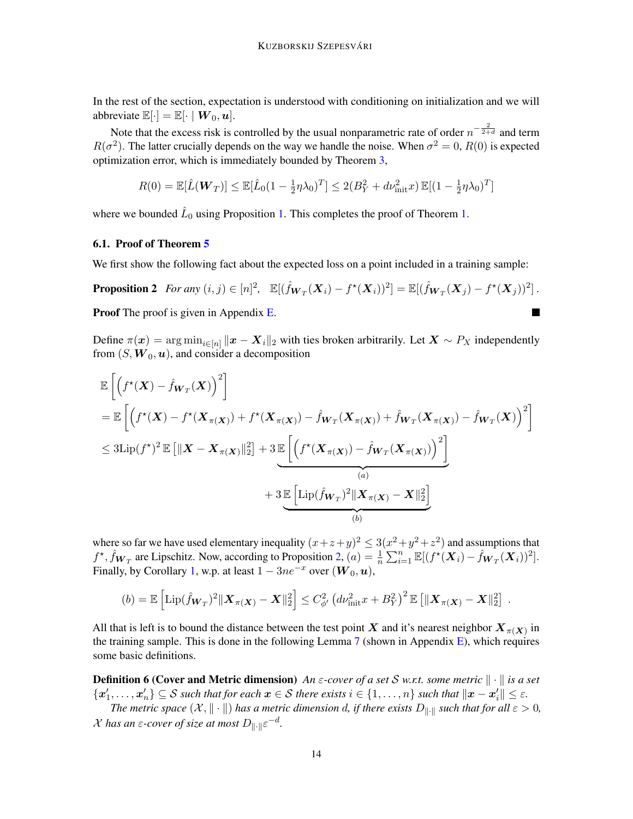In the rest of the section, expectation is understood with conditioning on initialization and we will abbreviate  $\mathbb{E}[\cdot] = \mathbb{E}[\cdot | \mathbf{W}_0, \mathbf{u}].$ 

Note that the excess risk is controlled by the usual nonparametric rate of order  $n^{-\frac{2}{2+d}}$  and term  $R(\sigma^2)$ . The latter crucially depends on the way we handle the noise. When  $\sigma^2 = 0$ ,  $R(0)$  is expected optimization error, which is immediately bounded by Theorem [3,](#page-11-1)

$$
R(0) = \mathbb{E}[\hat{L}(\boldsymbol{W}_T)] \le \mathbb{E}[\hat{L}_0(1 - \frac{1}{2}\eta\lambda_0)^T] \le 2(B_Y^2 + d\nu_{\text{init}}^2 x) \mathbb{E}[(1 - \frac{1}{2}\eta\lambda_0)^T]
$$

where we bounded  $\hat{L}_0$  using Proposition [1.](#page-9-1) This completes the proof of Theorem 1.

# 6.1. Proof of Theorem [5](#page-12-3)

We first show the following fact about the expected loss on a point included in a training sample:

**Proposition 2** For any  $(i, j) \in [n]^2$ ,  $\mathbb{E}[(\hat{f}_{\mathbf{W}_T}(\mathbf{X}_i) - f^*(\mathbf{X}_i))^2] = \mathbb{E}[(\hat{f}_{\mathbf{W}_T}(\mathbf{X}_j) - f^*(\mathbf{X}_j))^2]$ . Proof The proof is given in Appendix [E.](#page-37-0)  $\blacksquare$ 

Define  $\pi(x) = \arg \min_{i \in [n]} ||x - X_i||_2$  with ties broken arbitrarily. Let  $X \sim P_X$  independently from  $(S, \mathbf{W}_0, \mathbf{u})$ , and consider a decomposition

$$
\mathbb{E}\left[\left(f^{*}(\boldsymbol{X}) - \hat{f}_{\boldsymbol{W}_{T}}(\boldsymbol{X})\right)^{2}\right] \n= \mathbb{E}\left[\left(f^{*}(\boldsymbol{X}) - f^{*}(\boldsymbol{X}_{\pi(\boldsymbol{X})}) + f^{*}(\boldsymbol{X}_{\pi(\boldsymbol{X})}) - \hat{f}_{\boldsymbol{W}_{T}}(\boldsymbol{X}_{\pi(\boldsymbol{X})}) + \hat{f}_{\boldsymbol{W}_{T}}(\boldsymbol{X}_{\pi(\boldsymbol{X})}) - \hat{f}_{\boldsymbol{W}_{T}}(\boldsymbol{X})\right)^{2}\right] \n\leq 3 \text{Lip}(f^{*})^{2} \mathbb{E}\left[\|\boldsymbol{X} - \boldsymbol{X}_{\pi(\boldsymbol{X})}\|_{2}^{2}\right] + 3 \mathbb{E}\left[\left(f^{*}(\boldsymbol{X}_{\pi(\boldsymbol{X})}) - \hat{f}_{\boldsymbol{W}_{T}}(\boldsymbol{X}_{\pi(\boldsymbol{X})})\right)^{2}\right] \n(a) \n+ 3 \mathbb{E}\left[\text{Lip}(\hat{f}_{\boldsymbol{W}_{T}})^{2}\|\boldsymbol{X}_{\pi(\boldsymbol{X})} - \boldsymbol{X}\|_{2}^{2}\right] \n(b)
$$

where so far we have used elementary inequality  $(x+z+y)^2 \leq 3(x^2+y^2+z^2)$  and assumptions that  $f^*$ ,  $\hat{f}_{\mathbf{W}_T}$  are Lipschitz. Now, according to Proposition [2,](#page-13-1)  $(a) = \frac{1}{n} \sum_{i=1}^n \mathbb{E}[(f^*(\mathbf{X}_i) - \hat{f}_{\mathbf{W}_T}(\mathbf{X}_i))^2]$ . Finally, by Corollary [1,](#page-12-1) w.p. at least  $1 - 3ne^{-x}$  over  $(W_0, u)$ ,

$$
(b) = \mathbb{E}\left[\mathrm{Lip}(\hat{f}_{\boldsymbol{W}_T})^2 \| \boldsymbol{X}_{\pi(\boldsymbol{X})} - \boldsymbol{X}\|_2^2\right] \le C_{\phi'}^2 \left(d\nu_{\mathrm{init}}^2 x + B_Y^2\right)^2 \mathbb{E}\left[\|\boldsymbol{X}_{\pi(\boldsymbol{X})} - \boldsymbol{X}\|_2^2\right]
$$

<span id="page-13-1"></span>.

All that is left is to bound the distance between the test point X and it's nearest neighbor  $X_{\pi(X)}$  in the training sample. This is done in the following Lemma  $7$  (shown in Appendix [E\)](#page-37-0), which requires some basic definitions.

**Definition 6 (Cover and Metric dimension)** *An*  $\varepsilon$ -cover of a set S w.r.t. some metric  $\|\cdot\|$  is a set  $\{\boldsymbol{x}'_1,\ldots,\boldsymbol{x}'_n\}\subseteq\mathcal{S}$  such that for each  $\boldsymbol{x}\in\mathcal{S}$  there exists  $i\in\{1,\ldots,n\}$  such that  $\|\boldsymbol{x}-\boldsymbol{x}'_i\|\leq\varepsilon$ .

<span id="page-13-0"></span>*The metric space*  $(X, \|\cdot\|)$  *has a metric dimension d, if there exists*  $D_{\|\cdot\|}$  *such that for all*  $\varepsilon > 0$ *,*  $\mathcal X$  has an  $\varepsilon$ -cover of size at most  $D_{\|\cdot\|} \varepsilon^{-d}$ .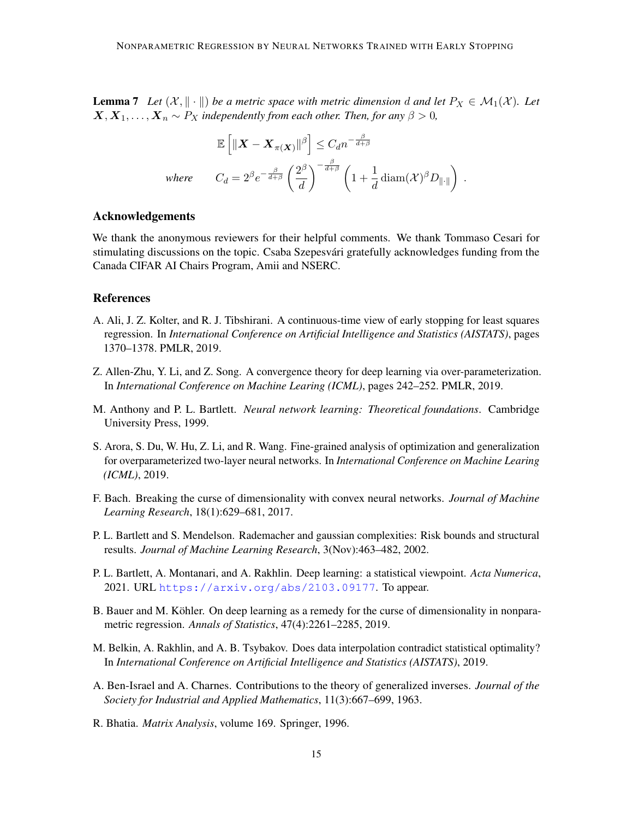**Lemma 7** Let  $(X, \|\cdot\|)$  be a metric space with metric dimension d and let  $P_X \in \mathcal{M}_1(X)$ . Let  $X, X_1, \ldots, X_n \sim P_X$  *independently from each other. Then, for any*  $\beta > 0$ *,* 

$$
\mathbb{E}\left[\|\boldsymbol{X} - \boldsymbol{X}_{\pi(\boldsymbol{X})}\|^\beta\right] \leq C_d n^{-\frac{\beta}{d+\beta}}
$$
\nwhere\n
$$
C_d = 2^\beta e^{-\frac{\beta}{d+\beta}} \left(\frac{2^\beta}{d}\right)^{-\frac{\beta}{d+\beta}} \left(1 + \frac{1}{d} \operatorname{diam}(\mathcal{X})^\beta D_{\|\cdot\|}\right).
$$

#### Acknowledgements

We thank the anonymous reviewers for their helpful comments. We thank Tommaso Cesari for stimulating discussions on the topic. Csaba Szepesvari gratefully acknowledges funding from the ´ Canada CIFAR AI Chairs Program, Amii and NSERC.

# **References**

- <span id="page-14-7"></span>A. Ali, J. Z. Kolter, and R. J. Tibshirani. A continuous-time view of early stopping for least squares regression. In *International Conference on Artificial Intelligence and Statistics (AISTATS)*, pages 1370–1378. PMLR, 2019.
- <span id="page-14-2"></span>Z. Allen-Zhu, Y. Li, and Z. Song. A convergence theory for deep learning via over-parameterization. In *International Conference on Machine Learing (ICML)*, pages 242–252. PMLR, 2019.
- <span id="page-14-0"></span>M. Anthony and P. L. Bartlett. *Neural network learning: Theoretical foundations*. Cambridge University Press, 1999.
- <span id="page-14-4"></span>S. Arora, S. Du, W. Hu, Z. Li, and R. Wang. Fine-grained analysis of optimization and generalization for overparameterized two-layer neural networks. In *International Conference on Machine Learing (ICML)*, 2019.
- <span id="page-14-6"></span>F. Bach. Breaking the curse of dimensionality with convex neural networks. *Journal of Machine Learning Research*, 18(1):629–681, 2017.
- <span id="page-14-1"></span>P. L. Bartlett and S. Mendelson. Rademacher and gaussian complexities: Risk bounds and structural results. *Journal of Machine Learning Research*, 3(Nov):463–482, 2002.
- <span id="page-14-3"></span>P. L. Bartlett, A. Montanari, and A. Rakhlin. Deep learning: a statistical viewpoint. *Acta Numerica*, 2021. URL <https://arxiv.org/abs/2103.09177>. To appear.
- <span id="page-14-8"></span>B. Bauer and M. Köhler. On deep learning as a remedy for the curse of dimensionality in nonparametric regression. *Annals of Statistics*, 47(4):2261–2285, 2019.
- <span id="page-14-5"></span>M. Belkin, A. Rakhlin, and A. B. Tsybakov. Does data interpolation contradict statistical optimality? In *International Conference on Artificial Intelligence and Statistics (AISTATS)*, 2019.
- <span id="page-14-10"></span>A. Ben-Israel and A. Charnes. Contributions to the theory of generalized inverses. *Journal of the Society for Industrial and Applied Mathematics*, 11(3):667–699, 1963.
- <span id="page-14-9"></span>R. Bhatia. *Matrix Analysis*, volume 169. Springer, 1996.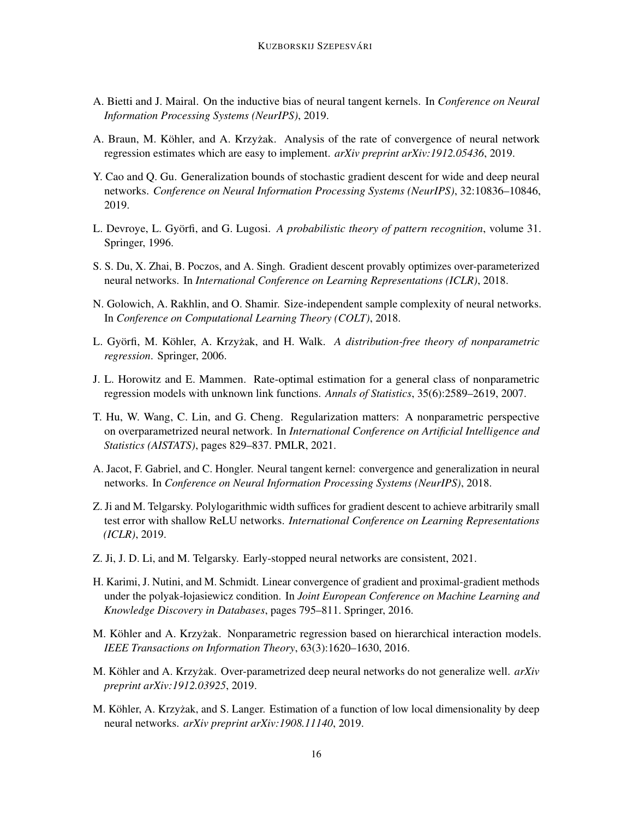- <span id="page-15-9"></span>A. Bietti and J. Mairal. On the inductive bias of neural tangent kernels. In *Conference on Neural Information Processing Systems (NeurIPS)*, 2019.
- <span id="page-15-13"></span>A. Braun, M. Köhler, and A. Krzyżak. Analysis of the rate of convergence of neural network regression estimates which are easy to implement. *arXiv preprint arXiv:1912.05436*, 2019.
- <span id="page-15-4"></span>Y. Cao and Q. Gu. Generalization bounds of stochastic gradient descent for wide and deep neural networks. *Conference on Neural Information Processing Systems (NeurIPS)*, 32:10836–10846, 2019.
- <span id="page-15-8"></span>L. Devroye, L. Györfi, and G. Lugosi. A *probabilistic theory of pattern recognition*, volume 31. Springer, 1996.
- <span id="page-15-2"></span>S. S. Du, X. Zhai, B. Poczos, and A. Singh. Gradient descent provably optimizes over-parameterized neural networks. In *International Conference on Learning Representations (ICLR)*, 2018.
- <span id="page-15-1"></span>N. Golowich, A. Rakhlin, and O. Shamir. Size-independent sample complexity of neural networks. In *Conference on Computational Learning Theory (COLT)*, 2018.
- <span id="page-15-7"></span>L. Györfi, M. Köhler, A. Krzyżak, and H. Walk. A distribution-free theory of nonparametric *regression*. Springer, 2006.
- <span id="page-15-10"></span>J. L. Horowitz and E. Mammen. Rate-optimal estimation for a general class of nonparametric regression models with unknown link functions. *Annals of Statistics*, 35(6):2589–2619, 2007.
- <span id="page-15-0"></span>T. Hu, W. Wang, C. Lin, and G. Cheng. Regularization matters: A nonparametric perspective on overparametrized neural network. In *International Conference on Artificial Intelligence and Statistics (AISTATS)*, pages 829–837. PMLR, 2021.
- <span id="page-15-3"></span>A. Jacot, F. Gabriel, and C. Hongler. Neural tangent kernel: convergence and generalization in neural networks. In *Conference on Neural Information Processing Systems (NeurIPS)*, 2018.
- <span id="page-15-5"></span>Z. Ji and M. Telgarsky. Polylogarithmic width suffices for gradient descent to achieve arbitrarily small test error with shallow ReLU networks. *International Conference on Learning Representations (ICLR)*, 2019.
- <span id="page-15-12"></span>Z. Ji, J. D. Li, and M. Telgarsky. Early-stopped neural networks are consistent, 2021.
- <span id="page-15-15"></span>H. Karimi, J. Nutini, and M. Schmidt. Linear convergence of gradient and proximal-gradient methods under the polyak-łojasiewicz condition. In *Joint European Conference on Machine Learning and Knowledge Discovery in Databases*, pages 795–811. Springer, 2016.
- <span id="page-15-11"></span>M. Köhler and A. Krzyżak. Nonparametric regression based on hierarchical interaction models. *IEEE Transactions on Information Theory*, 63(3):1620–1630, 2016.
- <span id="page-15-6"></span>M. Köhler and A. Krzyżak. Over-parametrized deep neural networks do not generalize well. *arXiv preprint arXiv:1912.03925*, 2019.
- <span id="page-15-14"></span>M. Köhler, A. Krzyżak, and S. Langer. Estimation of a function of low local dimensionality by deep neural networks. *arXiv preprint arXiv:1908.11140*, 2019.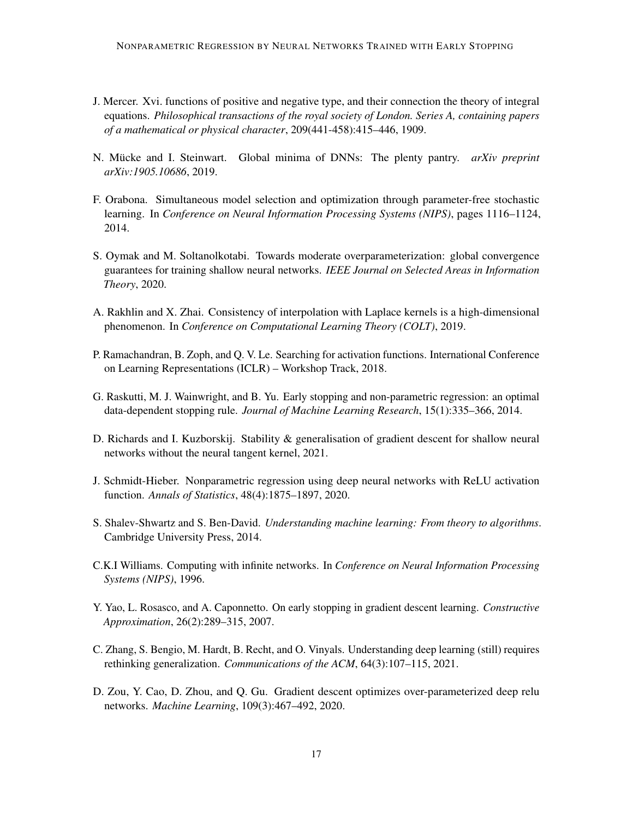- <span id="page-16-10"></span>J. Mercer. Xvi. functions of positive and negative type, and their connection the theory of integral equations. *Philosophical transactions of the royal society of London. Series A, containing papers of a mathematical or physical character*, 209(441-458):415–446, 1909.
- <span id="page-16-5"></span>N. Mücke and I. Steinwart. Global minima of DNNs: The plenty pantry. *arXiv preprint arXiv:1905.10686*, 2019.
- <span id="page-16-12"></span>F. Orabona. Simultaneous model selection and optimization through parameter-free stochastic learning. In *Conference on Neural Information Processing Systems (NIPS)*, pages 1116–1124, 2014.
- <span id="page-16-2"></span>S. Oymak and M. Soltanolkotabi. Towards moderate overparameterization: global convergence guarantees for training shallow neural networks. *IEEE Journal on Selected Areas in Information Theory*, 2020.
- <span id="page-16-4"></span>A. Rakhlin and X. Zhai. Consistency of interpolation with Laplace kernels is a high-dimensional phenomenon. In *Conference on Computational Learning Theory (COLT)*, 2019.
- <span id="page-16-7"></span>P. Ramachandran, B. Zoph, and Q. V. Le. Searching for activation functions. International Conference on Learning Representations (ICLR) – Workshop Track, 2018.
- <span id="page-16-6"></span>G. Raskutti, M. J. Wainwright, and B. Yu. Early stopping and non-parametric regression: an optimal data-dependent stopping rule. *Journal of Machine Learning Research*, 15(1):335–366, 2014.
- <span id="page-16-9"></span>D. Richards and I. Kuzborskij. Stability & generalisation of gradient descent for shallow neural networks without the neural tangent kernel, 2021.
- <span id="page-16-8"></span>J. Schmidt-Hieber. Nonparametric regression using deep neural networks with ReLU activation function. *Annals of Statistics*, 48(4):1875–1897, 2020.
- <span id="page-16-13"></span>S. Shalev-Shwartz and S. Ben-David. *Understanding machine learning: From theory to algorithms*. Cambridge University Press, 2014.
- <span id="page-16-11"></span>C.K.I Williams. Computing with infinite networks. In *Conference on Neural Information Processing Systems (NIPS)*, 1996.
- <span id="page-16-0"></span>Y. Yao, L. Rosasco, and A. Caponnetto. On early stopping in gradient descent learning. *Constructive Approximation*, 26(2):289–315, 2007.
- <span id="page-16-3"></span>C. Zhang, S. Bengio, M. Hardt, B. Recht, and O. Vinyals. Understanding deep learning (still) requires rethinking generalization. *Communications of the ACM*, 64(3):107–115, 2021.
- <span id="page-16-1"></span>D. Zou, Y. Cao, D. Zhou, and Q. Gu. Gradient descent optimizes over-parameterized deep relu networks. *Machine Learning*, 109(3):467–492, 2020.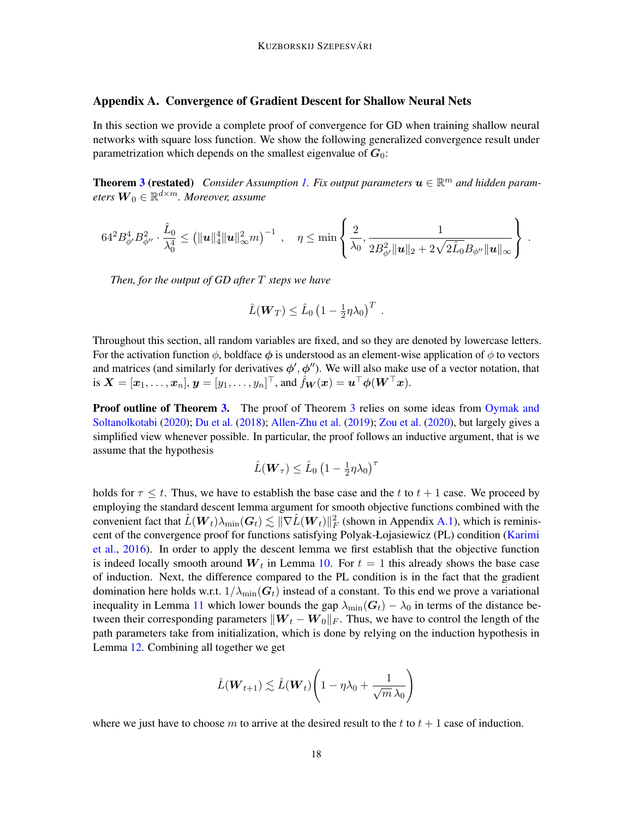# <span id="page-17-0"></span>Appendix A. Convergence of Gradient Descent for Shallow Neural Nets

In this section we provide a complete proof of convergence for GD when training shallow neural networks with square loss function. We show the following generalized convergence result under parametrization which depends on the smallest eigenvalue of  $G_0$ :

**Theorem [3](#page-11-1) (restated)** Consider Assumption [1.](#page-9-0) Fix output parameters  $u \in \mathbb{R}^m$  and hidden param*eters* W<sup>0</sup> ∈ R <sup>d</sup>×m*. Moreover, assume*

$$
64^{2} B_{\phi'}^{4} B_{\phi''}^{2} \cdot \frac{\hat{L}_0}{\lambda_0^4} \leq \left( \|\boldsymbol{u}\|_4^4 \|\boldsymbol{u}\|_\infty^2 m \right)^{-1} \;,\quad \eta \leq \min\left\{\frac{2}{\lambda_0}, \frac{1}{2 B_{\phi'}^2 \|\boldsymbol{u}\|_2 + 2\sqrt{2} \hat{L}_0} B_{\phi''} \|\boldsymbol{u}\|_\infty \right\}
$$

.

*Then, for the output of GD after* T *steps we have*

$$
\hat{L}(\boldsymbol{W}_T) \leq \hat{L}_0 \left(1 - \frac{1}{2} \eta \lambda_0\right)^T.
$$

Throughout this section, all random variables are fixed, and so they are denoted by lowercase letters. For the activation function  $\phi$ , boldface  $\phi$  is understood as an element-wise application of  $\phi$  to vectors and matrices (and similarly for derivatives  $\phi', \phi''$ ). We will also make use of a vector notation, that is  $\boldsymbol{X} = [\boldsymbol{x}_1, \dots, \boldsymbol{x}_n], \boldsymbol{y} = [y_1, \dots, y_n]^\top,$  and  $\hat{f}_{\boldsymbol{W}}(\boldsymbol{x}) = \boldsymbol{u}^\top \boldsymbol{\phi}(\boldsymbol{W}^\top \boldsymbol{x}).$ 

**Proof outline of Theorem [3.](#page-11-1)** The proof of Theorem [3](#page-11-1) relies on some ideas from [Oymak and](#page-16-2) [Soltanolkotabi](#page-16-2) [\(2020\)](#page-16-2); [Du et al.](#page-15-2) [\(2018\)](#page-15-2); [Allen-Zhu et al.](#page-14-2) [\(2019\)](#page-14-2); [Zou et al.](#page-16-1) [\(2020\)](#page-16-1), but largely gives a simplified view whenever possible. In particular, the proof follows an inductive argument, that is we assume that the hypothesis

$$
\hat{L}(\boldsymbol{W}_{\tau}) \leq \hat{L}_0 \left(1 - \frac{1}{2} \eta \lambda_0\right)^{\tau}
$$

holds for  $\tau \leq t$ . Thus, we have to establish the base case and the t to  $t + 1$  case. We proceed by employing the standard descent lemma argument for smooth objective functions combined with the convenient fact that  $\hat{L}(\bm{W}_t)\lambda_{\min}(\bm{G}_t)\lesssim \|\nabla \hat{L}(\bm{W}_t)\|_F^2$  (shown in Appendix [A.1\)](#page-18-0), which is reminis-cent of the convergence proof for functions satisfying Polyak-Łojasiewicz (PL) condition [\(Karimi](#page-15-15) [et al.,](#page-15-15) [2016\)](#page-15-15). In order to apply the descent lemma we first establish that the objective function is indeed locally smooth around  $W_t$  in Lemma [10.](#page-19-0) For  $t = 1$  this already shows the base case of induction. Next, the difference compared to the PL condition is in the fact that the gradient domination here holds w.r.t.  $1/\lambda_{\min}(G_t)$  instead of a constant. To this end we prove a variational inequality in Lemma [11](#page-20-0) which lower bounds the gap  $\lambda_{\min}(\mathbf{G}_t) - \lambda_0$  in terms of the distance between their corresponding parameters  $\|\boldsymbol{W}_t - \boldsymbol{W}_0\|_F$ . Thus, we have to control the length of the path parameters take from initialization, which is done by relying on the induction hypothesis in Lemma [12.](#page-21-0) Combining all together we get

$$
\hat{L}(\boldsymbol{W}_{t+1}) \lesssim \hat{L}(\boldsymbol{W}_{t}) \left(1 - \eta \lambda_0 + \frac{1}{\sqrt{m} \lambda_0}\right)
$$

where we just have to choose m to arrive at the desired result to the t to  $t + 1$  case of induction.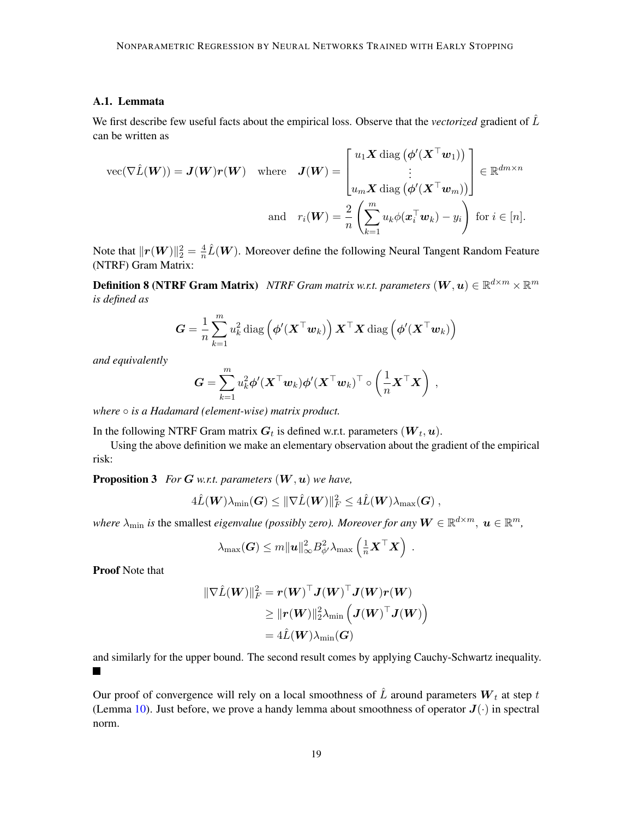# <span id="page-18-0"></span>A.1. Lemmata

We first describe few useful facts about the empirical loss. Observe that the *vectorized* gradient of  $\hat{L}$ can be written as

$$
\text{vec}(\nabla \hat{L}(\boldsymbol{W})) = \boldsymbol{J}(\boldsymbol{W}) \boldsymbol{r}(\boldsymbol{W}) \quad \text{where} \quad \boldsymbol{J}(\boldsymbol{W}) = \begin{bmatrix} u_1 \boldsymbol{X} \, \text{diag}\left(\boldsymbol{\phi}'(\boldsymbol{X}^\top \boldsymbol{w}_1)\right) \\ \vdots \\ u_m \boldsymbol{X} \, \text{diag}\left(\boldsymbol{\phi}'(\boldsymbol{X}^\top \boldsymbol{w}_m)\right) \end{bmatrix} \in \mathbb{R}^{dm \times n}
$$
\n
$$
\text{and} \quad r_i(\boldsymbol{W}) = \frac{2}{n} \left( \sum_{k=1}^m u_k \phi(\boldsymbol{x}_i^\top \boldsymbol{w}_k) - y_i \right) \text{ for } i \in [n].
$$

Note that  $\|\boldsymbol{r}(\boldsymbol{W})\|_2^2 = \frac{4}{n}$  $\frac{4}{n}\hat{L}(\boldsymbol{W})$ . Moreover define the following Neural Tangent Random Feature (NTRF) Gram Matrix:

**Definition 8 (NTRF Gram Matrix)** *NTRF Gram matrix w.r.t. parameters*  $(W, u) \in \mathbb{R}^{d \times m} \times \mathbb{R}^m$ *is defined as*

<span id="page-18-3"></span>
$$
\boldsymbol{G} = \frac{1}{n} \sum_{k=1}^{m} u_k^2 \operatorname{diag}\left(\boldsymbol{\phi}'(\boldsymbol{X}^\top \boldsymbol{w}_k)\right) \boldsymbol{X}^\top \boldsymbol{X} \operatorname{diag}\left(\boldsymbol{\phi}'(\boldsymbol{X}^\top \boldsymbol{w}_k)\right)
$$

*and equivalently*

$$
\boldsymbol{G} = \sum_{k=1}^m u_k^2 \boldsymbol{\phi}'(\boldsymbol{X}^\top \boldsymbol{w}_k) \boldsymbol{\phi}'(\boldsymbol{X}^\top \boldsymbol{w}_k)^\top \circ \left(\frac{1}{n} \boldsymbol{X}^\top \boldsymbol{X}\right) ,
$$

*where* ○ *is a Hadamard (element-wise) matrix product.* 

In the following NTRF Gram matrix  $\boldsymbol{G}_t$  is defined w.r.t. parameters  $(\boldsymbol{W}_t, \boldsymbol{u})$ .

<span id="page-18-1"></span>Using the above definition we make an elementary observation about the gradient of the empirical risk:

Proposition 3 *For* G *w.r.t. parameters* (W,u) *we have,*

$$
4\hat{L}(\boldsymbol{W})\lambda_{\min}(\boldsymbol{G}) \leq \|\nabla \hat{L}(\boldsymbol{W})\|_F^2 \leq 4\hat{L}(\boldsymbol{W})\lambda_{\max}(\boldsymbol{G})\,,
$$

where  $\lambda_{\min}$  is the smallest *eigenvalue (possibly zero). Moreover for any*  $\bm{W} \in \mathbb{R}^{d \times m}$ ,  $\bm{u} \in \mathbb{R}^m$ ,

$$
\lambda_{\max}(\boldsymbol{G}) \leq m \|\boldsymbol{u}\|_{\infty}^2 B_{\phi'}^2 \lambda_{\max} \left(\frac{1}{n} \boldsymbol{X}^\top \boldsymbol{X}\right) .
$$

Proof Note that

$$
\begin{aligned} \|\nabla \hat{L}(\boldsymbol{W})\|_F^2 &= \boldsymbol{r}(\boldsymbol{W})^\top \boldsymbol{J}(\boldsymbol{W})^\top \boldsymbol{J}(\boldsymbol{W}) \boldsymbol{r}(\boldsymbol{W}) \\ &\geq \| \boldsymbol{r}(\boldsymbol{W})\|_2^2 \lambda_{\min} \left( \boldsymbol{J}(\boldsymbol{W})^\top \boldsymbol{J}(\boldsymbol{W}) \right) \\ &= 4 \hat{L}(\boldsymbol{W}) \lambda_{\min}(\boldsymbol{G}) \end{aligned}
$$

and similarly for the upper bound. The second result comes by applying Cauchy-Schwartz inequality.  $\blacksquare$ 

<span id="page-18-2"></span>Our proof of convergence will rely on a local smoothness of  $\hat{L}$  around parameters  $W_t$  at step t (Lemma [10\)](#page-19-0). Just before, we prove a handy lemma about smoothness of operator  $J(\cdot)$  in spectral norm.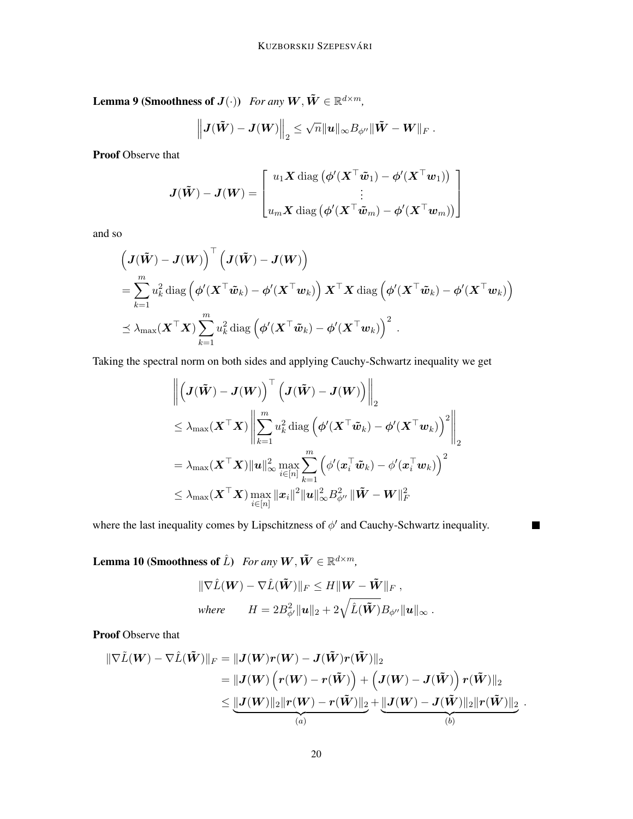**Lemma 9 (Smoothness of**  $J(\cdot)$ **)** For any  $\tilde{W}, \tilde{W} \in \mathbb{R}^{d \times m}$ ,

$$
\left\| \bm{J}(\tilde{\bm{W}}) - \bm{J}(\bm{W}) \right\|_2 \leq \sqrt{n} \|\bm{u}\|_\infty B_{\phi''} \|\tilde{\bm{W}} - \bm{W}\|_F~.
$$

Proof Observe that

$$
\boldsymbol{J}(\tilde{\boldsymbol{W}}) - \boldsymbol{J}(\boldsymbol{W}) = \begin{bmatrix} u_1 \boldsymbol{X} \operatorname{diag} (\boldsymbol{\phi}'(\boldsymbol{X}^\top \tilde{\boldsymbol{w}}_1) - \boldsymbol{\phi}'(\boldsymbol{X}^\top \boldsymbol{w}_1)) \\ \vdots \\ u_m \boldsymbol{X} \operatorname{diag} (\boldsymbol{\phi}'(\boldsymbol{X}^\top \tilde{\boldsymbol{w}}_m) - \boldsymbol{\phi}'(\boldsymbol{X}^\top \boldsymbol{w}_m)) \end{bmatrix}
$$

and so

$$
\left(\boldsymbol{J}(\tilde{\boldsymbol{W}}) - \boldsymbol{J}(\boldsymbol{W})\right)^{\top} \left(\boldsymbol{J}(\tilde{\boldsymbol{W}}) - \boldsymbol{J}(\boldsymbol{W})\right)
$$
\n
$$
= \sum_{k=1}^{m} u_k^2 \operatorname{diag}\left(\boldsymbol{\phi}'(\boldsymbol{X}^{\top}\tilde{\boldsymbol{w}}_k) - \boldsymbol{\phi}'(\boldsymbol{X}^{\top}\boldsymbol{w}_k)\right) \boldsymbol{X}^{\top}\boldsymbol{X} \operatorname{diag}\left(\boldsymbol{\phi}'(\boldsymbol{X}^{\top}\tilde{\boldsymbol{w}}_k) - \boldsymbol{\phi}'(\boldsymbol{X}^{\top}\boldsymbol{w}_k)\right)
$$
\n
$$
\preceq \lambda_{\max}(\boldsymbol{X}^{\top}\boldsymbol{X}) \sum_{k=1}^{m} u_k^2 \operatorname{diag}\left(\boldsymbol{\phi}'(\boldsymbol{X}^{\top}\tilde{\boldsymbol{w}}_k) - \boldsymbol{\phi}'(\boldsymbol{X}^{\top}\boldsymbol{w}_k)\right)^2.
$$

Taking the spectral norm on both sides and applying Cauchy-Schwartz inequality we get

$$
\begin{aligned} & \left\| \left(\boldsymbol{J}(\tilde{\boldsymbol{W}}) - \boldsymbol{J}(\boldsymbol{W})\right)^\top \left(\boldsymbol{J}(\tilde{\boldsymbol{W}}) - \boldsymbol{J}(\boldsymbol{W})\right) \right\|_2 \\ & \leq \lambda_{\max}(\boldsymbol{X}^\top \boldsymbol{X}) \left\| \sum_{k=1}^m u_k^2 \operatorname{diag}\left(\boldsymbol{\phi}'(\boldsymbol{X}^\top \tilde{\boldsymbol{w}}_k) - \boldsymbol{\phi}'(\boldsymbol{X}^\top \boldsymbol{w}_k)\right)^2 \right\|_2 \\ & = \lambda_{\max}(\boldsymbol{X}^\top \boldsymbol{X}) \|\boldsymbol{u}\|_{\infty}^2 \max_{i \in [n]} \sum_{k=1}^m \left(\phi'(\boldsymbol{x}_i^\top \tilde{\boldsymbol{w}}_k) - \phi'(\boldsymbol{x}_i^\top \boldsymbol{w}_k)\right)^2 \\ & \leq \lambda_{\max}(\boldsymbol{X}^\top \boldsymbol{X}) \max_{i \in [n]} \| \boldsymbol{x}_i \|^2 \|\boldsymbol{u}\|_{\infty}^2 B_{\phi''}^2 \left\| \tilde{\boldsymbol{W}} - \boldsymbol{W} \right\|_F^2 \end{aligned}
$$

 $\blacksquare$ 

where the last inequality comes by Lipschitzness of  $\phi'$  and Cauchy-Schwartz inequality.

<span id="page-19-0"></span>Lemma 10 (Smoothness of  $\hat{L}$ ) *For any*  $\tilde{W} \in \mathbb{R}^{d \times m}$ ,

$$
\begin{aligned}\n\|\nabla \hat{L}(\mathbf{W}) - \nabla \hat{L}(\tilde{\mathbf{W}})\|_{F} &\le H \|\mathbf{W} - \tilde{\mathbf{W}}\|_{F} \,, \\
where \qquad H &= 2B_{\phi'}^2 \|\mathbf{u}\|_{2} + 2\sqrt{\hat{L}(\tilde{\mathbf{W}})} B_{\phi''} \|\mathbf{u}\|_{\infty} \,.\n\end{aligned}
$$

Proof Observe that

$$
\begin{aligned}\|\nabla \tilde{L}(\boldsymbol{W})-\nabla \hat{L}(\tilde{\boldsymbol{W}})\|_{F} &= \|\boldsymbol{J}(\boldsymbol{W})\boldsymbol{r}(\boldsymbol{W})-\boldsymbol{J}(\tilde{\boldsymbol{W}})\boldsymbol{r}(\tilde{\boldsymbol{W}})\|_{2}\\ &= \|\boldsymbol{J}(\boldsymbol{W})\left(\boldsymbol{r}(\boldsymbol{W})-\boldsymbol{r}(\tilde{\boldsymbol{W}})\right)+\left(\boldsymbol{J}(\boldsymbol{W})-\boldsymbol{J}(\tilde{\boldsymbol{W}})\right)\boldsymbol{r}(\tilde{\boldsymbol{W}})\|_{2}\\ &\leq \underbrace{\|\boldsymbol{J}(\boldsymbol{W})\|_{2}\|\boldsymbol{r}(\boldsymbol{W})-\boldsymbol{r}(\tilde{\boldsymbol{W}})\|_{2}}_{(a)}+\underbrace{\|\boldsymbol{J}(\boldsymbol{W})-\boldsymbol{J}(\tilde{\boldsymbol{W}})\|_{2}\|\boldsymbol{r}(\tilde{\boldsymbol{W}})\|_{2}}_{(b)}\ .\end{aligned}
$$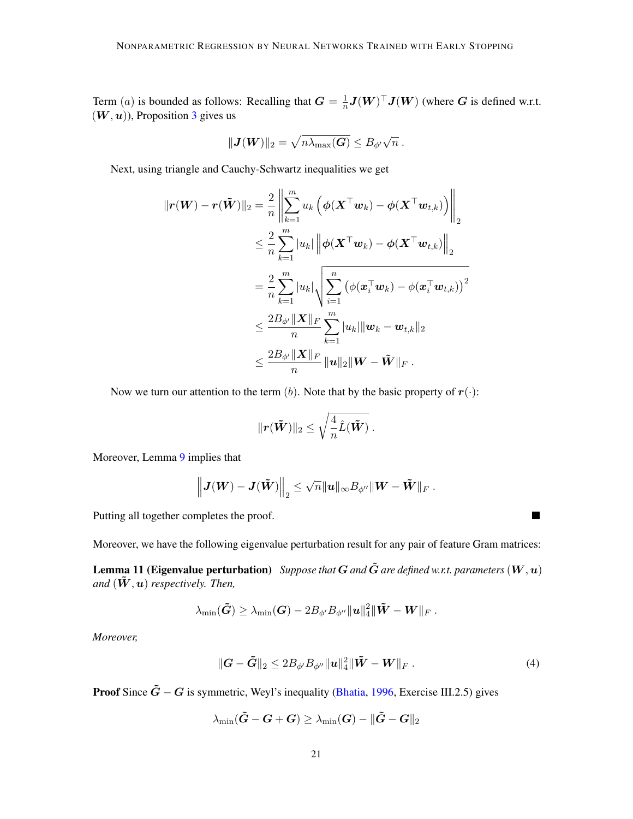Term (*a*) is bounded as follows: Recalling that  $G = \frac{1}{n}$  $\frac{1}{n}$  $J(W)^\top J(W)$  (where G is defined w.r.t.  $(W, u)$ ), Proposition [3](#page-18-1) gives us

$$
\|\mathbf{J}(\mathbf{W})\|_2 = \sqrt{n\lambda_{\max}(\mathbf{G})} \leq B_{\phi'}\sqrt{n} \,.
$$

Next, using triangle and Cauchy-Schwartz inequalities we get

$$
\begin{aligned}\n\|\boldsymbol{r}(\boldsymbol{W}) - \boldsymbol{r}(\tilde{\boldsymbol{W}})\|_{2} &= \frac{2}{n} \left\| \sum_{k=1}^{m} u_{k} \left( \phi(\boldsymbol{X}^{\top} \boldsymbol{w}_{k}) - \phi(\boldsymbol{X}^{\top} \boldsymbol{w}_{t,k}) \right) \right\|_{2} \\
&\leq \frac{2}{n} \sum_{k=1}^{m} |u_{k}| \left\| \phi(\boldsymbol{X}^{\top} \boldsymbol{w}_{k}) - \phi(\boldsymbol{X}^{\top} \boldsymbol{w}_{t,k}) \right\|_{2} \\
&= \frac{2}{n} \sum_{k=1}^{m} |u_{k}| \sqrt{\sum_{i=1}^{n} \left( \phi(\boldsymbol{x}_{i}^{\top} \boldsymbol{w}_{k}) - \phi(\boldsymbol{x}_{i}^{\top} \boldsymbol{w}_{t,k}) \right)^{2}} \\
&\leq \frac{2B_{\phi'} \|\boldsymbol{X}\|_{F}}{n} \sum_{k=1}^{m} |u_{k}| \|\boldsymbol{w}_{k} - \boldsymbol{w}_{t,k}\|_{2} \\
&\leq \frac{2B_{\phi'} \|\boldsymbol{X}\|_{F}}{n} \|\boldsymbol{u}\|_{2} \|\boldsymbol{W} - \tilde{\boldsymbol{W}}\|_{F} \,.\n\end{aligned}
$$

Now we turn our attention to the term  $(b)$ . Note that by the basic property of  $r(\cdot)$ :

$$
\|\boldsymbol{r}(\boldsymbol{\tilde{W}})\|_2 \leq \sqrt{\frac{4}{n}\hat{L}(\boldsymbol{\tilde{W}})}.
$$

Moreover, Lemma [9](#page-18-2) implies that

$$
\left\| \bm{J}(\bm{W})-\bm{J}(\tilde{\bm{W}}) \right\|_2 \leq \sqrt{n} \|\bm{u}\|_\infty B_{\phi''} \|\bm{W}-\tilde{\bm{W}}\|_F~.
$$

Putting all together completes the proof.

Moreover, we have the following eigenvalue perturbation result for any pair of feature Gram matrices:

**Lemma 11 (Eigenvalue perturbation)** Suppose that  $G$  and  $\tilde{G}$  are defined w.r.t. parameters  $(W, u)$ *and*  $(\tilde{W}, u)$  *respectively. Then,* 

$$
\lambda_{\min}(\tilde{\bm G}) \geq \lambda_{\min}(\bm G) - 2 B_{\phi'} B_{\phi''} \|\bm u\|_4^2 \|\tilde{\bm W} - \bm W\|_F~.
$$

*Moreover,*

$$
\|\boldsymbol{G}-\tilde{\boldsymbol{G}}\|_2 \leq 2B_{\phi'}B_{\phi''}\|\boldsymbol{u}\|_4^2 \|\tilde{\boldsymbol{W}}-\boldsymbol{W}\|_F.
$$
 (4)

<span id="page-20-1"></span><span id="page-20-0"></span>П

**Proof** Since  $\tilde{G}$  − G is symmetric, Weyl's inequality [\(Bhatia,](#page-14-9) [1996,](#page-14-9) Exercise III.2.5) gives

$$
\lambda_{\min}(\tilde{\boldsymbol{G}}-\boldsymbol{G}+\boldsymbol{G})\geq\lambda_{\min}(\boldsymbol{G})-\|\tilde{\boldsymbol{G}}-\boldsymbol{G}\|_2
$$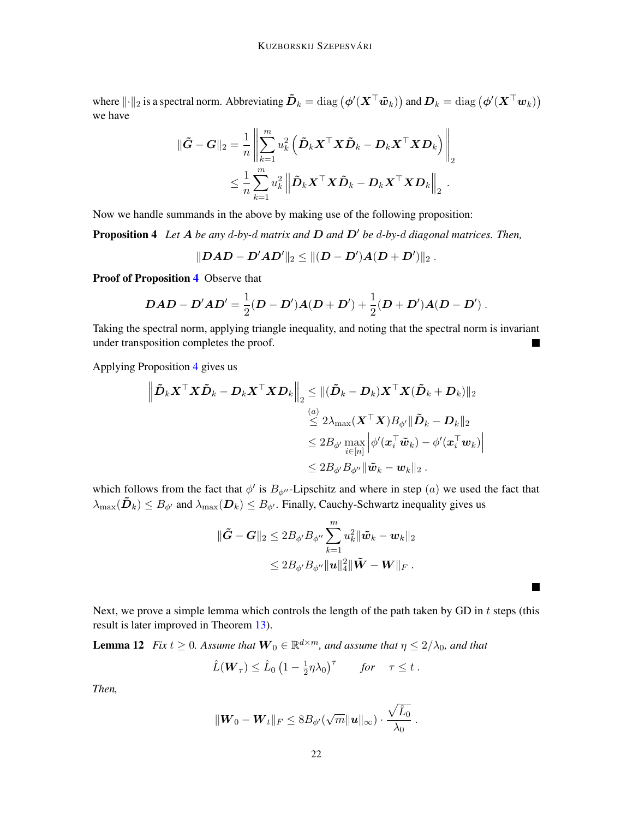where  $\|\cdot\|_2$  is a spectral norm. Abbreviating  $\tilde{\bm{D}}_k = \text{diag}(\phi'(\bm{X}^\top \tilde{\bm{w}}_k))$  and  $\bm{D}_k = \text{diag}(\phi'(\bm{X}^\top \bm{w}_k))$ we have

$$
\begin{aligned} \|\tilde{\boldsymbol{G}}-\boldsymbol{G}\|_2 &= \frac{1}{n} \left\| \sum_{k=1}^m u_k^2 \left( \tilde{\boldsymbol{D}}_k \boldsymbol{X}^\top \boldsymbol{X} \tilde{\boldsymbol{D}}_k - \boldsymbol{D}_k \boldsymbol{X}^\top \boldsymbol{X} \boldsymbol{D}_k \right) \right\|_2 \\ & \leq \frac{1}{n} \sum_{k=1}^m u_k^2 \left\| \tilde{\boldsymbol{D}}_k \boldsymbol{X}^\top \boldsymbol{X} \tilde{\boldsymbol{D}}_k - \boldsymbol{D}_k \boldsymbol{X}^\top \boldsymbol{X} \boldsymbol{D}_k \right\|_2 \, . \end{aligned}
$$

Now we handle summands in the above by making use of the following proposition:

Proposition 4 Let A be any d-by-d matrix and D and D' be d-by-d diagonal matrices. Then,

<span id="page-21-1"></span>
$$
\|\bm{D}\bm{A}\bm{D} - \bm{D}'\bm{A}\bm{D}'\|_2 \leq \|(\bm{D} - \bm{D}')\bm{A}(\bm{D} + \bm{D}')\|_2~.
$$

Proof of Proposition [4](#page-21-1) Observe that

$$
DAD-D'AD'=\frac{1}{2}(D-D')A(D+D')+\frac{1}{2}(D+D')A(D-D')\ .
$$

Taking the spectral norm, applying triangle inequality, and noting that the spectral norm is invariant under transposition completes the proof. П

Applying Proposition [4](#page-21-1) gives us

$$
\begin{aligned} \left\| \tilde{\boldsymbol{D}}_k \boldsymbol{X}^\top \boldsymbol{X} \tilde{\boldsymbol{D}}_k - \boldsymbol{D}_k \boldsymbol{X}^\top \boldsymbol{X} \boldsymbol{D}_k \right\|_2 &\leq \| (\tilde{\boldsymbol{D}}_k - \boldsymbol{D}_k) \boldsymbol{X}^\top \boldsymbol{X} (\tilde{\boldsymbol{D}}_k + \boldsymbol{D}_k) \|_2 \\ &\overset{(a)}{\leq} 2 \lambda_{\max} (\boldsymbol{X}^\top \boldsymbol{X}) B_{\phi'} \| \tilde{\boldsymbol{D}}_k - \boldsymbol{D}_k \|_2 \\ &\leq 2 B_{\phi'} \max_{i \in [n]} \left| \phi' (\boldsymbol{x}_i^\top \tilde{\boldsymbol{w}}_k) - \phi' (\boldsymbol{x}_i^\top \boldsymbol{w}_k) \right| \\ &\leq 2 B_{\phi'} B_{\phi''} \| \tilde{\boldsymbol{w}}_k - \boldsymbol{w}_k \|_2 \ . \end{aligned}
$$

which follows from the fact that  $\phi'$  is  $B_{\phi''}$ -Lipschitz and where in step  $(a)$  we used the fact that  $\lambda_{\max}(\tilde{\bm{D}}_k) \leq B_{\phi'}$  and  $\lambda_{\max}(\bm{D}_k) \leq B_{\phi'}$ . Finally, Cauchy-Schwartz inequality gives us

$$
\begin{aligned}\n\|\tilde{\mathbf{G}} - \mathbf{G}\|_2 &\le 2B_{\phi'}B_{\phi''}\sum_{k=1}^m u_k^2 \|\tilde{\mathbf{w}}_k - \mathbf{w}_k\|_2 \\
&\le 2B_{\phi'}B_{\phi''}\|\mathbf{u}\|_4^2 \|\tilde{\mathbf{W}} - \mathbf{W}\|_F\n\end{aligned}
$$

Next, we prove a simple lemma which controls the length of the path taken by GD in  $t$  steps (this result is later improved in Theorem [13\)](#page-23-0).

 $\blacksquare$ 

**Lemma 12** Fix  $t \geq 0$ . Assume that  $\mathbf{W}_0 \in \mathbb{R}^{d \times m}$ , and assume that  $\eta \leq 2/\lambda_0$ , and that

<span id="page-21-0"></span>
$$
\hat{L}(\boldsymbol{W}_{\tau}) \leq \hat{L}_0 \left(1 - \frac{1}{2} \eta \lambda_0\right)^{\tau} \quad \text{for} \quad \tau \leq t .
$$

*Then,*

$$
\|\boldsymbol{W}_0 - \boldsymbol{W}_t\|_F \leq 8B_{\phi'}(\sqrt{m}\|\boldsymbol{u}\|_{\infty})\cdot \frac{\sqrt{\hat{L}_0}}{\lambda_0}.
$$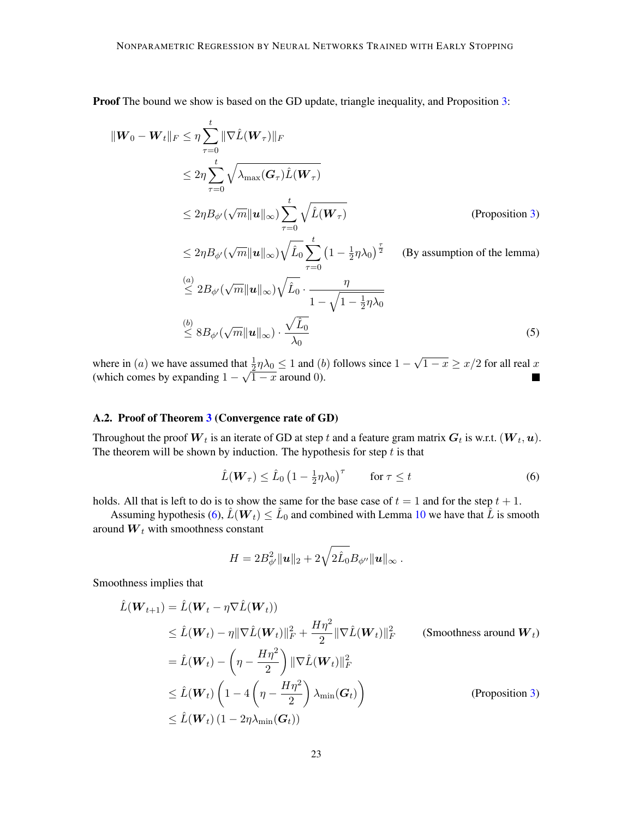Proof The bound we show is based on the GD update, triangle inequality, and Proposition [3:](#page-18-1)

$$
\|W_0 - W_t\|_F \leq \eta \sum_{\tau=0}^t \|\nabla \hat{L}(W_\tau)\|_F
$$
  
\n
$$
\leq 2\eta \sum_{\tau=0}^t \sqrt{\lambda_{\max}(G_\tau) \hat{L}(W_\tau)}
$$
  
\n
$$
\leq 2\eta B_{\phi'}(\sqrt{m} \|u\|_\infty) \sum_{\tau=0}^t \sqrt{\hat{L}(W_\tau)}
$$
 (Proposition 3)  
\n
$$
\leq 2\eta B_{\phi'}(\sqrt{m} \|u\|_\infty) \sqrt{\hat{L}_0} \sum_{\tau=0}^t (1 - \frac{1}{2}\eta \lambda_0)^{\frac{\tau}{2}}
$$
 (By assumption of the lemma)  
\n
$$
\leq 2B_{\phi'}(\sqrt{m} \|u\|_\infty) \sqrt{\hat{L}_0} \cdot \frac{\eta}{1 - \sqrt{1 - \frac{1}{2}\eta \lambda_0}}
$$
  
\n
$$
\leq 8B_{\phi'}(\sqrt{m} \|u\|_\infty) \cdot \frac{\sqrt{\hat{L}_0}}{\lambda_0}
$$
 (5)

where in (*a*) we have assumed that  $\frac{1}{2}\eta\lambda_0 \leq 1$  and (*b*) follows since  $1$ at  $\frac{1}{2}\eta\lambda_0 \leq 1$  and (b) follows since  $1 - \sqrt{1 - x} \geq x/2$  for all real  $\frac{x}{2}$ (which comes by expanding  $1 - \sqrt{1 - x}$  around 0).

# A.2. Proof of Theorem [3](#page-11-1) (Convergence rate of GD)

Throughout the proof  $\bm{W}_t$  is an iterate of GD at step  $t$  and a feature gram matrix  $\bm{G}_t$  is w.r.t.  $(\bm{W}_t, \bm{u})$ . The theorem will be shown by induction. The hypothesis for step  $t$  is that

<span id="page-22-0"></span>
$$
\hat{L}(\boldsymbol{W}_{\tau}) \leq \hat{L}_0 \left(1 - \frac{1}{2} \eta \lambda_0\right)^{\tau} \qquad \text{for } \tau \leq t \tag{6}
$$

holds. All that is left to do is to show the same for the base case of  $t = 1$  and for the step  $t + 1$ .

Assuming hypothesis [\(6\)](#page-22-0),  $\hat{L}(\bm{W}_t) \leq \hat{L}_0$  and combined with Lemma [10](#page-19-0) we have that  $\hat{\bar{L}}$  is smooth around  $W_t$  with smoothness constant

$$
H = 2B_{\phi'}^2 \|\mathbf{u}\|_2 + 2\sqrt{2\hat{L}_0}B_{\phi''}\|\mathbf{u}\|_{\infty} .
$$

Smoothness implies that

$$
\hat{L}(\boldsymbol{W}_{t+1}) = \hat{L}(\boldsymbol{W}_{t} - \eta \nabla \hat{L}(\boldsymbol{W}_{t}))
$$
\n
$$
\leq \hat{L}(\boldsymbol{W}_{t}) - \eta \|\nabla \hat{L}(\boldsymbol{W}_{t})\|_{F}^{2} + \frac{H\eta^{2}}{2} \|\nabla \hat{L}(\boldsymbol{W}_{t})\|_{F}^{2}
$$
\n(Smoothness around  $\boldsymbol{W}_{t}$ )\n
$$
= \hat{L}(\boldsymbol{W}_{t}) - \left(\eta - \frac{H\eta^{2}}{2}\right) \|\nabla \hat{L}(\boldsymbol{W}_{t})\|_{F}^{2}
$$
\n
$$
\leq \hat{L}(\boldsymbol{W}_{t}) \left(1 - 4\left(\eta - \frac{H\eta^{2}}{2}\right) \lambda_{\min}(\boldsymbol{G}_{t})\right)
$$
\n
$$
\leq \hat{L}(\boldsymbol{W}_{t}) \left(1 - 2\eta \lambda_{\min}(\boldsymbol{G}_{t})\right)
$$
\n(Proposition 3)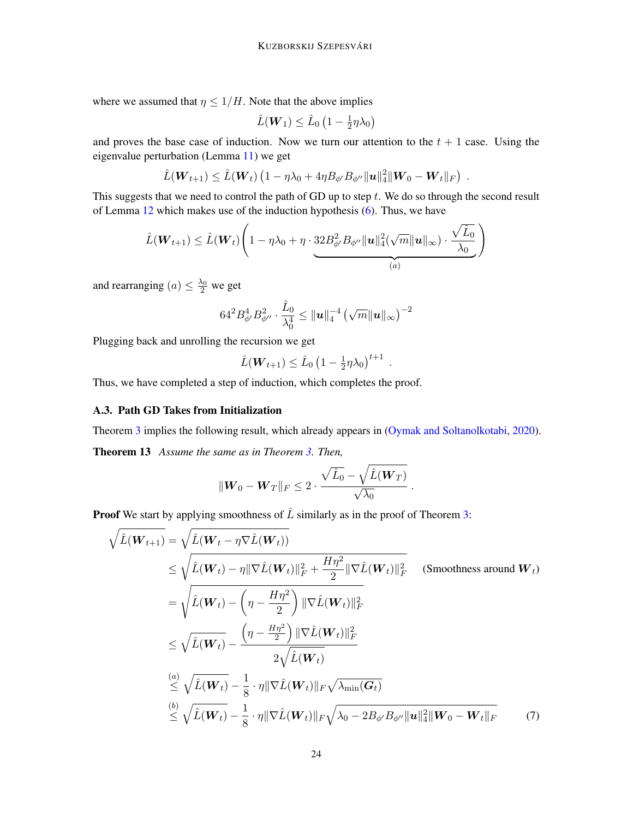where we assumed that  $\eta \leq 1/H$ . Note that the above implies

$$
\hat{L}(\boldsymbol{W}_1) \leq \hat{L}_0 \left(1 - \frac{1}{2} \eta \lambda_0\right)
$$

and proves the base case of induction. Now we turn our attention to the  $t + 1$  case. Using the eigenvalue perturbation (Lemma [11\)](#page-20-0) we get

$$
\hat{L}(\boldsymbol{W}_{t+1}) \leq \hat{L}(\boldsymbol{W}_{t}) \left(1 - \eta \lambda_0 + 4 \eta B_{\phi'} B_{\phi''} ||\boldsymbol{u}||_4^2 ||\boldsymbol{W}_0 - \boldsymbol{W}_t||_F \right) .
$$

This suggests that we need to control the path of GD up to step  $t$ . We do so through the second result of Lemma [12](#page-21-0) which makes use of the induction hypothesis [\(6\)](#page-22-0). Thus, we have

$$
\hat{L}(\boldsymbol{W}_{t+1}) \leq \hat{L}(\boldsymbol{W}_{t}) \left(1 - \eta \lambda_0 + \eta \cdot 32 B_{\phi'}^2 B_{\phi''} \|\boldsymbol{u}\|_{4}^2 (\sqrt{m} \|\boldsymbol{u}\|_{\infty}) \cdot \frac{\sqrt{\hat{L}_0}}{\lambda_0}\right)
$$

and rearranging  $(a) \leq \frac{\lambda_0}{2}$  we get

$$
64^{2}B_{\phi'}^{4}B_{\phi''}^{2}\cdot\frac{\hat{L}_0}{\lambda_0^{4}} \leq \|\boldsymbol{u}\|_{4}^{-4}\left(\sqrt{m}\|\boldsymbol{u}\|_{\infty}\right)^{-2}
$$

Plugging back and unrolling the recursion we get

$$
\hat{L}(\boldsymbol{W}_{t+1}) \leq \hat{L}_0 \left(1 - \frac{1}{2} \eta \lambda_0\right)^{t+1} .
$$

Thus, we have completed a step of induction, which completes the proof.

# A.3. Path GD Takes from Initialization

Theorem [3](#page-11-1) implies the following result, which already appears in [\(Oymak and Soltanolkotabi,](#page-16-2) [2020\)](#page-16-2).

<span id="page-23-0"></span>Theorem 13 *Assume the same as in Theorem [3.](#page-11-1) Then,*

<span id="page-23-1"></span>
$$
\|\boldsymbol{W}_0 - \boldsymbol{W}_T\|_F \leq 2 \cdot \frac{\sqrt{\hat{L}_0} - \sqrt{\hat{L}(\boldsymbol{W}_T)}}{\sqrt{\lambda_0}}.
$$

**Proof** We start by applying smoothness of  $\hat{L}$  similarly as in the proof of Theorem [3:](#page-11-1)

$$
\sqrt{\hat{L}(\boldsymbol{W}_{t+1})} = \sqrt{\hat{L}(\boldsymbol{W}_{t} - \eta \nabla \hat{L}(\boldsymbol{W}_{t}))}
$$
\n
$$
\leq \sqrt{\hat{L}(\boldsymbol{W}_{t}) - \eta \|\nabla \hat{L}(\boldsymbol{W}_{t})\|_{F}^{2} + \frac{H\eta^{2}}{2} \|\nabla \hat{L}(\boldsymbol{W}_{t})\|_{F}^{2}}
$$
\n(Smoothness around  $\boldsymbol{W}_{t}$ )\n
$$
= \sqrt{\hat{L}(\boldsymbol{W}_{t}) - \left(\eta - \frac{H\eta^{2}}{2}\right) \|\nabla \hat{L}(\boldsymbol{W}_{t})\|_{F}^{2}}
$$
\n
$$
\leq \sqrt{\hat{L}(\boldsymbol{W}_{t})} - \frac{\left(\eta - \frac{H\eta^{2}}{2}\right) \|\nabla \hat{L}(\boldsymbol{W}_{t})\|_{F}^{2}}{2\sqrt{\hat{L}(\boldsymbol{W}_{t})}}
$$
\n
$$
\stackrel{(a)}{\leq} \sqrt{\hat{L}(\boldsymbol{W}_{t})} - \frac{1}{8} \cdot \eta \|\nabla \hat{L}(\boldsymbol{W}_{t})\|_{F} \sqrt{\lambda_{\min}(\boldsymbol{G}_{t})}
$$
\n
$$
\stackrel{(b)}{\leq} \sqrt{\hat{L}(\boldsymbol{W}_{t})} - \frac{1}{8} \cdot \eta \|\nabla \hat{L}(\boldsymbol{W}_{t})\|_{F} \sqrt{\lambda_{0} - 2B_{\phi'}B_{\phi''}} \|\mathbf{u}\|_{4}^{2} \|\boldsymbol{W}_{0} - \boldsymbol{W}_{t}\|_{F}
$$
\n(7)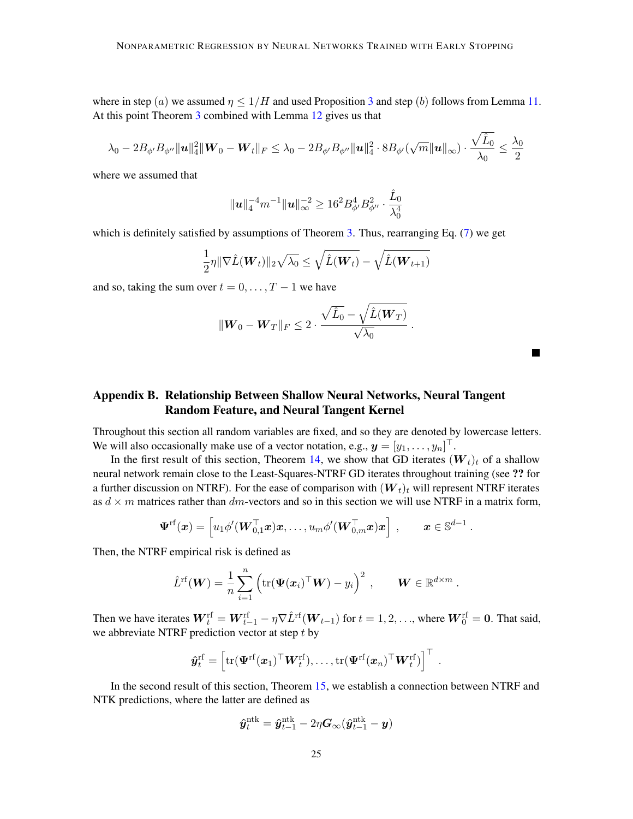where in step (a) we assumed  $\eta \leq 1/H$  and used Proposition [3](#page-18-1) and step (b) follows from Lemma [11.](#page-20-0) At this point Theorem [3](#page-11-1) combined with Lemma [12](#page-21-0) gives us that

$$
\lambda_0-2B_{\phi'}B_{\phi''}\|\boldsymbol u\|_4^2\|\boldsymbol W_0-\boldsymbol W_t\|_F\leq \lambda_0-2B_{\phi'}B_{\phi''}\|\boldsymbol u\|_4^2\cdot 8B_{\phi'}(\sqrt{m}\|\boldsymbol u\|_\infty)\cdot \frac{\sqrt{\hat L_0}}{\lambda_0}\leq \frac{\lambda_0}{2}
$$

where we assumed that

$$
\|\bm{u}\|_4^{-4}m^{-1}\|\bm{u}\|_\infty^{-2}\geq 16^2B_{\phi'}^4B_{\phi''}^2\cdot\frac{\hat L_0}{\lambda_0^4}
$$

which is definitely satisfied by assumptions of Theorem [3.](#page-11-1) Thus, rearranging Eq. [\(7\)](#page-23-1) we get

$$
\frac{1}{2}\eta \|\nabla \hat{L}(\boldsymbol{W}_t)\|_2 \sqrt{\lambda_0} \leq \sqrt{\hat{L}(\boldsymbol{W}_t)} - \sqrt{\hat{L}(\boldsymbol{W}_{t+1})}
$$

and so, taking the sum over  $t = 0, \ldots, T - 1$  we have

$$
\|\mathbf{W}_0 - \mathbf{W}_T\|_F \leq 2 \cdot \frac{\sqrt{\hat{L}_0} - \sqrt{\hat{L}(\mathbf{W}_T)}}{\sqrt{\lambda_0}}.
$$

# <span id="page-24-0"></span>Appendix B. Relationship Between Shallow Neural Networks, Neural Tangent Random Feature, and Neural Tangent Kernel

Throughout this section all random variables are fixed, and so they are denoted by lowercase letters. We will also occasionally make use of a vector notation, e.g.,  $\boldsymbol{y} = [y_1, \dots, y_n]^\top$ .

In the first result of this section, Theorem [14,](#page-25-0) we show that GD iterates  $(W_t)_t$  of a shallow neural network remain close to the Least-Squares-NTRF GD iterates throughout training (see ?? for a further discussion on NTRF). For the ease of comparison with  $(W_t)_t$  will represent NTRF iterates as  $d \times m$  matrices rather than dm-vectors and so in this section we will use NTRF in a matrix form,

$$
\boldsymbol{\Psi}^{\mathrm{rf}}(\boldsymbol{x}) = \left[u_1 \phi'(\boldsymbol{W}_{0,1}^{\top}\boldsymbol{x})\boldsymbol{x}, \ldots, u_m \phi'(\boldsymbol{W}_{0,m}^{\top}\boldsymbol{x})\boldsymbol{x}\right] \ , \qquad \boldsymbol{x} \in \mathbb{S}^{d-1} \ .
$$

Then, the NTRF empirical risk is defined as

$$
\hat{L}^{\mathrm{rf}}(\boldsymbol{W}) = \frac{1}{n} \sum_{i=1}^{n} \left( \mathrm{tr}(\boldsymbol{\Psi}(\boldsymbol{x}_i)^{\top} \boldsymbol{W}) - y_i \right)^2 , \qquad \boldsymbol{W} \in \mathbb{R}^{d \times m} .
$$

Then we have iterates  $\bm{W}_t^{\text{rf}} = \bm{W}_{t-1}^{\text{rf}} - \eta \nabla \hat{L}^{\text{rf}}(\bm{W}_{t-1})$  for  $t = 1, 2, \dots$ , where  $\bm{W}_0^{\text{rf}} = \bm{0}$ . That said, we abbreviate NTRF prediction vector at step  $t$  by

$$
\hat{\boldsymbol{y}}_t^{\mathrm{rf}} = \left[\mathrm{tr}(\boldsymbol{\Psi}^{\mathrm{rf}}(\boldsymbol{x}_1)^\top\boldsymbol{W}_t^{\mathrm{rf}}), \ldots, \mathrm{tr}(\boldsymbol{\Psi}^{\mathrm{rf}}(\boldsymbol{x}_n)^\top\boldsymbol{W}_t^{\mathrm{rf}}) \right]^\top
$$

.

In the second result of this section, Theorem [15,](#page-25-1) we establish a connection between NTRF and NTK predictions, where the latter are defined as

$$
\hat{\boldsymbol{y}}_t^{\mathrm{ntk}} = \hat{\boldsymbol{y}}_{t-1}^{\mathrm{ntk}} - 2\eta \boldsymbol{G}_{\infty}(\hat{\boldsymbol{y}}_{t-1}^{\mathrm{ntk}} - \boldsymbol{y})
$$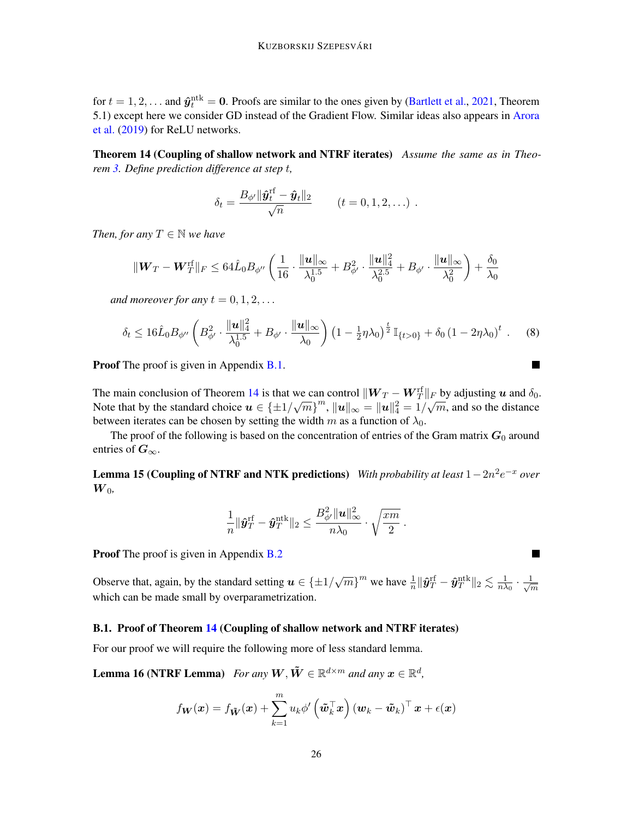for  $t = 1, 2, ...$  and  $\hat{\mathbf{y}}_t^{\text{ntk}} = \mathbf{0}$ . Proofs are similar to the ones given by [\(Bartlett et al.,](#page-14-3) [2021,](#page-14-3) Theorem 5.1) except here we consider GD instead of the Gradient Flow. Similar ideas also appears in [Arora](#page-14-4) [et al.](#page-14-4) [\(2019\)](#page-14-4) for ReLU networks.

Theorem 14 (Coupling of shallow network and NTRF iterates) *Assume the same as in Theorem [3.](#page-11-1) Define prediction difference at step* t*,*

<span id="page-25-0"></span>
$$
\delta_t = \frac{B_{\phi'} \|\hat{\pmb{y}}_t^{\text{rf}} - \hat{\pmb{y}}_t\|_2}{\sqrt{n}} \qquad (t = 0, 1, 2, \ldots) \enspace .
$$

*Then, for any*  $T \in \mathbb{N}$  *we have* 

$$
\|{\boldsymbol W}_T-{\boldsymbol W}_T^{\text{rf}}\|_F \leq 64 \hat L_0 B_{\phi''}\left(\frac{1}{16}\cdot \frac{\|{\boldsymbol u}\|_\infty}{\lambda_0^{1.5}} + B_{\phi'}^2\cdot \frac{\|{\boldsymbol u}\|_4^2}{\lambda_0^{2.5}} + B_{\phi'}\cdot \frac{\|{\boldsymbol u}\|_\infty}{\lambda_0^2}\right) + \frac{\delta_0}{\lambda_0}
$$

*and moreover for any*  $t = 0, 1, 2, \ldots$ 

$$
\delta_t \le 16 \hat{L}_0 B_{\phi''} \left( B_{\phi'}^2 \cdot \frac{\| \boldsymbol{u} \|_4^2}{\lambda_0^{1.5}} + B_{\phi'} \cdot \frac{\| \boldsymbol{u} \|_\infty}{\lambda_0} \right) \left( 1 - \frac{1}{2} \eta \lambda_0 \right)^{\frac{t}{2}} \mathbb{I}_{\{t > 0\}} + \delta_0 \left( 1 - 2 \eta \lambda_0 \right)^t. \tag{8}
$$

Proof The proof is given in Appendix [B.1.](#page-25-2)

The main conclusion of Theorem [14](#page-25-0) is that we can control  $||\bm{W}_T - \bm{W}_T^{\text{rf}}||_F$  by adjusting u and  $\delta_0$ . Note that by the standard choice  $u \in {\pm 1/\sqrt{m}}^m$ ,  $||u||_{\infty} = ||u||_4^2 = 1/\sqrt{m}$ , and so the distance between iterates can be chosen by setting the width m as a function of  $\lambda_0$ .

<span id="page-25-1"></span>The proof of the following is based on the concentration of entries of the Gram matrix  $G_0$  around entries of  $G_{\infty}$ .

**Lemma 15 (Coupling of NTRF and NTK predictions)** *With probability at least* 1 – 2n<sup>2</sup>e<sup>-x</sup> over  $\boldsymbol{W}_{0}$ ,

$$
\frac{1}{n}\|\hat{\boldsymbol{y}}_T^{\text{rf}}-\hat{\boldsymbol{y}}_T^{\text{ntk}}\|_2 \leq \frac{B_{\phi'}^2\|\boldsymbol{u}\|_\infty^2}{n\lambda_0}\cdot\sqrt{\frac{xm}{2}}~.
$$

Proof The proof is given in Appendix [B.2](#page-30-0)

Observe that, again, by the standard setting  $u \in \{\pm 1/\sqrt{m}\}^m$  we have  $\frac{1}{n} \|\hat{\mathbf{y}}_T^{\text{rf}} - \hat{\mathbf{y}}_T^{\text{ntk}} \|_2 \lesssim \frac{1}{n\lambda}$  $\frac{1}{n\lambda_0} \cdot \frac{1}{\sqrt{r}}$  $\overline{m}$ which can be made small by overparametrization.

# <span id="page-25-2"></span>B.1. Proof of Theorem [14](#page-25-0) (Coupling of shallow network and NTRF iterates)

For our proof we will require the following more of less standard lemma.

**Lemma 16 (NTRF Lemma)** For any  $W, \tilde{W} \in \mathbb{R}^{d \times m}$  and any  $x \in \mathbb{R}^d$ ,

$$
f_{\boldsymbol{W}}(\boldsymbol{x}) = f_{\boldsymbol{\tilde{W}}}(\boldsymbol{x}) + \sum_{k=1}^{m} u_k \phi' \left(\boldsymbol{\tilde{w}}_k^{\top} \boldsymbol{x}\right) \left(\boldsymbol{w}_k - \boldsymbol{\tilde{w}}_k\right)^{\top} \boldsymbol{x} + \epsilon(\boldsymbol{x})
$$

<span id="page-25-3"></span>**The State** 

<span id="page-25-4"></span> $\blacksquare$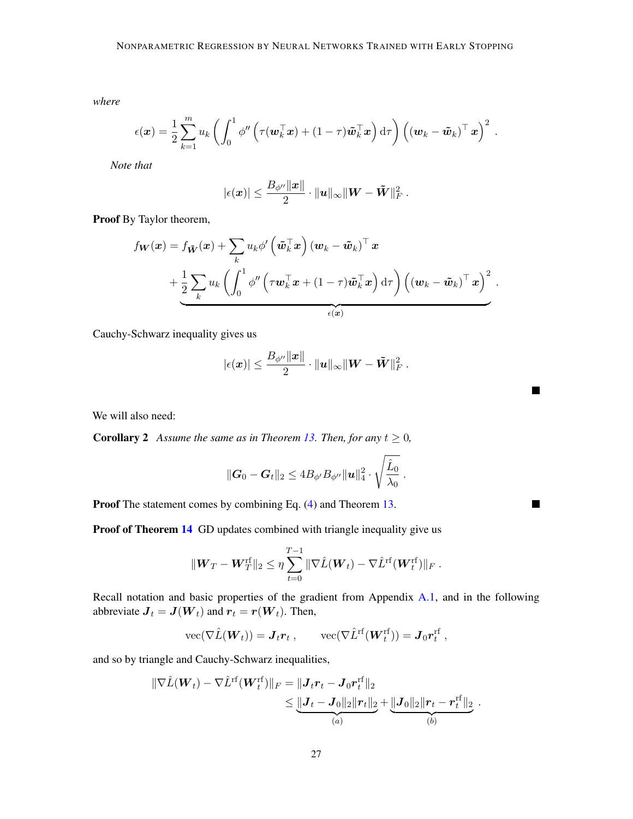*where*

$$
\epsilon(\boldsymbol{x}) = \frac{1}{2} \sum_{k=1}^{m} u_k \left( \int_0^1 \phi'' \left( \tau(\boldsymbol{w}_k^\top \boldsymbol{x}) + (1-\tau) \tilde{\boldsymbol{w}}_k^\top \boldsymbol{x} \right) d\tau \right) \left( (\boldsymbol{w}_k - \tilde{\boldsymbol{w}}_k)^\top \boldsymbol{x} \right)^2.
$$

*Note that*

$$
|\epsilon(\boldsymbol{x})| \leq \frac{B_{\phi''} \|\boldsymbol{x}\|}{2} \cdot \|\boldsymbol{u}\|_\infty \|\boldsymbol{W} - \tilde{\boldsymbol{W}}\|_F^2~.
$$

Proof By Taylor theorem,

$$
f_{\mathbf{W}}(\mathbf{x}) = f_{\tilde{\mathbf{W}}}(\mathbf{x}) + \sum_{k} u_{k} \phi' \left( \tilde{\mathbf{w}}_{k}^{\top} \mathbf{x} \right) (\mathbf{w}_{k} - \tilde{\mathbf{w}}_{k})^{\top} \mathbf{x} + \frac{1}{2} \sum_{k} u_{k} \left( \int_{0}^{1} \phi'' \left( \tau \mathbf{w}_{k}^{\top} \mathbf{x} + (1 - \tau) \tilde{\mathbf{w}}_{k}^{\top} \mathbf{x} \right) d\tau \right) \left( (\mathbf{w}_{k} - \tilde{\mathbf{w}}_{k})^{\top} \mathbf{x} \right)^{2}.
$$

Cauchy-Schwarz inequality gives us

$$
|\epsilon(\boldsymbol{x})| \leq \frac{B_{\phi''} \|\boldsymbol{x}\|}{2} \cdot \|\boldsymbol{u}\|_{\infty} \|\boldsymbol{W} - \tilde{\boldsymbol{W}}\|_F^2~.
$$

П

 $\blacksquare$ 

We will also need:

**Corollary 2** *Assume the same as in Theorem [13.](#page-23-0) Then, for any*  $t \geq 0$ *,* 

<span id="page-26-0"></span>
$$
\|\bm{G}_0-\bm{G}_t\|_2 \leq 4B_{\phi'}B_{\phi''}\|\bm{u}\|_4^2 \cdot \sqrt{\frac{\hat{L}_0}{\lambda_0}}.
$$

Proof The statement comes by combining Eq. [\(4\)](#page-20-1) and Theorem [13.](#page-23-0)

Proof of Theorem [14](#page-25-0) GD updates combined with triangle inequality give us

$$
\|\boldsymbol{W}_T - \boldsymbol{W}_T^{\mathrm{rf}}\|_2 \leq \eta \sum_{t=0}^{T-1} \|\nabla \hat{L}(\boldsymbol{W}_t) - \nabla \hat{L}^{\mathrm{rf}}(\boldsymbol{W}_t^{\mathrm{rf}})\|_F.
$$

Recall notation and basic properties of the gradient from Appendix [A.1,](#page-18-0) and in the following abbreviate  $J_t = J(W_t)$  and  $r_t = r(W_t)$ . Then,

$$
\text{vec}(\nabla \hat{L}(\boldsymbol{W}_t)) = \boldsymbol{J}_t \boldsymbol{r}_t , \qquad \text{vec}(\nabla \hat{L}^{\text{rf}}(\boldsymbol{W}_t^{\text{rf}})) = \boldsymbol{J}_0 \boldsymbol{r}_t^{\text{rf}} ,
$$

and so by triangle and Cauchy-Schwarz inequalities,

$$
\|\nabla \hat{L}(\boldsymbol{W}_t) - \nabla \hat{L}^{\mathrm{rf}}(\boldsymbol{W}_t^{\mathrm{rf}})\|_F = \|\boldsymbol{J}_t \boldsymbol{r}_t - \boldsymbol{J}_0 \boldsymbol{r}_t^{\mathrm{rf}}\|_2
$$
  
\$\leq \underbrace{\|\boldsymbol{J}\_t - \boldsymbol{J}\_0\|\_2 \|\boldsymbol{r}\_t\|\_2}\_{(a)} + \underbrace{\|\boldsymbol{J}\_0\|\_2 \|\boldsymbol{r}\_t - \boldsymbol{r}\_t^{\mathrm{rf}}\|\_2}\_{(b)}.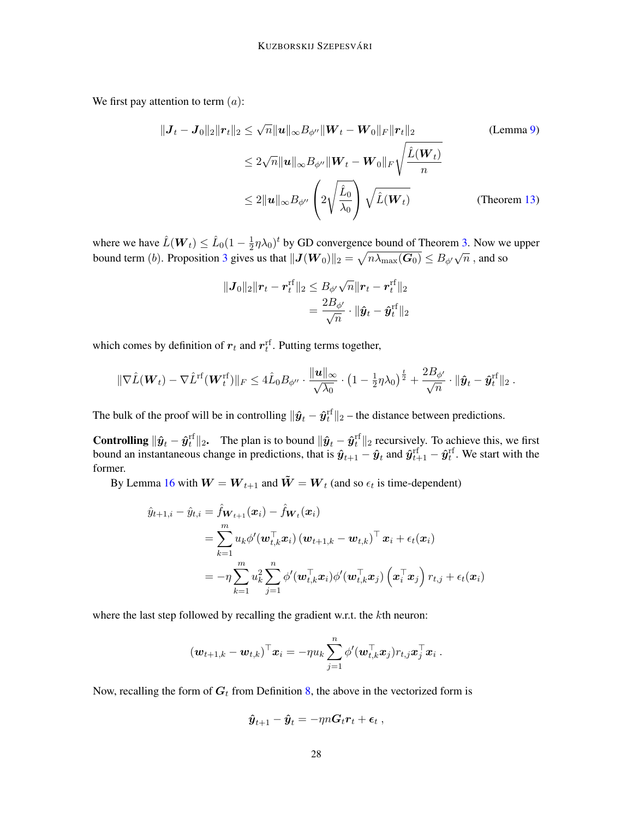We first pay attention to term  $(a)$ :

$$
\|J_t - J_0\|_2 \|r_t\|_2 \leq \sqrt{n} \|u\|_{\infty} B_{\phi''} \|W_t - W_0\|_F \|r_t\|_2
$$
 (Lemma 9)  

$$
\leq 2\sqrt{n} \|u\|_{\infty} B_{\phi''} \|W_t - W_0\|_F \sqrt{\frac{\hat{L}(W_t)}{n}}
$$
  

$$
\leq 2 \|u\|_{\infty} B_{\phi''} \left(2\sqrt{\frac{\hat{L}_0}{\lambda_0}}\right) \sqrt{\hat{L}(W_t)}
$$
 (Theorem 13)

where we have  $\hat{L}(\boldsymbol{W}_t) \leq \hat{L}_0(1 - \frac{1}{2})$  $(\frac{1}{2}\eta\lambda_0)^t$  by GD convergence bound of Theorem [3.](#page-11-1) Now we upper bound term (b). Proposition [3](#page-18-1) gives us that  $||J(W_0)||_2 = \sqrt{n\lambda_{\max}(G_0)} \le B_{\phi'}\sqrt{n}$ , and so

$$
\begin{aligned} \|\bm{J}_0\|_2 \|\bm{r}_t - \bm{r}_t^{\text{rf}}\|_2 &\leq B_{\phi'}\sqrt{n} \|\bm{r}_t - \bm{r}_t^{\text{rf}}\|_2 \\ &= \frac{2B_{\phi'}}{\sqrt{n}} \cdot \|\hat{\bm{y}}_t - \hat{\bm{y}}_t^{\text{rf}}\|_2 \end{aligned}
$$

which comes by definition of  $r_t$  and  $r_t^{\text{rf}}$ . Putting terms together,

$$
\|\nabla \hat{L}(\boldsymbol{W}_t) - \nabla \hat{L}^{\mathrm{rf}}(\boldsymbol{W}_t^{\mathrm{rf}})\|_F \leq 4\hat{L}_0 B_{\phi''} \cdot \frac{\|\boldsymbol{u}\|_{\infty}}{\sqrt{\lambda_0}} \cdot \left(1 - \frac{1}{2}\eta\lambda_0\right)^{\frac{t}{2}} + \frac{2B_{\phi'}}{\sqrt{n}} \cdot \|\boldsymbol{\hat{y}}_t - \boldsymbol{\hat{y}}_t^{\mathrm{rf}}\|_2.
$$

The bulk of the proof will be in controlling  $\|\hat{\bm{y}}_t - \hat{\bm{y}}_t^{\text{rf}}\|_2$  – the distance between predictions.

**Controlling**  $\|\hat{\mathbf{y}}_t - \hat{\mathbf{y}}_t^{\text{rf}}\|_2$ . The plan is to bound  $\|\hat{\mathbf{y}}_t - \hat{\mathbf{y}}_t^{\text{rf}}\|_2$  recursively. To achieve this, we first bound an instantaneous change in predictions, that is  $\hat{\bm{y}}_{t+1}-\hat{\bm{y}}_t$  and  $\hat{\bm{y}}_{t+1}^{\rm rf}-\hat{\bm{y}}_t^{\rm rf}$  . We start with the former.

By Lemma [16](#page-25-3) with  $W = W_{t+1}$  and  $\tilde{W} = W_t$  (and so  $\epsilon_t$  is time-dependent)

$$
\hat{y}_{t+1,i} - \hat{y}_{t,i} = \hat{f}_{\boldsymbol{W}_{t+1}}(\boldsymbol{x}_i) - \hat{f}_{\boldsymbol{W}_t}(\boldsymbol{x}_i) \n= \sum_{k=1}^m u_k \phi'(\boldsymbol{w}_{t,k}^\top \boldsymbol{x}_i) (\boldsymbol{w}_{t+1,k} - \boldsymbol{w}_{t,k})^\top \boldsymbol{x}_i + \epsilon_t(\boldsymbol{x}_i) \n= -\eta \sum_{k=1}^m u_k^2 \sum_{j=1}^n \phi'(\boldsymbol{w}_{t,k}^\top \boldsymbol{x}_i) \phi'(\boldsymbol{w}_{t,k}^\top \boldsymbol{x}_j) (\boldsymbol{x}_i^\top \boldsymbol{x}_j) r_{t,j} + \epsilon_t(\boldsymbol{x}_i)
$$

where the last step followed by recalling the gradient w.r.t. the kth neuron:

$$
(\boldsymbol{w}_{t+1,k}-\boldsymbol{w}_{t,k})^\top \boldsymbol{x}_i = -\eta u_k \sum_{j=1}^n \phi'(\boldsymbol{w}_{t,k}^\top \boldsymbol{x}_j) r_{t,j} \boldsymbol{x}_j^\top \boldsymbol{x}_i~.
$$

Now, recalling the form of  $G_t$  from Definition [8,](#page-18-3) the above in the vectorized form is

$$
\hat{\boldsymbol{y}}_{t+1} - \hat{\boldsymbol{y}}_t = -\eta n \boldsymbol{G}_t \boldsymbol{r}_t + \boldsymbol{\epsilon}_t ,
$$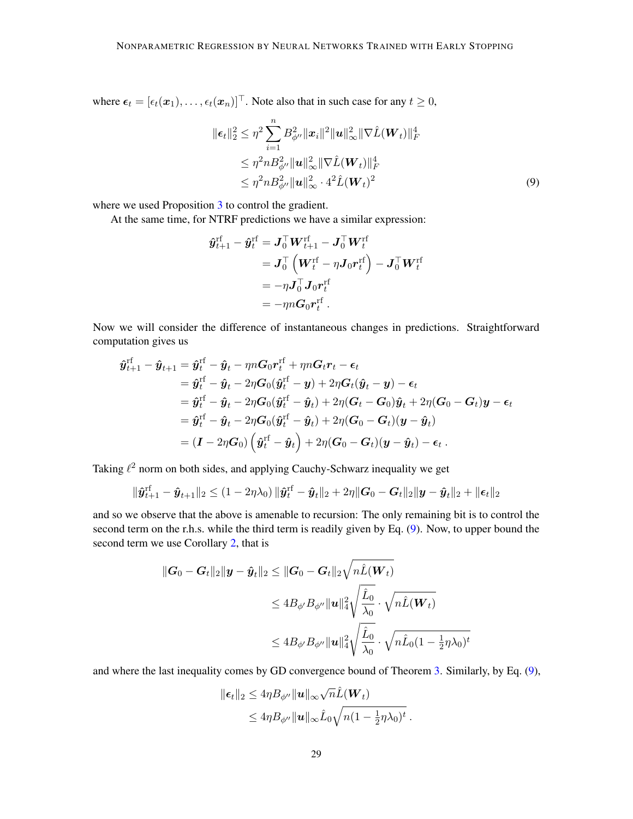where  $\epsilon_t = [\epsilon_t(\mathbf{x}_1), \dots, \epsilon_t(\mathbf{x}_n)]^\top$ . Note also that in such case for any  $t \geq 0$ ,

<span id="page-28-0"></span>
$$
\|\epsilon_t\|_2^2 \leq \eta^2 \sum_{i=1}^n B_{\phi''}^2 \|\mathbf{x}_i\|^2 \|\mathbf{u}\|_{\infty}^2 \|\nabla \hat{L}(\mathbf{W}_t)\|_F^4
$$
  
\n
$$
\leq \eta^2 n B_{\phi''}^2 \|\mathbf{u}\|_{\infty}^2 \|\nabla \hat{L}(\mathbf{W}_t)\|_F^4
$$
  
\n
$$
\leq \eta^2 n B_{\phi''}^2 \|\mathbf{u}\|_{\infty}^2 \cdot 4^2 \hat{L}(\mathbf{W}_t)^2
$$
 (9)

where we used Proposition [3](#page-18-1) to control the gradient.

At the same time, for NTRF predictions we have a similar expression:

$$
\begin{aligned} \boldsymbol{\hat{y}}_{t+1}^{\mathrm{rf}}-\boldsymbol{\hat{y}}_{t}^{\mathrm{rf}}&=\boldsymbol{J}_{0}^{\top}\boldsymbol{W}_{t+1}^{\mathrm{rf}}-\boldsymbol{J}_{0}^{\top}\boldsymbol{W}_{t}^{\mathrm{rf}}\\ &=\boldsymbol{J}_{0}^{\top}\left(\boldsymbol{W}_{t}^{\mathrm{rf}}-\eta\boldsymbol{J}_{0}\boldsymbol{r}_{t}^{\mathrm{rf}}\right)-\boldsymbol{J}_{0}^{\top}\boldsymbol{W}_{t}^{\mathrm{rf}}\\ &=-\eta\boldsymbol{J}_{0}^{\top}\boldsymbol{J}_{0}\boldsymbol{r}_{t}^{\mathrm{rf}}\\ &=-\eta n\boldsymbol{G}_{0}\boldsymbol{r}_{t}^{\mathrm{rf}}\,. \end{aligned}
$$

Now we will consider the difference of instantaneous changes in predictions. Straightforward computation gives us

$$
\begin{aligned} \hat{\boldsymbol{y}}_{t+1}^{\mathrm{rf}} - \hat{\boldsymbol{y}}_{t+1} &= \hat{\boldsymbol{y}}_{t}^{\mathrm{rf}} - \hat{\boldsymbol{y}}_{t} - \eta n \boldsymbol{G}_{0} \boldsymbol{r}_{t}^{\mathrm{rf}} + \eta n \boldsymbol{G}_{t} \boldsymbol{r}_{t} - \boldsymbol{\epsilon}_{t} \\ &= \hat{\boldsymbol{y}}_{t}^{\mathrm{rf}} - \hat{\boldsymbol{y}}_{t} - 2 \eta \boldsymbol{G}_{0} (\hat{\boldsymbol{y}}_{t}^{\mathrm{rf}} - \boldsymbol{y}) + 2 \eta \boldsymbol{G}_{t} (\hat{\boldsymbol{y}}_{t} - \boldsymbol{y}) - \boldsymbol{\epsilon}_{t} \\ &= \hat{\boldsymbol{y}}_{t}^{\mathrm{rf}} - \hat{\boldsymbol{y}}_{t} - 2 \eta \boldsymbol{G}_{0} (\hat{\boldsymbol{y}}_{t}^{\mathrm{rf}} - \hat{\boldsymbol{y}}_{t}) + 2 \eta (\boldsymbol{G}_{t} - \boldsymbol{G}_{0}) \hat{\boldsymbol{y}}_{t} + 2 \eta (\boldsymbol{G}_{0} - \boldsymbol{G}_{t}) \boldsymbol{y} - \boldsymbol{\epsilon}_{t} \\ &= \hat{\boldsymbol{y}}_{t}^{\mathrm{rf}} - \hat{\boldsymbol{y}}_{t} - 2 \eta \boldsymbol{G}_{0} (\hat{\boldsymbol{y}}_{t}^{\mathrm{rf}} - \hat{\boldsymbol{y}}_{t}) + 2 \eta (\boldsymbol{G}_{0} - \boldsymbol{G}_{t}) (\boldsymbol{y} - \hat{\boldsymbol{y}}_{t}) \\ &= (\boldsymbol{I} - 2 \eta \boldsymbol{G}_{0}) \left( \hat{\boldsymbol{y}}_{t}^{\mathrm{rf}} - \hat{\boldsymbol{y}}_{t} \right) + 2 \eta (\boldsymbol{G}_{0} - \boldsymbol{G}_{t}) (\boldsymbol{y} - \hat{\boldsymbol{y}}_{t}) - \boldsymbol{\epsilon}_{t} \, .\end{aligned}
$$

Taking  $\ell^2$  norm on both sides, and applying Cauchy-Schwarz inequality we get

$$
\|\hat{\boldsymbol{y}}_{t+1}^{\text{rf}} - \hat{\boldsymbol{y}}_{t+1}\|_2 \leq (1 - 2\eta\lambda_0) \|\hat{\boldsymbol{y}}_t^{\text{rf}} - \hat{\boldsymbol{y}}_t\|_2 + 2\eta \|\boldsymbol{G}_0 - \boldsymbol{G}_t\|_2 \|\boldsymbol{y} - \hat{\boldsymbol{y}}_t\|_2 + \|\boldsymbol{\epsilon}_t\|_2
$$

and so we observe that the above is amenable to recursion: The only remaining bit is to control the second term on the r.h.s. while the third term is readily given by Eq. [\(9\)](#page-28-0). Now, to upper bound the second term we use Corollary [2,](#page-26-0) that is

$$
\begin{aligned} \|\boldsymbol{G}_0 - \boldsymbol{G}_t\|_2 \|\boldsymbol{y} - \hat{\boldsymbol{y}}_t\|_2 &\leq \|\boldsymbol{G}_0 - \boldsymbol{G}_t\|_2 \sqrt{n\hat{L}(\boldsymbol{W}_t)} \\ &\leq 4B_{\phi'}B_{\phi''}\|\boldsymbol{u}\|_4^2 \sqrt{\frac{\hat{L}_0}{\lambda_0}} \cdot \sqrt{n\hat{L}(\boldsymbol{W}_t)} \\ &\leq 4B_{\phi'}B_{\phi''}\|\boldsymbol{u}\|_4^2 \sqrt{\frac{\hat{L}_0}{\lambda_0}} \cdot \sqrt{n\hat{L}_0(1 - \frac{1}{2}\eta\lambda_0)^t} \end{aligned}
$$

and where the last inequality comes by GD convergence bound of Theorem [3.](#page-11-1) Similarly, by Eq. [\(9\)](#page-28-0),

$$
\|\boldsymbol{\epsilon}_t\|_2 \leq 4\eta B_{\phi''} \|\mathbf{u}\|_{\infty} \sqrt{n} \hat{L}(\mathbf{W}_t)
$$
  
\$\leq 4\eta B\_{\phi''} \|\mathbf{u}\|\_{\infty} \hat{L}\_0 \sqrt{n(1 - \frac{1}{2}\eta \lambda\_0)^t}\$.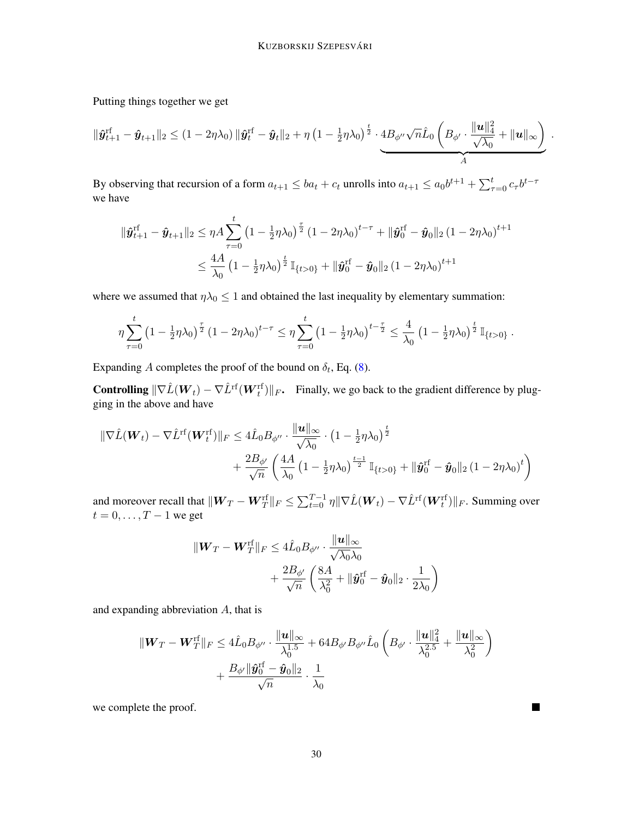Putting things together we get

$$
\|\hat{\boldsymbol{y}}_{t+1}^{\mathrm{rf}} - \hat{\boldsymbol{y}}_{t+1}\|_2 \leq (1 - 2\eta\lambda_0) \|\hat{\boldsymbol{y}}_t^{\mathrm{rf}} - \hat{\boldsymbol{y}}_t\|_2 + \eta \left(1 - \frac{1}{2}\eta\lambda_0\right)^{\frac{t}{2}} \cdot \underbrace{4B_{\phi''}\sqrt{n}\hat{L}_0\left(B_{\phi'} \cdot \frac{\|\boldsymbol{u}\|_4^2}{\sqrt{\lambda_0}} + \|\boldsymbol{u}\|_{\infty}\right)}_A
$$

.

П

By observing that recursion of a form  $a_{t+1} \le ba_t + c_t$  unrolls into  $a_{t+1} \le a_0 b^{t+1} + \sum_{\tau=0}^t c_\tau b^{t-\tau}$ we have

$$
\begin{aligned} \|\hat{\bm{y}}_{t+1}^{\text{rf}} - \hat{\bm{y}}_{t+1}\|_2 &\leq \eta A \sum_{\tau=0}^{t} \left(1 - \frac{1}{2} \eta \lambda_0\right)^{\frac{\tau}{2}} \left(1 - 2\eta \lambda_0\right)^{t-\tau} + \|\hat{\bm{y}}_0^{\text{rf}} - \hat{\bm{y}}_0\|_2 \left(1 - 2\eta \lambda_0\right)^{t+1} \\ &\leq \frac{4A}{\lambda_0} \left(1 - \frac{1}{2} \eta \lambda_0\right)^{\frac{t}{2}} \mathbb{I}_{\{t>0\}} + \|\hat{\bm{y}}_0^{\text{rf}} - \hat{\bm{y}}_0\|_2 \left(1 - 2\eta \lambda_0\right)^{t+1} \end{aligned}
$$

where we assumed that  $\eta \lambda_0 \leq 1$  and obtained the last inequality by elementary summation:

$$
\eta \sum_{\tau=0}^t \left(1 - \frac{1}{2}\eta \lambda_0\right)^{\frac{\tau}{2}} \left(1 - 2\eta \lambda_0\right)^{t-\tau} \leq \eta \sum_{\tau=0}^t \left(1 - \frac{1}{2}\eta \lambda_0\right)^{t-\frac{\tau}{2}} \leq \frac{4}{\lambda_0} \left(1 - \frac{1}{2}\eta \lambda_0\right)^{\frac{t}{2}} \mathbb{I}_{\{t>0\}}.
$$

Expanding A completes the proof of the bound on  $\delta_t$ , Eq. [\(8\)](#page-25-4).

**Controlling**  $\|\nabla \hat{L}(W_t) - \nabla \hat{L}^{\text{rf}}(W_t^{\text{rf}})\|_F$ . Finally, we go back to the gradient difference by plugging in the above and have

$$
\begin{aligned} \|\nabla \hat{L}(\boldsymbol{W}_{t}) - \nabla \hat{L}^{\text{rf}}(\boldsymbol{W}_{t}^{\text{rf}})\|_{F} &\leq 4\hat{L}_{0}B_{\phi''} \cdot \frac{\|\boldsymbol{u}\|_{\infty}}{\sqrt{\lambda_{0}}} \cdot \left(1 - \frac{1}{2}\eta\lambda_{0}\right)^{\frac{t}{2}} \\ &+ \frac{2B_{\phi'}}{\sqrt{n}} \left(\frac{4A}{\lambda_{0}}\left(1 - \frac{1}{2}\eta\lambda_{0}\right)^{\frac{t-1}{2}}\mathbb{I}_{\{t>0\}} + \|\boldsymbol{\hat{y}}_{0}^{\text{rf}} - \boldsymbol{\hat{y}}_{0}\|_{2}\left(1 - 2\eta\lambda_{0}\right)^{t}\right) \end{aligned}
$$

and moreover recall that  $\|{\bm{W}}_T - {\bm{W}}_T^{\text{rf}}\|_F \leq \sum_{t=0}^{T-1} \eta \|\nabla \hat{L}({\bm{W}}_t) - \nabla \hat{L}^{\text{rf}}({\bm{W}}_t^{\text{rf}})\|_F.$  Summing over  $t = 0, \ldots, T - 1$  we get

$$
\| \boldsymbol{W}_T - \boldsymbol{W}_T^{\text{rf}} \|_F \leq 4\hat{L}_0 B_{\phi''} \cdot \frac{\| \boldsymbol{u} \|_\infty}{\sqrt{\lambda_0} \lambda_0} + \frac{2B_{\phi'}}{\sqrt{n}} \left( \frac{8A}{\lambda_0^2} + \| \boldsymbol{\hat{y}}_0^{\text{rf}} - \boldsymbol{\hat{y}}_0 \|_2 \cdot \frac{1}{2\lambda_0} \right)
$$

and expanding abbreviation A, that is

$$
\begin{aligned} \|\boldsymbol{W}_T - \boldsymbol{W}_T^{\text{rf}}\|_F &\leq 4\hat{\boldsymbol{L}}_0 B_{\phi''} \cdot \frac{\|\boldsymbol{u}\|_{\infty}}{\lambda_0^{1.5}} + 64 B_{\phi'} B_{\phi''} \hat{\boldsymbol{L}}_0 \left(B_{\phi'} \cdot \frac{\|\boldsymbol{u}\|_4^2}{\lambda_0^{2.5}} + \frac{\|\boldsymbol{u}\|_{\infty}}{\lambda_0^2}\right) \\ &+ \frac{B_{\phi'} \|\hat{\boldsymbol{y}}_0^{\text{rf}} - \hat{\boldsymbol{y}}_0\|_2}{\sqrt{n}} \cdot \frac{1}{\lambda_0} \end{aligned}
$$

we complete the proof.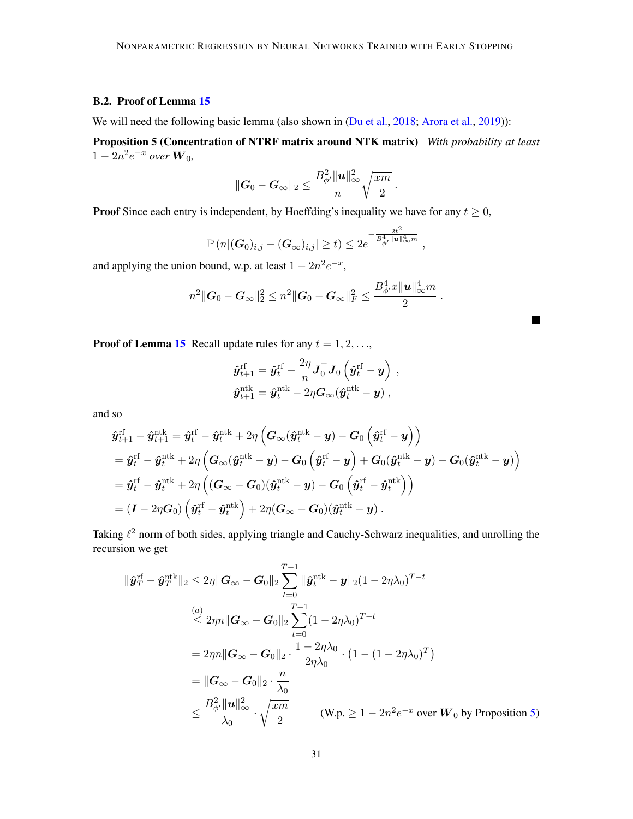# <span id="page-30-0"></span>B.2. Proof of Lemma [15](#page-25-1)

We will need the following basic lemma (also shown in [\(Du et al.,](#page-15-2) [2018;](#page-15-2) [Arora et al.,](#page-14-4) [2019\)](#page-14-4)):

Proposition 5 (Concentration of NTRF matrix around NTK matrix) *With probability at least*  $1 - 2n^2 e^{-x}$  over  $W_0$ ,

$$
\|\boldsymbol{G}_0-\boldsymbol{G}_\infty\|_2 \leq \frac{B_{\phi'}^2 \|\boldsymbol{u}\|_\infty^2}{n}\sqrt{\frac{x m}{2}}~.
$$

**Proof** Since each entry is independent, by Hoeffding's inequality we have for any  $t \geq 0$ ,

$$
\mathbb{P}(n|(G_0)_{i,j}-(G_{\infty})_{i,j}| \geq t) \leq 2e^{-\frac{2t^2}{B_{\phi'}^4||\mathbf{u}||_{\infty}^4m}},
$$

and applying the union bound, w.p. at least  $1 - 2n^2 e^{-x}$ ,

$$
n^2\|\boldsymbol{G}_0-\boldsymbol{G}_{\infty}\|_2^2 \leq n^2\|\boldsymbol{G}_0-\boldsymbol{G}_{\infty}\|_F^2 \leq \frac{B_{\phi'}^4x\|\boldsymbol{u}\|_{\infty}^4m}{2}.
$$

<span id="page-30-1"></span> $\blacksquare$ 

**Proof of Lemma [15](#page-25-1)** Recall update rules for any  $t = 1, 2, \ldots$ ,

$$
\begin{aligned} \hat{\boldsymbol{y}}_{t+1}^{\mathrm{rf}} &= \hat{\boldsymbol{y}}_{t}^{\mathrm{rf}} - \frac{2\eta}{n} \boldsymbol{J}_0^\top \boldsymbol{J}_0\left(\hat{\boldsymbol{y}}_{t}^{\mathrm{rf}} - \boldsymbol{y}\right) \ , \\ \hat{\boldsymbol{y}}_{t+1}^{\mathrm{ntk}} &= \hat{\boldsymbol{y}}_{t}^{\mathrm{ntk}} - 2\eta \boldsymbol{G}_{\infty}(\hat{\boldsymbol{y}}_{t}^{\mathrm{ntk}} - \boldsymbol{y}) \ , \end{aligned}
$$

and so

$$
\begin{aligned} &\hat{\boldsymbol{y}}_{t+1}^{\mathrm{rf}}-\hat{\boldsymbol{y}}_{t+1}^{\mathrm{ntk}}=\hat{\boldsymbol{y}}_{t}^{\mathrm{rf}}-\hat{\boldsymbol{y}}_{t}^{\mathrm{ntk}}+2\eta\left(\boldsymbol{G}_{\infty}(\hat{\boldsymbol{y}}_{t}^{\mathrm{ntk}}-\boldsymbol{y})-\boldsymbol{G}_{0}\left(\hat{\boldsymbol{y}}_{t}^{\mathrm{rf}}-\boldsymbol{y}\right)\right)\\ &=\hat{\boldsymbol{y}}_{t}^{\mathrm{rf}}-\hat{\boldsymbol{y}}_{t}^{\mathrm{ntk}}+2\eta\left(\boldsymbol{G}_{\infty}(\hat{\boldsymbol{y}}_{t}^{\mathrm{ntk}}-\boldsymbol{y})-\boldsymbol{G}_{0}\left(\hat{\boldsymbol{y}}_{t}^{\mathrm{rf}}-\boldsymbol{y}\right)+\boldsymbol{G}_{0}(\hat{\boldsymbol{y}}_{t}^{\mathrm{ntk}}-\boldsymbol{y})-\boldsymbol{G}_{0}(\hat{\boldsymbol{y}}_{t}^{\mathrm{ntk}}-\boldsymbol{y})\right)\\ &=\hat{\boldsymbol{y}}_{t}^{\mathrm{rf}}-\hat{\boldsymbol{y}}_{t}^{\mathrm{ntk}}+2\eta\left((\boldsymbol{G}_{\infty}-\boldsymbol{G}_{0})(\hat{\boldsymbol{y}}_{t}^{\mathrm{ntk}}-\boldsymbol{y})-\boldsymbol{G}_{0}\left(\hat{\boldsymbol{y}}_{t}^{\mathrm{rf}}-\hat{\boldsymbol{y}}_{t}^{\mathrm{ntk}}\right)\right)\\ &=\left(\boldsymbol{I}-2\eta \boldsymbol{G}_{0}\right)\left(\hat{\boldsymbol{y}}_{t}^{\mathrm{rf}}-\hat{\boldsymbol{y}}_{t}^{\mathrm{ntk}}\right)+2\eta(\boldsymbol{G}_{\infty}-\boldsymbol{G}_{0})(\hat{\boldsymbol{y}}_{t}^{\mathrm{ntk}}-\boldsymbol{y})\ .\end{aligned}
$$

Taking  $\ell^2$  norm of both sides, applying triangle and Cauchy-Schwarz inequalities, and unrolling the recursion we get

$$
\|\hat{\mathbf{y}}_{T}^{\text{rf}} - \hat{\mathbf{y}}_{T}^{\text{ntk}}\|_{2} \leq 2\eta \|\mathbf{G}_{\infty} - \mathbf{G}_{0}\|_{2} \sum_{t=0}^{T-1} \|\hat{\mathbf{y}}_{t}^{\text{ntk}} - \mathbf{y}\|_{2} (1 - 2\eta\lambda_{0})^{T-t}
$$
\n
$$
\overset{(a)}{\leq} 2\eta n \|\mathbf{G}_{\infty} - \mathbf{G}_{0}\|_{2} \sum_{t=0}^{T-1} (1 - 2\eta\lambda_{0})^{T-t}
$$
\n
$$
= 2\eta n \|\mathbf{G}_{\infty} - \mathbf{G}_{0}\|_{2} \cdot \frac{1 - 2\eta\lambda_{0}}{2\eta\lambda_{0}} \cdot (1 - (1 - 2\eta\lambda_{0})^{T})
$$
\n
$$
= \|\mathbf{G}_{\infty} - \mathbf{G}_{0}\|_{2} \cdot \frac{n}{\lambda_{0}}
$$
\n
$$
\leq \frac{B_{\phi'}^{2} \|\mathbf{u}\|_{\infty}^{2}}{\lambda_{0}} \cdot \sqrt{\frac{xm}{2}} \qquad (\text{W.p.} \geq 1 - 2n^{2}e^{-x} \text{ over } \mathbf{W}_{0} \text{ by Proposition 5})
$$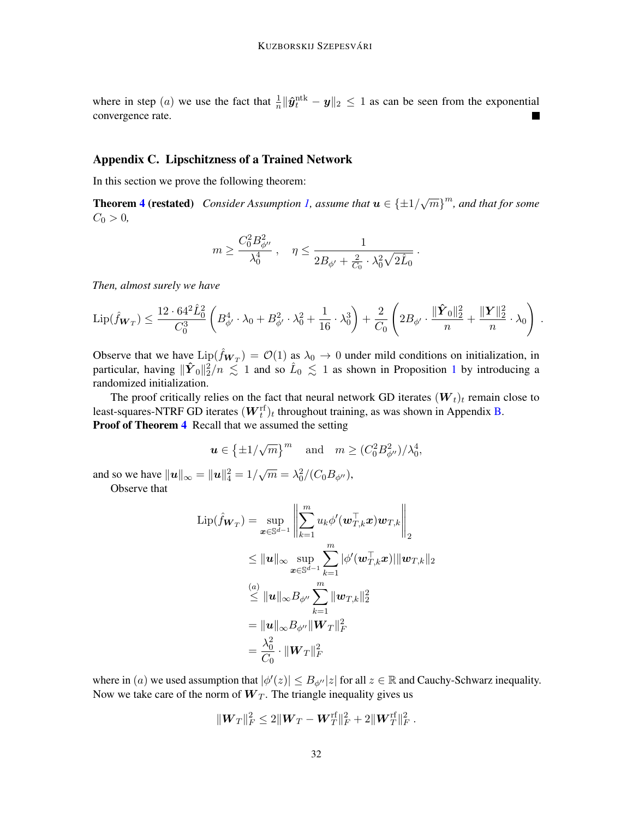where in step (*a*) we use the fact that  $\frac{1}{n} \|\hat{\mathbf{y}}_t^{\text{ntk}} - \mathbf{y}\|_2 \leq 1$  as can be seen from the exponential convergence rate.

# <span id="page-31-0"></span>Appendix C. Lipschitzness of a Trained Network

In this section we prove the following theorem:

**Theorem [4](#page-11-2) (restated)** Consider Assumption [1,](#page-9-0) assume that  $u \in {\pm 1/\sqrt{m}}^m$ , and that for some  $C_0 > 0,$ 

$$
m\geq \frac{C_0^2B_{\phi''}^2}{\lambda_0^4}\;,\quad \eta\leq \frac{1}{2B_{\phi'}+\frac{2}{C_0}\cdot \lambda_0^2\sqrt{2\hat{L}_0}}
$$

.

*Then, almost surely we have*

$$
\mathrm{Lip}(\hat{f}_{\mathbf{W}_T}) \leq \frac{12 \cdot 64^2 \hat{L}_0^2}{C_0^3} \left( B_{\phi'}^4 \cdot \lambda_0 + B_{\phi'}^2 \cdot \lambda_0^2 + \frac{1}{16} \cdot \lambda_0^3 \right) + \frac{2}{C_0} \left( 2B_{\phi'} \cdot \frac{\|\hat{\boldsymbol{Y}}_0\|_2^2}{n} + \frac{\|\boldsymbol{Y}\|_2^2}{n} \cdot \lambda_0 \right) .
$$

Observe that we have  $\text{Lip}(\hat{f}_{\mathbf{W}_T}) = \mathcal{O}(1)$  as  $\lambda_0 \to 0$  under mild conditions on initialization, in particular, having  $\|\hat{Y}_0\|_2^2/n \lesssim 1$  $\|\hat{Y}_0\|_2^2/n \lesssim 1$  and so  $\hat{L}_0 \lesssim 1$  as shown in Proposition 1 by introducing a randomized initialization.

The proof critically relies on the fact that neural network GD iterates  $(W_t)_t$  remain close to least-squares-NTRF GD iterates  $(\boldsymbol{W}_t^{\text{rf}})_t$  throughout training, as was shown in Appendix [B.](#page-24-0) **Proof of Theorem [4](#page-11-2)** Recall that we assumed the setting

$$
\mathbf{u} \in \left\{\pm 1/\sqrt{m}\right\}^m \quad \text{and} \quad m \ge (C_0^2 B_{\phi''}^2)/\lambda_0^4,
$$

and so we have  $\|\mathbf{u}\|_{\infty} = \|\mathbf{u}\|_{4}^{2} = 1/\sqrt{m} = \lambda_0^2/(C_0 B_{\phi''})$ ,

Observe that

$$
\text{Lip}(\hat{f}_{\mathbf{W}_T}) = \sup_{\mathbf{x} \in \mathbb{S}^{d-1}} \left\| \sum_{k=1}^m u_k \phi'(\mathbf{w}_{T,k}^\top \mathbf{x}) \mathbf{w}_{T,k} \right\|_2
$$
  
\n
$$
\leq \|\mathbf{u}\|_{\infty} \sup_{\mathbf{x} \in \mathbb{S}^{d-1}} \sum_{k=1}^m |\phi'(\mathbf{w}_{T,k}^\top \mathbf{x})| \|\mathbf{w}_{T,k}\|_2
$$
  
\n
$$
\overset{(a)}{\leq} \|\mathbf{u}\|_{\infty} B_{\phi''} \sum_{k=1}^m \|\mathbf{w}_{T,k}\|_2^2
$$
  
\n
$$
= \|\mathbf{u}\|_{\infty} B_{\phi''} \|\mathbf{W}_T\|_F^2
$$
  
\n
$$
= \frac{\lambda_0^2}{C_0} \cdot \|\mathbf{W}_T\|_F^2
$$

where in (a) we used assumption that  $|\phi'(z)| \leq B_{\phi''}|z|$  for all  $z \in \mathbb{R}$  and Cauchy-Schwarz inequality. Now we take care of the norm of  $W_T$ . The triangle inequality gives us

$$
\|\boldsymbol{W}_T\|_F^2 \le 2\|\boldsymbol{W}_T - \boldsymbol{W}_T^{\text{rf}}\|_F^2 + 2\|\boldsymbol{W}_T^{\text{rf}}\|_F^2.
$$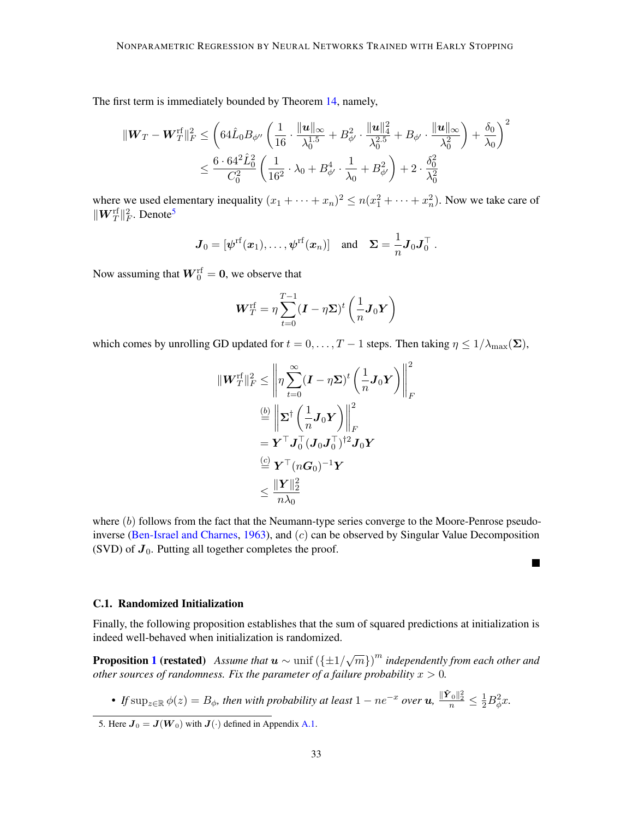The first term is immediately bounded by Theorem [14,](#page-25-0) namely,

$$
\begin{aligned} \|{\boldsymbol W}_T-{\boldsymbol W}_T^{\text{rf}}\|_F^2 &\leq \left(64\hat{{\boldsymbol L}}_0B_{\phi''}\left(\frac{1}{16}\cdot\frac{\|{\boldsymbol u}\|_\infty}{\lambda_0^{1.5}}+B_{\phi'}^2\cdot\frac{\|{\boldsymbol u}\|_4^2}{\lambda_0^{2.5}}+B_{\phi'}\cdot\frac{\|{\boldsymbol u}\|_\infty}{\lambda_0^2}\right)+\frac{\delta_0}{\lambda_0}\right)^2\\ &\leq \frac{6\cdot 64^2\hat{{\boldsymbol L}}_0^2}{C_0^2}\left(\frac{1}{16^2}\cdot\lambda_0+B_{\phi'}^4\cdot\frac{1}{\lambda_0}+B_{\phi'}^2\right)+2\cdot\frac{\delta_0^2}{\lambda_0^2} \end{aligned}
$$

where we used elementary inequality  $(x_1 + \cdots + x_n)^2 \le n(x_1^2 + \cdots + x_n^2)$ . Now we take care of  $\|\boldsymbol{W}^{\text{rf}}_{T}\|_F^2$ . Denote<sup>[5](#page-32-1)</sup>

$$
\boldsymbol{J}_0 = [\boldsymbol{\psi}^{\mathrm{rf}}(\boldsymbol{x}_1), \dots, \boldsymbol{\psi}^{\mathrm{rf}}(\boldsymbol{x}_n)] \quad \text{and} \quad \boldsymbol{\Sigma} = \frac{1}{n} \boldsymbol{J}_0 \boldsymbol{J}_0^\top.
$$

Now assuming that  $\boldsymbol{W}^{\text{rf}}_{0} = \boldsymbol{0}$ , we observe that

$$
\boldsymbol{W}_{T}^{\mathrm{rf}} = \eta \sum_{t=0}^{T-1} (\boldsymbol{I} - \eta \boldsymbol{\Sigma})^{t} \left(\frac{1}{n} \boldsymbol{J}_{0} \boldsymbol{Y}\right)
$$

which comes by unrolling GD updated for  $t = 0, \ldots, T - 1$  steps. Then taking  $\eta \leq 1/\lambda_{\text{max}}(\Sigma)$ ,

$$
\begin{aligned} \| \boldsymbol{W}_T^{\mathrm{rf}} \|_F^2 &\leq \left\| \eta \sum_{t=0}^{\infty} (\boldsymbol{I} - \eta \boldsymbol{\Sigma})^t \left(\frac{1}{n} \boldsymbol{J}_0 \boldsymbol{Y}\right) \right\|_F^2 \\ &\stackrel{(b)}{=} \left\| \boldsymbol{\Sigma}^{\dagger} \left(\frac{1}{n} \boldsymbol{J}_0 \boldsymbol{Y}\right) \right\|_F^2 \\ &= \boldsymbol{Y}^{\top} \boldsymbol{J}_0^{\top} (\boldsymbol{J}_0 \boldsymbol{J}_0^{\top})^{\dagger 2} \boldsymbol{J}_0 \boldsymbol{Y} \\ &\stackrel{(c)}{=} \boldsymbol{Y}^{\top} (n \boldsymbol{G}_0)^{-1} \boldsymbol{Y} \\ &\leq \frac{\| \boldsymbol{Y} \|_2^2}{n \lambda_0} \end{aligned}
$$

where  $(b)$  follows from the fact that the Neumann-type series converge to the Moore-Penrose pseudo-inverse [\(Ben-Israel and Charnes,](#page-14-10) [1963\)](#page-14-10), and  $(c)$  can be observed by Singular Value Decomposition (SVD) of  $J_0$ . Putting all together completes the proof.

 $\blacksquare$ 

# <span id="page-32-0"></span>C.1. Randomized Initialization

Finally, the following proposition establishes that the sum of squared predictions at initialization is indeed well-behaved when initialization is randomized.

**Proposition [1](#page-12-2) (restated)** Assume that  $u \sim \text{unif } (\{\pm 1/\sqrt{m}\})^m$  independently from each other and *other sources of randomness. Fix the parameter of a failure probability*  $x > 0$ *.* 

• If  $\sup_{z\in \mathbb R} \phi(z)=B_\phi$ , then with probability at least  $1-ne^{-x}$  over  $u$ ,  $\frac{\|\hat{\mathbf{Y}}_0\|_2^2}{n}\leq \frac{1}{2}B_\phi^2 x$ .

<span id="page-32-1"></span><sup>5.</sup> Here  $J_0 = J(W_0)$  with  $J(\cdot)$  defined in Appendix [A.1.](#page-18-0)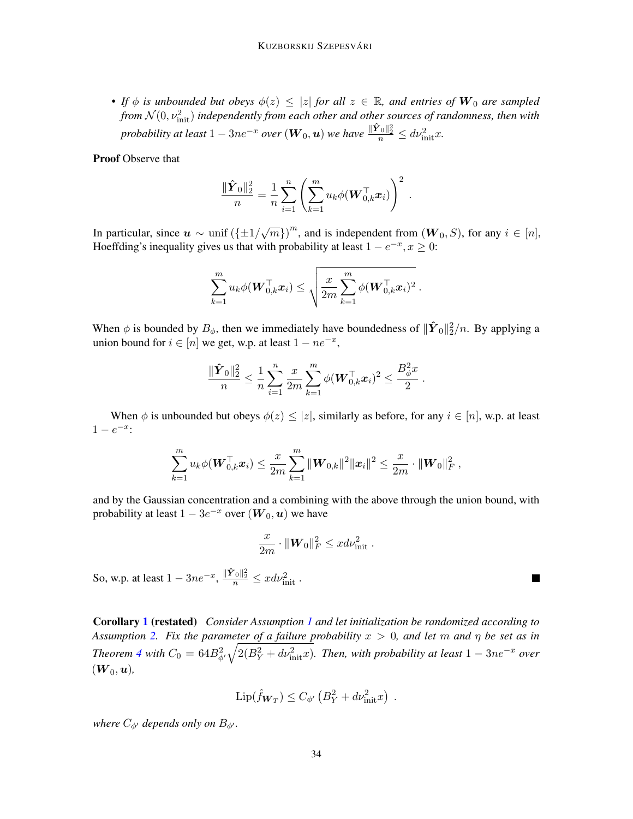• *If*  $\phi$  *is unbounded but obeys*  $\phi(z) \leq |z|$  *for all*  $z \in \mathbb{R}$ *, and entries of*  $W_0$  *are sampled* from  $\mathcal{N}(0,\nu_{\text{init}}^2)$  independently from each other and other sources of randomness, then with *probability at least*  $1 - 3ne^{-x}$  *over*  $(\boldsymbol{W}_0, \boldsymbol{u})$  *we have*  $\frac{\Vert \hat{\boldsymbol{Y}}_0 \Vert_2^2}{n} \le d \nu_{\mathrm{init}}^2 x$ .

Proof Observe that

$$
\frac{\|\hat{\boldsymbol{Y}}_0\|_2^2}{n} = \frac{1}{n} \sum_{i=1}^n \left( \sum_{k=1}^m u_k \phi(\boldsymbol{W}_{0,k}^\top \boldsymbol{x}_i) \right)^2.
$$

In particular, since  $u \sim \text{unif } (\{\pm 1/\sqrt{m}\})^m$ , and is independent from  $(W_0, S)$ , for any  $i \in [n]$ , Hoeffding's inequality gives us that with probability at least  $1 - e^{-x}$ ,  $x \ge 0$ :

$$
\sum_{k=1}^m u_k \phi(\boldsymbol{W}_{0,k}^\top \boldsymbol{x}_i) \leq \sqrt{\frac{x}{2m} \sum_{k=1}^m \phi(\boldsymbol{W}_{0,k}^\top \boldsymbol{x}_i)^2 }~.
$$

When  $\phi$  is bounded by  $B_{\phi}$ , then we immediately have boundedness of  $\|\hat{\boldsymbol{Y}}_0\|_2^2/n$ . By applying a union bound for  $i \in [n]$  we get, w.p. at least  $1 - ne^{-x}$ ,

$$
\frac{\|\hat{\pmb{Y}}_0\|_2^2}{n} \leq \frac{1}{n}\sum_{i=1}^n\frac{x}{2m}\sum_{k=1}^m \phi(\pmb{W}_{0,k}^\top \pmb{x}_i)^2 \leq \frac{B_\phi^2 x}{2}\,.
$$

When  $\phi$  is unbounded but obeys  $\phi(z) \leq |z|$ , similarly as before, for any  $i \in [n]$ , w.p. at least  $1 - e^{-x}$ :

$$
\sum_{k=1}^m u_k \phi(\boldsymbol{W}_{0,k}^{\top} \boldsymbol{x}_i) \leq \frac{x}{2m} \sum_{k=1}^m \| \boldsymbol{W}_{0,k} \|^2 \| \boldsymbol{x}_i \|^2 \leq \frac{x}{2m} \cdot \| \boldsymbol{W}_0 \|^2_F \ ,
$$

and by the Gaussian concentration and a combining with the above through the union bound, with probability at least  $1-3e^{-x}$  over  $(\boldsymbol{W}_0,\boldsymbol{u})$  we have

$$
\frac{x}{2m} \cdot ||\mathbf{W}_0||_F^2 \leq x d\nu_{\rm init}^2.
$$

 $\blacksquare$ 

So, w.p. at least  $1 - 3ne^{-x}$ ,  $\frac{\|\hat{\mathbf{Y}}_0\|_2^2}{n} \leq x d\nu_{\text{init}}^2$ .

Corollary [1](#page-12-1) (restated) *Consider Assumption [1](#page-9-0) and let initialization be randomized according to Assumption [2.](#page-9-3) Fix the parameter of a failure probability* x > 0*, and let* m *and* η *be set as in Theorem* [4](#page-11-2) with  $C_0 = 64B_{\phi'}^2\sqrt{2(B_Y^2 + dv_{\text{init}}^2x)}$ . *Then, with probability at least*  $1 - 3ne^{-x}$  *over*  $(\boldsymbol{W}_0,\boldsymbol{u}),$ 

$$
\operatorname{Lip}(\hat{f}_{\mathbf{W}_T}) \le C_{\phi'} \left( B_Y^2 + d\nu_{\text{init}}^2 x \right) .
$$

*where*  $C_{\phi}$  *depends only on*  $B_{\phi}$ *<sup><i>.*</sup>.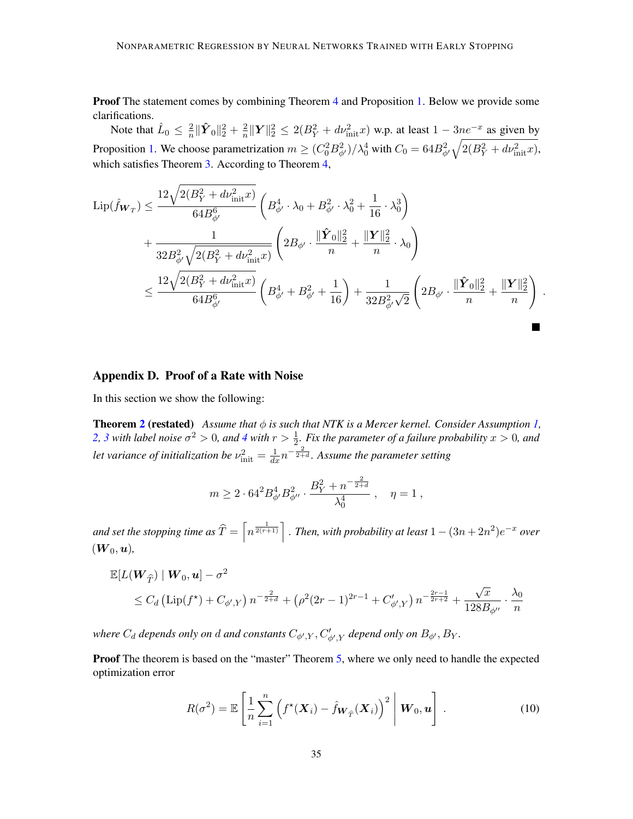**Proof** The statement comes by combining Theorem [4](#page-11-2) and Proposition [1.](#page-12-2) Below we provide some clarifications.

Note that  $\hat{L}_0 \leq \frac{2}{n}$  $\frac{2}{n}\|\hat{\boldsymbol{Y}}_0\|_2^2+\frac{2}{n}$  $\frac{2}{n} \|\mathbf{Y}\|_2^2 \le 2(B_Y^2 + d\nu_{\text{init}}^2 x)$  w.p. at least  $1 - 3ne^{-x}$  as given by Proposition [1.](#page-12-2) We choose parametrization  $m \geq (C_0^2 B_{\phi'}^2)/\lambda_0^4$  with  $C_0 = 64B_{\phi'}^2 \sqrt{2(B_Y^2 + d\nu_{\rm init}^2 x)}$ , which satisfies Theorem [3.](#page-11-1) According to Theorem [4,](#page-11-2)

$$
\begin{split} \mathrm{Lip}(\hat{f}_{\boldsymbol{W}_{T}}) & \leq \frac{12\sqrt{2(B_{Y}^{2}+d\nu_{\mathrm{init}}^{2}x)}}{64B_{\phi'}^{6}}\left(B_{\phi'}^{4}\cdot\lambda_{0}+B_{\phi'}^{2}\cdot\lambda_{0}^{2}+\frac{1}{16}\cdot\lambda_{0}^{3}\right) \\ & +\frac{1}{32B_{\phi'}^{2}\sqrt{2(B_{Y}^{2}+d\nu_{\mathrm{init}}^{2}x)}}\left(2B_{\phi'}\cdot\frac{\|\hat{\boldsymbol{Y}}_{0}\|_{2}^{2}}{n}+\frac{\|\boldsymbol{Y}\|_{2}^{2}}{n}\cdot\lambda_{0}\right) \\ & \leq \frac{12\sqrt{2(B_{Y}^{2}+d\nu_{\mathrm{init}}^{2}x)}}{64B_{\phi'}^{6}}\left(B_{\phi'}^{4}+B_{\phi'}^{2}+\frac{1}{16}\right)+\frac{1}{32B_{\phi'}^{2}\sqrt{2}}\left(2B_{\phi'}\cdot\frac{\|\hat{\boldsymbol{Y}}_{0}\|_{2}^{2}}{n}+\frac{\|\boldsymbol{Y}\|_{2}^{2}}{n}\right) \end{split}.
$$

# <span id="page-34-0"></span>Appendix D. Proof of a Rate with Noise

In this section we show the following:

**Theorem [2](#page-10-0) (restated)** *Assume that*  $\phi$  *is such that NTK is a Mercer kernel. Consider Assumption [1,](#page-9-0)* [2,](#page-9-3) [3](#page-9-4) with label noise  $\sigma^2 > 0$ , and [4](#page-10-1) with  $r > \frac{1}{2}$ . Fix the parameter of a failure probability  $x > 0$ , and let variance of initialization be  $\nu_{\rm init}^2 = \frac{1}{dx} n^{-\frac{2}{2+d}}$ . Assume the parameter setting

$$
m \geq 2 \cdot 64^2 B_{\phi'}^4 B_{\phi''}^2 \cdot \frac{B_Y^2 + n^{-\frac{2}{2+d}}}{\lambda_0^4} \ , \quad \eta = 1 \ ,
$$

and set the stopping time as  $\widehat{T} = \left\lceil n^{\frac{1}{2(r+1)}} \right\rceil$  . Then, with probability at least  $1 - (3n + 2n^2)e^{-x}$  over  $(\boldsymbol{W}_0,\boldsymbol{u}),$ 

$$
\mathbb{E}[L(\mathbf{W}_{\widehat{T}}) | \mathbf{W}_0, \mathbf{u}] - \sigma^2
$$
  
\$\leq C\_d (\text{Lip}(f^\*) + C\_{\phi',Y}) n^{-\frac{2}{2+d}} + (\rho^2 (2r-1)^{2r-1} + C'\_{\phi',Y}) n^{-\frac{2r-1}{2r+2}} + \frac{\sqrt{x}}{128B\_{\phi''}} \cdot \frac{\lambda\_0}{n}\$

where  $C_d$  depends only on  $d$  and constants  $C_{\phi',Y}, C'_{\phi',Y}$  depend only on  $B_{\phi'}, B_Y$ .

Proof The theorem is based on the "master" Theorem [5,](#page-12-3) where we only need to handle the expected optimization error

<span id="page-34-1"></span>
$$
R(\sigma^2) = \mathbb{E}\left[\frac{1}{n}\sum_{i=1}^n \left(f^{\star}(\boldsymbol{X}_i) - \hat{f}_{\boldsymbol{W}_{\widehat{T}}}(\boldsymbol{X}_i)\right)^2 \middle| \boldsymbol{W}_0, \boldsymbol{u}\right].
$$
 (10)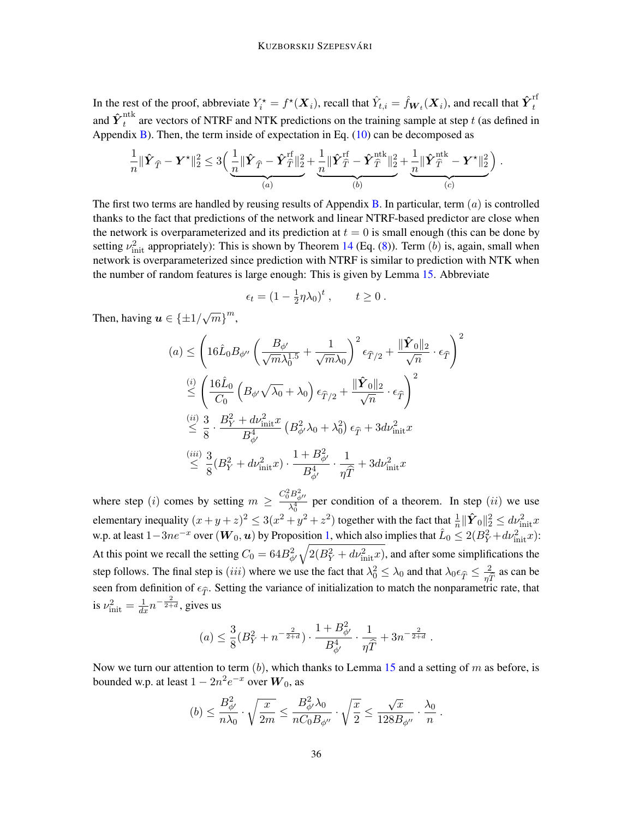In the rest of the proof, abbreviate  $Y_i^* = f^*(\bm{X}_i)$ , recall that  $\hat{Y}_{t,i} = \hat{f}_{\bm{W}_t}(\bm{X}_i)$ , and recall that  $\hat{\bm{Y}}_t^{\text{rf}}$ t and  $\mathbf{\hat{Y}}_t^\text{ntk}$  $t_t^{\text{max}}$  are vectors of NTRF and NTK predictions on the training sample at step t (as defined in Appendix [B\)](#page-24-0). Then, the term inside of expectation in Eq.  $(10)$  can be decomposed as

$$
\frac{1}{n}\|\hat{\boldsymbol{Y}}_{\widehat{T}}-\boldsymbol{Y}^{\star}\|_2^2 \leq 3\left(\underbrace{\frac{1}{n}\|\hat{\boldsymbol{Y}}_{\widehat{T}}-\hat{\boldsymbol{Y}}_{\widehat{T}}^{\mathrm{rf}}\|_2^2}_{(a)}+\underbrace{\frac{1}{n}\|\hat{\boldsymbol{Y}}_{\widehat{T}}^{\mathrm{rf}}-\hat{\boldsymbol{Y}}_{\widehat{T}}^{\mathrm{ntk}}\|_2^2}_{(b)}+\underbrace{\frac{1}{n}\|\hat{\boldsymbol{Y}}_{\widehat{T}}^{\mathrm{ntk}}-\boldsymbol{Y}^{\star}\|_2^2}_{(c)}\right).
$$

The first two terms are handled by reusing results of Appendix [B.](#page-24-0) In particular, term  $(a)$  is controlled thanks to the fact that predictions of the network and linear NTRF-based predictor are close when the network is overparameterized and its prediction at  $t = 0$  is small enough (this can be done by setting  $\nu_{\text{init}}^2$  appropriately): This is shown by Theorem [14](#page-25-0) (Eq. [\(8\)](#page-25-4)). Term (b) is, again, small when network is overparameterized since prediction with NTRF is similar to prediction with NTK when the number of random features is large enough: This is given by Lemma [15.](#page-25-1) Abbreviate

$$
\epsilon_t = (1 - \frac{1}{2}\eta\lambda_0)^t, \qquad t \ge 0.
$$

 $\sqrt{2}$ 

Then, having  $u \in {\pm 1/\sqrt{m}}^m$ ,

$$
(a) \leq \left(16\hat{L}_0 B_{\phi''} \left(\frac{B_{\phi'}}{\sqrt{m}\lambda_0^{1.5}} + \frac{1}{\sqrt{m}\lambda_0}\right)^2 \epsilon_{\hat{T}/2} + \frac{\|\hat{\mathbf{Y}}_0\|_2}{\sqrt{n}} \cdot \epsilon_{\hat{T}}\right)
$$
  

$$
\leq \left(\frac{16\hat{L}_0}{C_0} \left(B_{\phi'}\sqrt{\lambda_0} + \lambda_0\right) \epsilon_{\hat{T}/2} + \frac{\|\hat{\mathbf{Y}}_0\|_2}{\sqrt{n}} \cdot \epsilon_{\hat{T}}\right)^2
$$
  

$$
\leq \frac{(ii)}{8} \cdot \frac{3}{B_{\phi'}^2} + \frac{B_{\phi'}^2}{B_{\phi'}^4} \left(B_{\phi'}^2\lambda_0 + \lambda_0^2\right) \epsilon_{\hat{T}} + 3d\nu_{\text{init}}^2 x
$$
  

$$
\leq \frac{(iii)}{8} \cdot \frac{3}{8}(B_Y^2 + d\nu_{\text{init}}^2 x) \cdot \frac{1 + B_{\phi'}^2}{B_{\phi'}^4} \cdot \frac{1}{\eta \hat{T}} + 3d\nu_{\text{init}}^2 x
$$

where step (*i*) comes by setting  $m \geq \frac{C_0^2 B_{\phi}^2}{\lambda^4}$  $\frac{1-\phi''}{\lambda_0^4}$  per condition of a theorem. In step  $(ii)$  we use elementary inequality  $(x+y+z)^2 \leq 3(x^2+y^2+z^2)$  together with the fact that  $\frac{1}{n} \|\hat{Y}_0\|_2^2 \leq dv_{\text{init}}^2 x$ w.p. at least  $1-3ne^{-x}$  over  $(W_0, u)$  by Proposition [1,](#page-12-2) which also implies that  $\hat{L}_0 \le 2(B_Y^2 + d\nu_{\rm init}^2 x)$ : At this point we recall the setting  $C_0 = 64B_{\phi'}^2 \sqrt{2(B_Y^2 + dv_{\rm init}^2 x)}$ , and after some simplifications the step follows. The final step is (*iii*) where we use the fact that  $\lambda_0^2 \leq \lambda_0$  and that  $\lambda_0 \epsilon_{\hat{T}} \leq \frac{2}{\eta \hat{T}}$  as can be seen from definition of  $\epsilon_{\hat{T}}$ . Setting the variance of initialization to match the nonparametric rate, that is  $\nu_{\text{init}}^2 = \frac{1}{dx} n^{-\frac{2}{2+d}}$ , gives us

$$
(a) \leq \frac{3}{8}(B_Y^2 + n^{-\frac{2}{2+d}}) \cdot \frac{1 + B_{\phi'}^2}{B_{\phi'}^4} \cdot \frac{1}{\eta \widehat{T}} + 3n^{-\frac{2}{2+d}}.
$$

Now we turn our attention to term  $(b)$ , which thanks to Lemma [15](#page-25-1) and a setting of m as before, is bounded w.p. at least  $1 - 2n^2 e^{-x}$  over  $\boldsymbol{W}_0$ , as

$$
(b) \leq \frac{B_{\phi'}^2}{n\lambda_0} \cdot \sqrt{\frac{x}{2m}} \leq \frac{B_{\phi'}^2 \lambda_0}{nC_0 B_{\phi''}} \cdot \sqrt{\frac{x}{2}} \leq \frac{\sqrt{x}}{128 B_{\phi''}} \cdot \frac{\lambda_0}{n} .
$$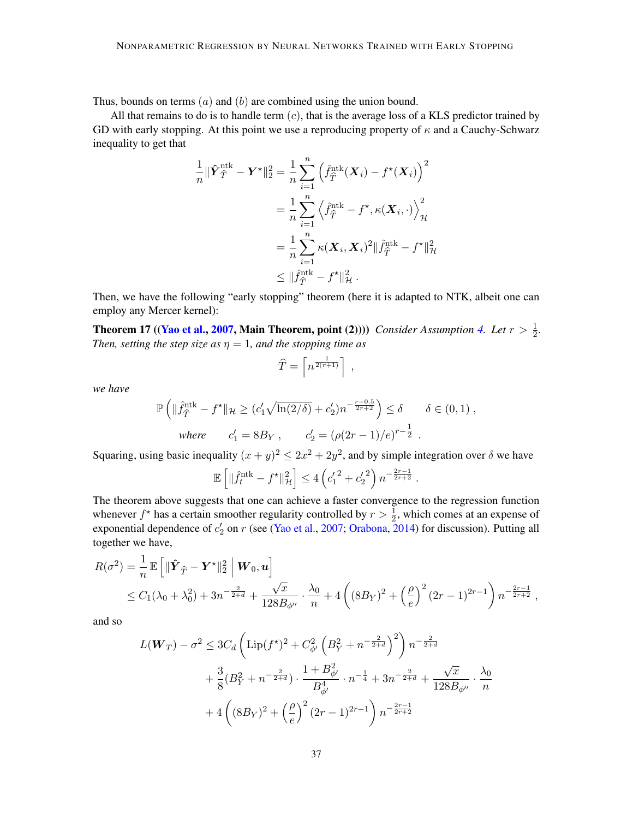Thus, bounds on terms  $(a)$  and  $(b)$  are combined using the union bound.

All that remains to do is to handle term  $(c)$ , that is the average loss of a KLS predictor trained by GD with early stopping. At this point we use a reproducing property of  $\kappa$  and a Cauchy-Schwarz inequality to get that

$$
\frac{1}{n} \|\hat{\boldsymbol{Y}}^{\text{ntk}}_{\hat{T}} - \boldsymbol{Y}^{\star}\|_{2}^{2} = \frac{1}{n} \sum_{i=1}^{n} \left(\hat{f}_{\hat{T}}^{\text{ntk}}(\boldsymbol{X}_{i}) - f^{\star}(\boldsymbol{X}_{i})\right)^{2}
$$
\n
$$
= \frac{1}{n} \sum_{i=1}^{n} \left\langle \hat{f}_{\hat{T}}^{\text{ntk}} - f^{\star}, \kappa(\boldsymbol{X}_{i}, \cdot) \right\rangle_{\mathcal{H}}^{2}
$$
\n
$$
= \frac{1}{n} \sum_{i=1}^{n} \kappa(\boldsymbol{X}_{i}, \boldsymbol{X}_{i})^{2} \|\hat{f}_{\hat{T}}^{\text{ntk}} - f^{\star}\|_{\mathcal{H}}^{2}
$$
\n
$$
\leq \|\hat{f}_{\hat{T}}^{\text{ntk}} - f^{\star}\|_{\mathcal{H}}^{2}.
$$

Then, we have the following "early stopping" theorem (here it is adapted to NTK, albeit one can employ any Mercer kernel):

**Theorem 17** ([\(Yao et al.,](#page-16-0) [2007,](#page-16-0) Main Theorem, point (2)))) *Consider Assumption [4.](#page-10-1) Let*  $r > \frac{1}{2}$ . *Then, setting the step size as*  $\eta = 1$ *, and the stopping time as* 

$$
\widehat{T} = \left\lceil n^{\frac{1}{2(r+1)}} \right\rceil \;,
$$

*we have*

$$
\mathbb{P}\left(\|\hat{f}_{\hat{T}}^{\text{ntk}} - f^{\star}\|_{\mathcal{H}} \ge (c'_1 \sqrt{\ln(2/\delta)} + c'_2) n^{-\frac{r - 0.5}{2r + 2}}\right) \le \delta \qquad \delta \in (0, 1),
$$
  
where  $c'_1 = 8B_Y$ ,  $c'_2 = (\rho(2r - 1)/e)^{r - \frac{1}{2}}$ .

Squaring, using basic inequality  $(x + y)^2 \leq 2x^2 + 2y^2$ , and by simple integration over  $\delta$  we have

$$
\mathbb{E}\left[\|\hat{f}_t^{\text{ntk}} - f^{\star}\|_{\mathcal{H}}^2\right] \le 4\left(c_1'^2 + c_2'^2\right)n^{-\frac{2r-1}{2r+2}}.
$$

The theorem above suggests that one can achieve a faster convergence to the regression function whenever  $f^*$  has a certain smoother regularity controlled by  $r > \frac{1}{2}$ , which comes at an expense of exponential dependence of  $c_2'$  on r (see [\(Yao et al.,](#page-16-0) [2007;](#page-16-0) [Orabona,](#page-16-12) [2014\)](#page-16-12) for discussion). Putting all together we have,

$$
R(\sigma^2) = \frac{1}{n} \mathbb{E} \left[ \|\hat{\boldsymbol{Y}}_{\hat{T}} - \boldsymbol{Y}^{\star}\|_{2}^{2} \, \Big|\, \boldsymbol{W}_{0}, \boldsymbol{u} \right]
$$
  
\$\leq C\_{1}(\lambda\_{0} + \lambda\_{0}^{2}) + 3n^{-\frac{2}{2+d}} + \frac{\sqrt{x}}{128B\_{\phi''}} \cdot \frac{\lambda\_{0}}{n} + 4\left( (8B\_{Y})^{2} + \left(\frac{\rho}{e}\right)^{2} (2r - 1)^{2r - 1} \right) n^{-\frac{2r - 1}{2r + 2}},

and so

$$
L(\mathbf{W}_{T}) - \sigma^{2} \leq 3C_{d} \left( \text{Lip}(f^{\star})^{2} + C_{\phi'}^{2} \left( B_{Y}^{2} + n^{-\frac{2}{2+d}} \right)^{2} \right) n^{-\frac{2}{2+d}}
$$
  
+  $\frac{3}{8} (B_{Y}^{2} + n^{-\frac{2}{2+d}}) \cdot \frac{1 + B_{\phi'}^{2}}{B_{\phi'}^{4}} \cdot n^{-\frac{1}{4}} + 3n^{-\frac{2}{2+d}} + \frac{\sqrt{x}}{128B_{\phi''}} \cdot \frac{\lambda_{0}}{n}$   
+  $4 \left( (8B_{Y})^{2} + \left( \frac{\rho}{e} \right)^{2} (2r - 1)^{2r - 1} \right) n^{-\frac{2r - 1}{2r + 2}}$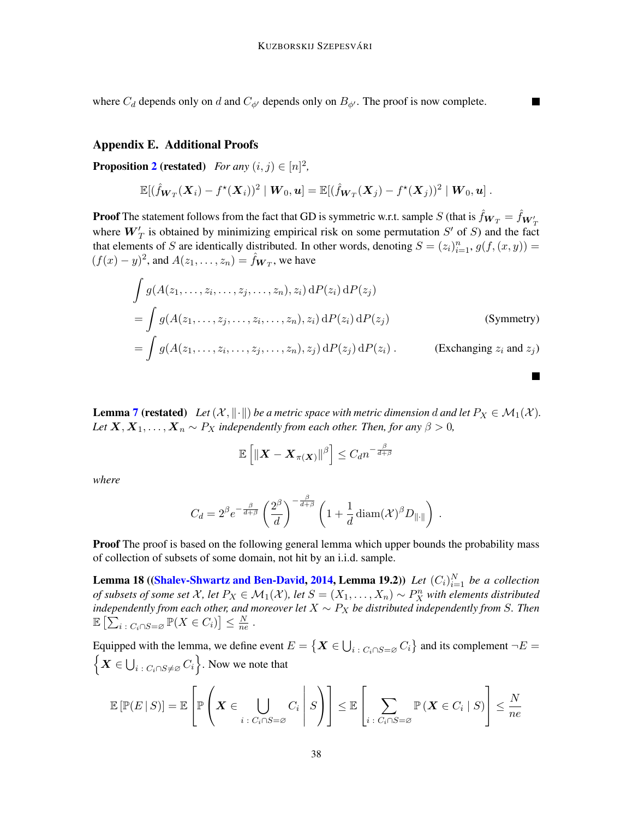where  $C_d$  depends only on d and  $C_{\phi}$  depends only on  $B_{\phi}$ . The proof is now complete.

#### <span id="page-37-0"></span>Appendix E. Additional Proofs

**Proposition [2](#page-13-1) (restated)** *For any*  $(i, j) \in [n]^2$ ,

$$
\mathbb{E}[(\hat{f}_{\boldsymbol{W}_T}(\boldsymbol{X}_i) - f^{\star}(\boldsymbol{X}_i))^2 \mid \boldsymbol{W}_0, \boldsymbol{u}] = \mathbb{E}[(\hat{f}_{\boldsymbol{W}_T}(\boldsymbol{X}_j) - f^{\star}(\boldsymbol{X}_j))^2 \mid \boldsymbol{W}_0, \boldsymbol{u}].
$$

**Proof** The statement follows from the fact that GD is symmetric w.r.t. sample  $S$  (that is  $\hat{f}_{\bm{W}_T} = \hat{f}_{\bm{W}_T'}$ where  $W'_T$  is obtained by minimizing empirical risk on some permutation  $S'$  of S) and the fact that elements of S are identically distributed. In other words, denoting  $S = (z_i)_{i=1}^n$ ,  $g(f, (x, y)) =$  $(f(x) - y)^2$ , and  $A(z_1, \ldots, z_n) = \hat{f}_{\mathbf{W}_T}$ , we have

$$
\int g(A(z_1, \ldots, z_i, \ldots, z_j, \ldots, z_n), z_i) dP(z_i) dP(z_j)
$$
\n
$$
= \int g(A(z_1, \ldots, z_j, \ldots, z_i, \ldots, z_n), z_i) dP(z_i) dP(z_j)
$$
\n(Symmetry)\n
$$
= \int g(A(z_1, \ldots, z_i, \ldots, z_j, \ldots, z_n), z_j) dP(z_j) dP(z_i).
$$
\n(Exchanging  $z_i$  and  $z_j$ )

**Lemma [7](#page-13-0) (restated)** *Let*  $(X, \|\cdot\|)$  *be a metric space with metric dimension d and let*  $P_X \in \mathcal{M}_1(\mathcal{X})$ *. Let*  $X, X_1, \ldots, X_n \sim P_X$  *independently from each other. Then, for any*  $\beta > 0$ *,* 

$$
\mathbb{E}\left[\left\|\boldsymbol{X}-\boldsymbol{X}_{\pi(\boldsymbol{X})}\right\|^{\beta}\right] \leq C_d n^{-\frac{\beta}{d+\beta}}
$$

*where*

$$
C_d = 2^{\beta} e^{-\frac{\beta}{d+\beta}} \left(\frac{2^{\beta}}{d}\right)^{-\frac{\beta}{d+\beta}} \left(1 + \frac{1}{d} \operatorname{diam}(\mathcal{X})^{\beta} D_{\|\cdot\|}\right) .
$$

**Proof** The proof is based on the following general lemma which upper bounds the probability mass of collection of subsets of some domain, not hit by an i.i.d. sample.

**Lemma 18 ([\(Shalev-Shwartz and Ben-David,](#page-16-13) [2014,](#page-16-13) Lemma 19.2))** Let  $(C_i)_{i=1}^N$  be a collection *of subsets of some set*  $X$ *, let*  $P_X \in M_1(\mathcal{X})$ *, let*  $S = (X_1, \ldots, X_n) \sim P_X^n$  with elements distributed *independently from each other, and moreover let*  $X \sim P_X$  *be distributed independently from S. Then*  $\mathbb{E}\left[\sum_{i}^{\mathcal{L}}\right]_{C_i\cap S=\varnothing}\mathbb{P}(X\in C_i)\right]\leq \frac{N}{n\epsilon}$  $\frac{N}{ne}$  .

Equipped with the lemma, we define event  $E = \{ \bm{X} \in \bigcup_{i \, : \, C_i \cap S = \varnothing} C_i \}$  and its complement  $\neg E =$  $\left\{ \boldsymbol{X} \in \bigcup_{i \; : \; C_i \cap S \neq \varnothing} C_i \right\}$ . Now we note that

$$
\mathbb{E}\left[\mathbb{P}(E \mid S)\right] = \mathbb{E}\left[\mathbb{P}\left(\boldsymbol{X} \in \bigcup_{i \,:\, C_i \cap S = \varnothing} C_i \mid S\right)\right] \le \mathbb{E}\left[\sum_{i \,:\, C_i \cap S = \varnothing} \mathbb{P}\left(\boldsymbol{X} \in C_i \mid S\right)\right] \le \frac{N}{ne}
$$